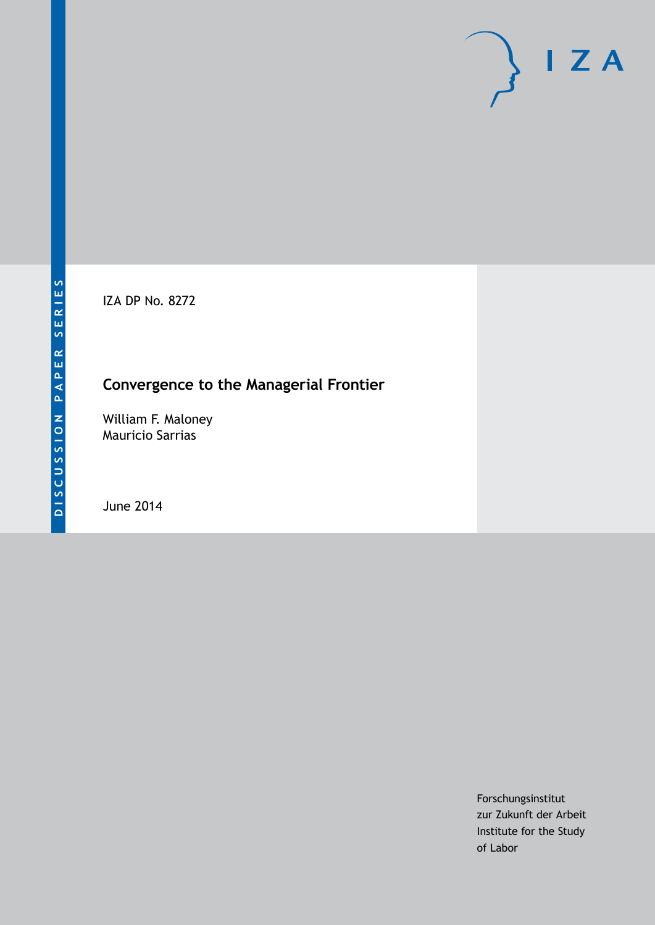IZA DP No. 8272

# **Convergence to the Managerial Frontier**

William F. Maloney Mauricio Sarrias

June 2014

Forschungsinstitut zur Zukunft der Arbeit Institute for the Study of Labor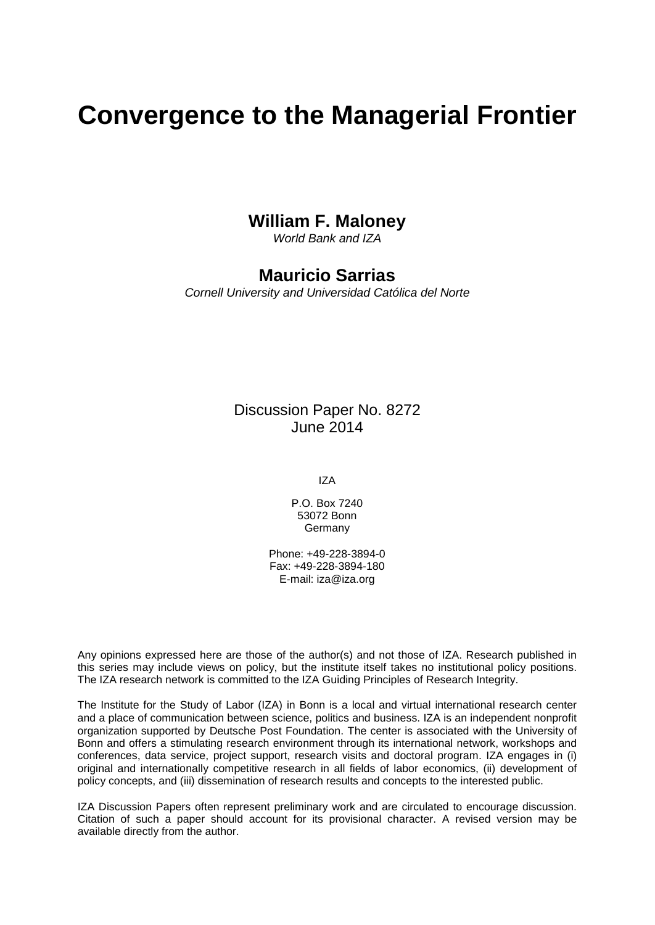# **Convergence to the Managerial Frontier**

### **William F. Maloney**

*World Bank and IZA*

#### **Mauricio Sarrias**

*Cornell University and Universidad Católica del Norte*

#### Discussion Paper No. 8272 June 2014

IZA

P.O. Box 7240 53072 Bonn Germany

Phone: +49-228-3894-0 Fax: +49-228-3894-180 E-mail: [iza@iza.org](mailto:iza@iza.org)

Any opinions expressed here are those of the author(s) and not those of IZA. Research published in this series may include views on policy, but the institute itself takes no institutional policy positions. The IZA research network is committed to the IZA Guiding Principles of Research Integrity.

The Institute for the Study of Labor (IZA) in Bonn is a local and virtual international research center and a place of communication between science, politics and business. IZA is an independent nonprofit organization supported by Deutsche Post Foundation. The center is associated with the University of Bonn and offers a stimulating research environment through its international network, workshops and conferences, data service, project support, research visits and doctoral program. IZA engages in (i) original and internationally competitive research in all fields of labor economics, (ii) development of policy concepts, and (iii) dissemination of research results and concepts to the interested public.

<span id="page-1-0"></span>IZA Discussion Papers often represent preliminary work and are circulated to encourage discussion. Citation of such a paper should account for its provisional character. A revised version may be available directly from the author.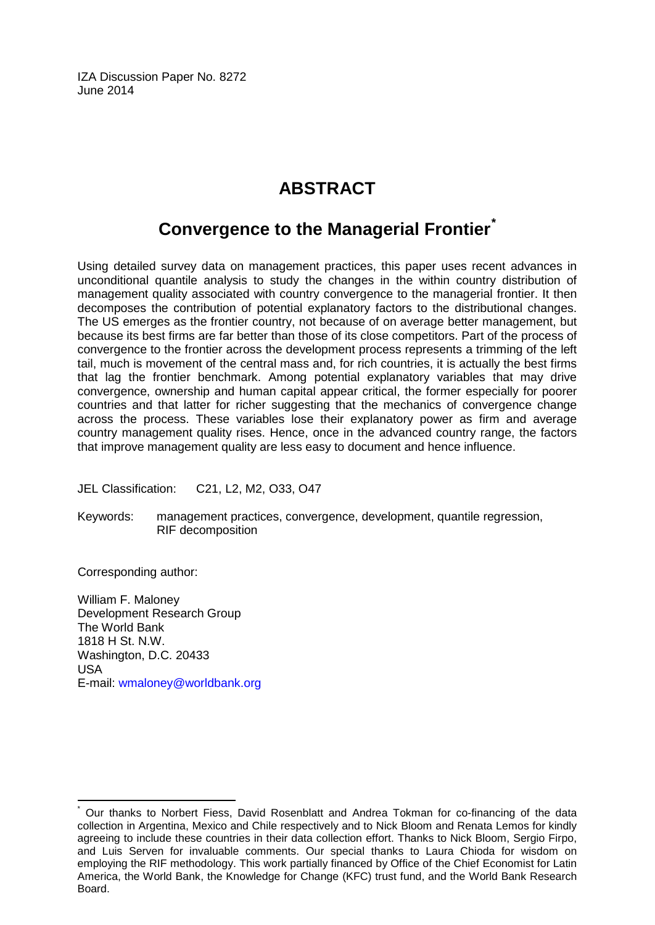IZA Discussion Paper No. 8272 June 2014

# **ABSTRACT**

## **Convergence to the Managerial Frontier[\\*](#page-1-0)**

Using detailed survey data on management practices, this paper uses recent advances in unconditional quantile analysis to study the changes in the within country distribution of management quality associated with country convergence to the managerial frontier. It then decomposes the contribution of potential explanatory factors to the distributional changes. The US emerges as the frontier country, not because of on average better management, but because its best firms are far better than those of its close competitors. Part of the process of convergence to the frontier across the development process represents a trimming of the left tail, much is movement of the central mass and, for rich countries, it is actually the best firms that lag the frontier benchmark. Among potential explanatory variables that may drive convergence, ownership and human capital appear critical, the former especially for poorer countries and that latter for richer suggesting that the mechanics of convergence change across the process. These variables lose their explanatory power as firm and average country management quality rises. Hence, once in the advanced country range, the factors that improve management quality are less easy to document and hence influence.

JEL Classification: C21, L2, M2, O33, O47

Keywords: management practices, convergence, development, quantile regression, RIF decomposition

Corresponding author:

William F. Maloney Development Research Group The World Bank 1818 H St. N.W. Washington, D.C. 20433 USA E-mail: [wmaloney@worldbank.org](mailto:wmaloney@worldbank.org)

Our thanks to Norbert Fiess, David Rosenblatt and Andrea Tokman for co-financing of the data collection in Argentina, Mexico and Chile respectively and to Nick Bloom and Renata Lemos for kindly agreeing to include these countries in their data collection effort. Thanks to Nick Bloom, Sergio Firpo, and Luis Serven for invaluable comments. Our special thanks to Laura Chioda for wisdom on employing the RIF methodology. This work partially financed by Office of the Chief Economist for Latin America, the World Bank, the Knowledge for Change (KFC) trust fund, and the World Bank Research Board.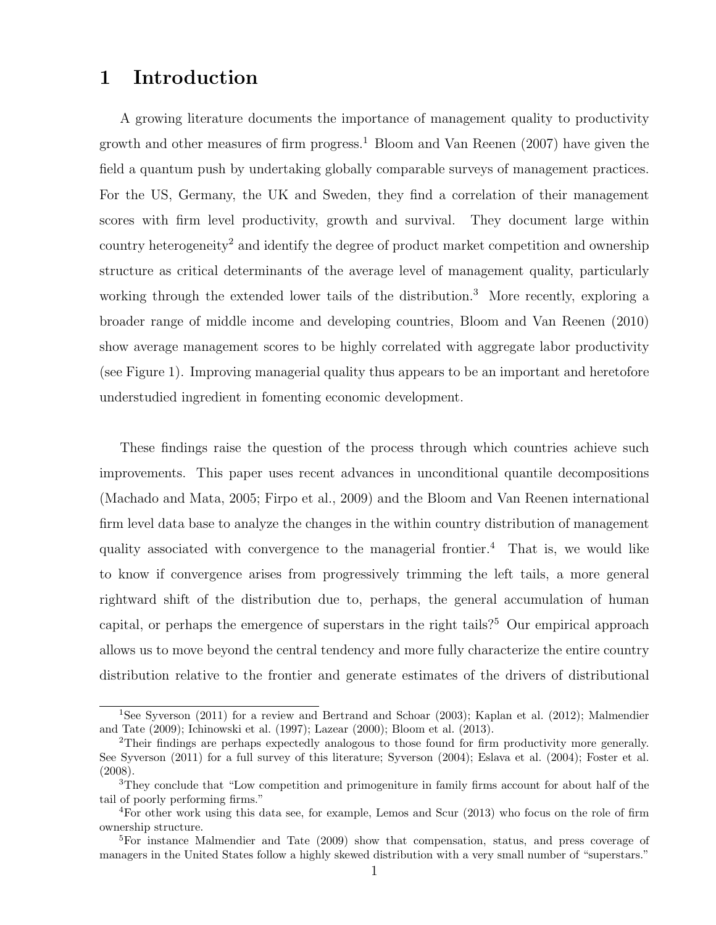### 1 Introduction

A growing literature documents the importance of management quality to productivity growth and other measures of firm progress.<sup>[1](#page-3-0)</sup> [Bloom and Van Reenen](#page-27-0)  $(2007)$  have given the field a quantum push by undertaking globally comparable surveys of management practices. For the US, Germany, the UK and Sweden, they find a correlation of their management scores with firm level productivity, growth and survival. They document large within country heterogeneity[2](#page-3-1) and identify the degree of product market competition and ownership structure as critical determinants of the average level of management quality, particularly working through the extended lower tails of the distribution.<sup>[3](#page-3-2)</sup> More recently, exploring a broader range of middle income and developing countries, [Bloom and Van Reenen](#page-27-1) [\(2010\)](#page-27-1) show average management scores to be highly correlated with aggregate labor productivity (see Figure 1). Improving managerial quality thus appears to be an important and heretofore understudied ingredient in fomenting economic development.

These findings raise the question of the process through which countries achieve such improvements. This paper uses recent advances in unconditional quantile decompositions [\(Machado and Mata,](#page-28-0) [2005;](#page-28-0) [Firpo et al.,](#page-27-2) [2009\)](#page-27-2) and the Bloom and Van Reenen international firm level data base to analyze the changes in the within country distribution of management quality associated with convergence to the managerial frontier.<sup>[4](#page-3-3)</sup> That is, we would like to know if convergence arises from progressively trimming the left tails, a more general rightward shift of the distribution due to, perhaps, the general accumulation of human capital, or perhaps the emergence of superstars in the right tails?[5](#page-3-4) Our empirical approach allows us to move beyond the central tendency and more fully characterize the entire country distribution relative to the frontier and generate estimates of the drivers of distributional

<span id="page-3-0"></span><sup>1</sup>See [Syverson](#page-28-1) [\(2011\)](#page-28-1) for a review and [Bertrand and Schoar](#page-27-3) [\(2003\)](#page-27-3); [Kaplan et al.](#page-28-2) [\(2012\)](#page-28-2); [Malmendier](#page-28-3) [and Tate](#page-28-3) [\(2009\)](#page-28-3); [Ichinowski et al.](#page-28-4) [\(1997\)](#page-28-4); [Lazear](#page-28-5) [\(2000\)](#page-28-5); [Bloom et al.](#page-27-4) [\(2013\)](#page-27-4).

<span id="page-3-1"></span><sup>2</sup>Their findings are perhaps expectedly analogous to those found for firm productivity more generally. See [Syverson](#page-28-1) [\(2011\)](#page-28-1) for a full survey of this literature; [Syverson](#page-28-6) [\(2004\)](#page-28-6); [Eslava et al.](#page-27-5) [\(2004\)](#page-27-5); [Foster et al.](#page-27-6) [\(2008\)](#page-27-6).

<span id="page-3-2"></span><sup>&</sup>lt;sup>3</sup>They conclude that "Low competition and primogeniture in family firms account for about half of the tail of poorly performing firms."

<span id="page-3-3"></span><sup>4</sup>For other work using this data see, for example, [Lemos and Scur](#page-28-7) [\(2013\)](#page-28-7) who focus on the role of firm ownership structure.

<span id="page-3-4"></span><sup>5</sup>For instance [Malmendier and Tate](#page-28-3) [\(2009\)](#page-28-3) show that compensation, status, and press coverage of managers in the United States follow a highly skewed distribution with a very small number of "superstars."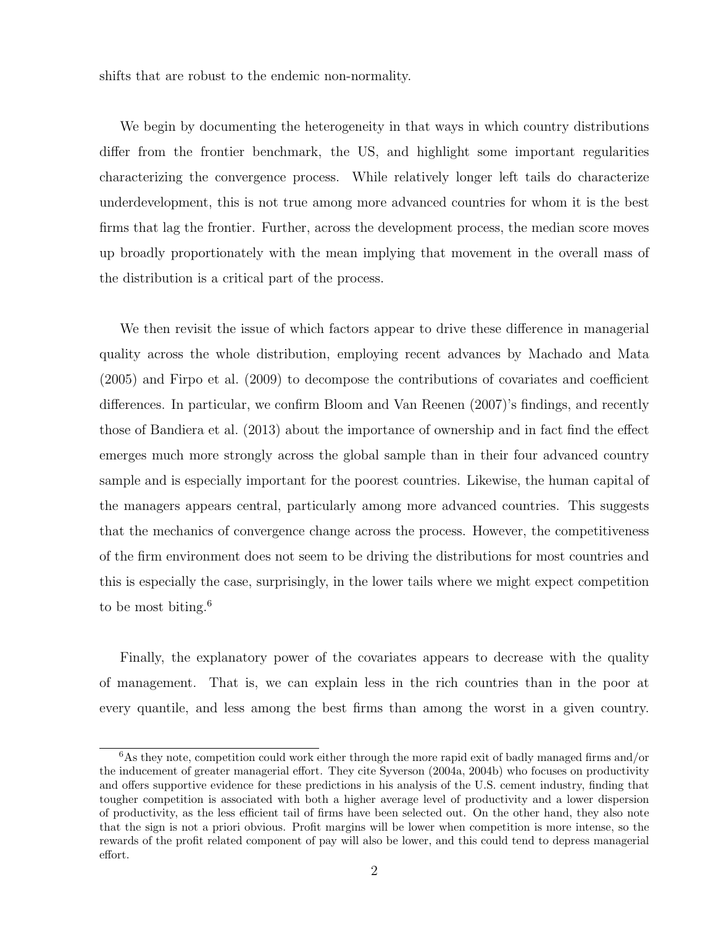shifts that are robust to the endemic non-normality.

We begin by documenting the heterogeneity in that ways in which country distributions differ from the frontier benchmark, the US, and highlight some important regularities characterizing the convergence process. While relatively longer left tails do characterize underdevelopment, this is not true among more advanced countries for whom it is the best firms that lag the frontier. Further, across the development process, the median score moves up broadly proportionately with the mean implying that movement in the overall mass of the distribution is a critical part of the process.

We then revisit the issue of which factors appear to drive these difference in managerial quality across the whole distribution, employing recent advances by [Machado and Mata](#page-28-0) [\(2005\)](#page-28-0) and [Firpo et al.](#page-27-2) [\(2009\)](#page-27-2) to decompose the contributions of covariates and coefficient differences. In particular, we confirm [Bloom and Van Reenen](#page-27-0) [\(2007\)](#page-27-0)'s findings, and recently those of [Bandiera et al.](#page-27-7) [\(2013\)](#page-27-7) about the importance of ownership and in fact find the effect emerges much more strongly across the global sample than in their four advanced country sample and is especially important for the poorest countries. Likewise, the human capital of the managers appears central, particularly among more advanced countries. This suggests that the mechanics of convergence change across the process. However, the competitiveness of the firm environment does not seem to be driving the distributions for most countries and this is especially the case, surprisingly, in the lower tails where we might expect competition to be most biting. $6$ 

Finally, the explanatory power of the covariates appears to decrease with the quality of management. That is, we can explain less in the rich countries than in the poor at every quantile, and less among the best firms than among the worst in a given country.

<span id="page-4-0"></span> $6$ As they note, competition could work either through the more rapid exit of badly managed firms and/or the inducement of greater managerial effort. They cite Syverson (2004a, 2004b) who focuses on productivity and offers supportive evidence for these predictions in his analysis of the U.S. cement industry, finding that tougher competition is associated with both a higher average level of productivity and a lower dispersion of productivity, as the less efficient tail of firms have been selected out. On the other hand, they also note that the sign is not a priori obvious. Profit margins will be lower when competition is more intense, so the rewards of the profit related component of pay will also be lower, and this could tend to depress managerial effort.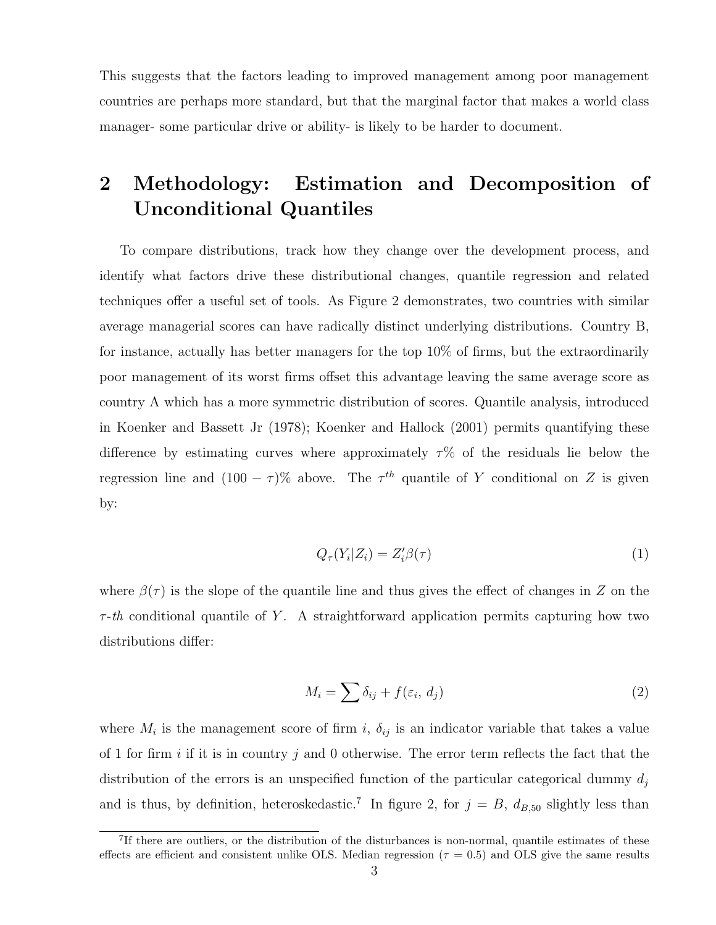This suggests that the factors leading to improved management among poor management countries are perhaps more standard, but that the marginal factor that makes a world class manager- some particular drive or ability- is likely to be harder to document.

# 2 Methodology: Estimation and Decomposition of Unconditional Quantiles

To compare distributions, track how they change over the development process, and identify what factors drive these distributional changes, quantile regression and related techniques offer a useful set of tools. As Figure 2 demonstrates, two countries with similar average managerial scores can have radically distinct underlying distributions. Country B, for instance, actually has better managers for the top 10% of firms, but the extraordinarily poor management of its worst firms offset this advantage leaving the same average score as country A which has a more symmetric distribution of scores. Quantile analysis, introduced in [Koenker and Bassett Jr](#page-28-8) [\(1978\)](#page-28-8); [Koenker and Hallock](#page-28-9) [\(2001\)](#page-28-9) permits quantifying these difference by estimating curves where approximately  $\tau$ % of the residuals lie below the regression line and  $(100 - \tau)\%$  above. The  $\tau^{th}$  quantile of Y conditional on Z is given by:

$$
Q_{\tau}(Y_i|Z_i) = Z_i'\beta(\tau) \tag{1}
$$

where  $\beta(\tau)$  is the slope of the quantile line and thus gives the effect of changes in Z on the  $\tau$ -th conditional quantile of Y. A straightforward application permits capturing how two distributions differ:

$$
M_i = \sum \delta_{ij} + f(\varepsilon_i, d_j) \tag{2}
$$

where  $M_i$  is the management score of firm i,  $\delta_{ij}$  is an indicator variable that takes a value of 1 for firm i if it is in country j and 0 otherwise. The error term reflects the fact that the distribution of the errors is an unspecified function of the particular categorical dummy  $d_i$ and is thus, by definition, heteroskedastic.<sup>[7](#page-5-0)</sup> In figure 2, for  $j = B$ ,  $d_{B,50}$  slightly less than

<span id="page-5-0"></span><sup>&</sup>lt;sup>7</sup>If there are outliers, or the distribution of the disturbances is non-normal, quantile estimates of these effects are efficient and consistent unlike OLS. Median regression ( $\tau = 0.5$ ) and OLS give the same results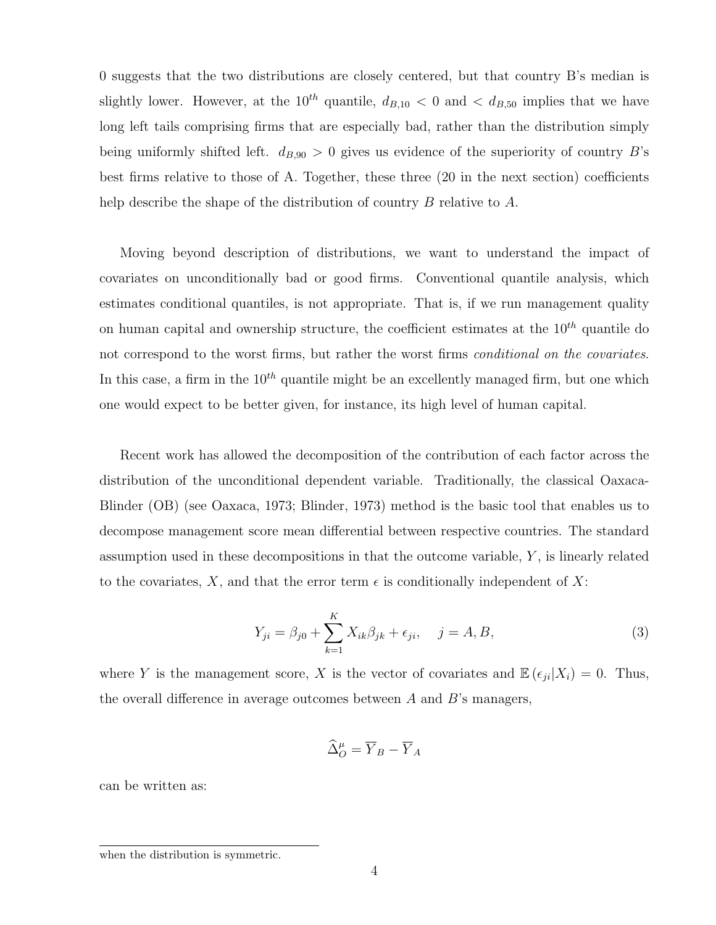0 suggests that the two distributions are closely centered, but that country B's median is slightly lower. However, at the  $10^{th}$  quantile,  $d_{B,10} < 0$  and  $d_{B,50}$  implies that we have long left tails comprising firms that are especially bad, rather than the distribution simply being uniformly shifted left.  $d_{B,90} > 0$  gives us evidence of the superiority of country B's best firms relative to those of A. Together, these three (20 in the next section) coefficients help describe the shape of the distribution of country  $B$  relative to  $A$ .

Moving beyond description of distributions, we want to understand the impact of covariates on unconditionally bad or good firms. Conventional quantile analysis, which estimates conditional quantiles, is not appropriate. That is, if we run management quality on human capital and ownership structure, the coefficient estimates at the  $10^{th}$  quantile do not correspond to the worst firms, but rather the worst firms conditional on the covariates. In this case, a firm in the  $10^{th}$  quantile might be an excellently managed firm, but one which one would expect to be better given, for instance, its high level of human capital.

Recent work has allowed the decomposition of the contribution of each factor across the distribution of the unconditional dependent variable. Traditionally, the classical Oaxaca-Blinder (OB) (see [Oaxaca,](#page-28-10) [1973;](#page-28-10) [Blinder,](#page-27-8) [1973\)](#page-27-8) method is the basic tool that enables us to decompose management score mean differential between respective countries. The standard assumption used in these decompositions in that the outcome variable,  $Y$ , is linearly related to the covariates, X, and that the error term  $\epsilon$  is conditionally independent of X:

$$
Y_{ji} = \beta_{j0} + \sum_{k=1}^{K} X_{ik} \beta_{jk} + \epsilon_{ji}, \quad j = A, B,
$$
 (3)

where Y is the management score, X is the vector of covariates and  $\mathbb{E}(\epsilon_{ii}|X_i) = 0$ . Thus, the overall difference in average outcomes between  $A$  and  $B$ 's managers,

$$
\widehat{\Delta}^{\mu}_{O} = \overline{Y}_{B} - \overline{Y}_{A}
$$

can be written as:

when the distribution is symmetric.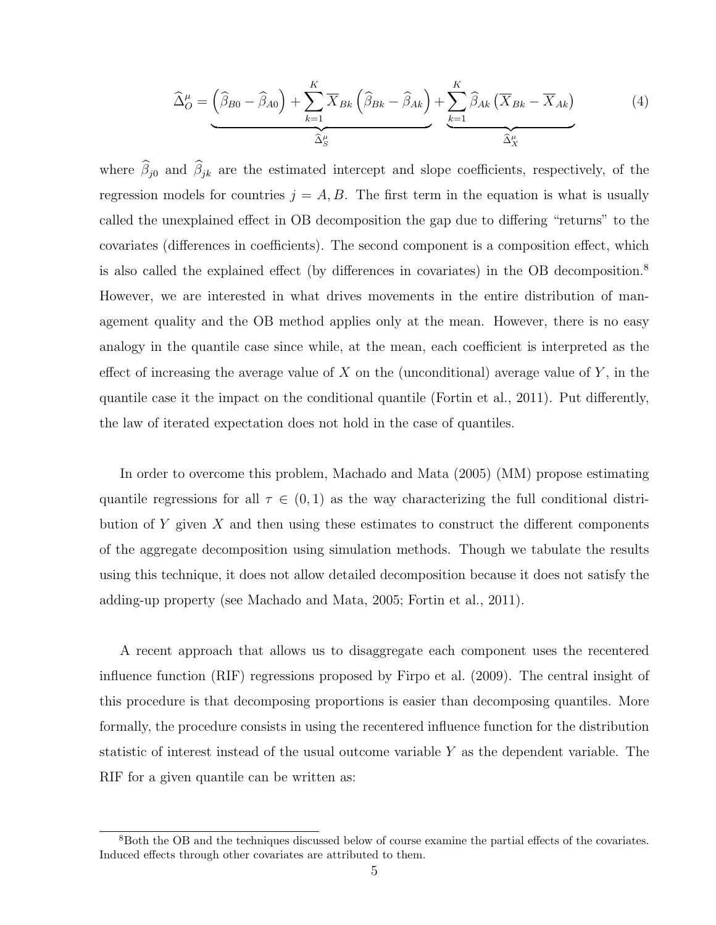<span id="page-7-1"></span>
$$
\widehat{\Delta}_{O}^{\mu} = \left(\widehat{\beta}_{B0} - \widehat{\beta}_{A0}\right) + \sum_{k=1}^{K} \overline{X}_{Bk} \left(\widehat{\beta}_{Bk} - \widehat{\beta}_{Ak}\right) + \sum_{k=1}^{K} \widehat{\beta}_{Ak} \left(\overline{X}_{Bk} - \overline{X}_{Ak}\right)
$$
(4)

where  $\widehat{\beta}_{j0}$  and  $\widehat{\beta}_{jk}$  are the estimated intercept and slope coefficients, respectively, of the regression models for countries  $j = A, B$ . The first term in the equation is what is usually called the unexplained effect in OB decomposition the gap due to differing "returns" to the covariates (differences in coefficients). The second component is a composition effect, which is also called the explained effect (by differences in covariates) in the OB decomposition.[8](#page-7-0) However, we are interested in what drives movements in the entire distribution of management quality and the OB method applies only at the mean. However, there is no easy analogy in the quantile case since while, at the mean, each coefficient is interpreted as the effect of increasing the average value of X on the (unconditional) average value of  $Y$ , in the quantile case it the impact on the conditional quantile [\(Fortin et al.,](#page-27-9) [2011\)](#page-27-9). Put differently, the law of iterated expectation does not hold in the case of quantiles.

In order to overcome this problem, [Machado and Mata](#page-28-0) [\(2005\)](#page-28-0) (MM) propose estimating quantile regressions for all  $\tau \in (0,1)$  as the way characterizing the full conditional distribution of Y given X and then using these estimates to construct the different components of the aggregate decomposition using simulation methods. Though we tabulate the results using this technique, it does not allow detailed decomposition because it does not satisfy the adding-up property (see [Machado and Mata,](#page-28-0) [2005;](#page-28-0) [Fortin et al.,](#page-27-9) [2011\)](#page-27-9).

A recent approach that allows us to disaggregate each component uses the recentered influence function (RIF) regressions proposed by [Firpo et al.](#page-27-2) [\(2009\)](#page-27-2). The central insight of this procedure is that decomposing proportions is easier than decomposing quantiles. More formally, the procedure consists in using the recentered influence function for the distribution statistic of interest instead of the usual outcome variable Y as the dependent variable. The RIF for a given quantile can be written as:

<span id="page-7-0"></span><sup>&</sup>lt;sup>8</sup>Both the OB and the techniques discussed below of course examine the partial effects of the covariates. Induced effects through other covariates are attributed to them.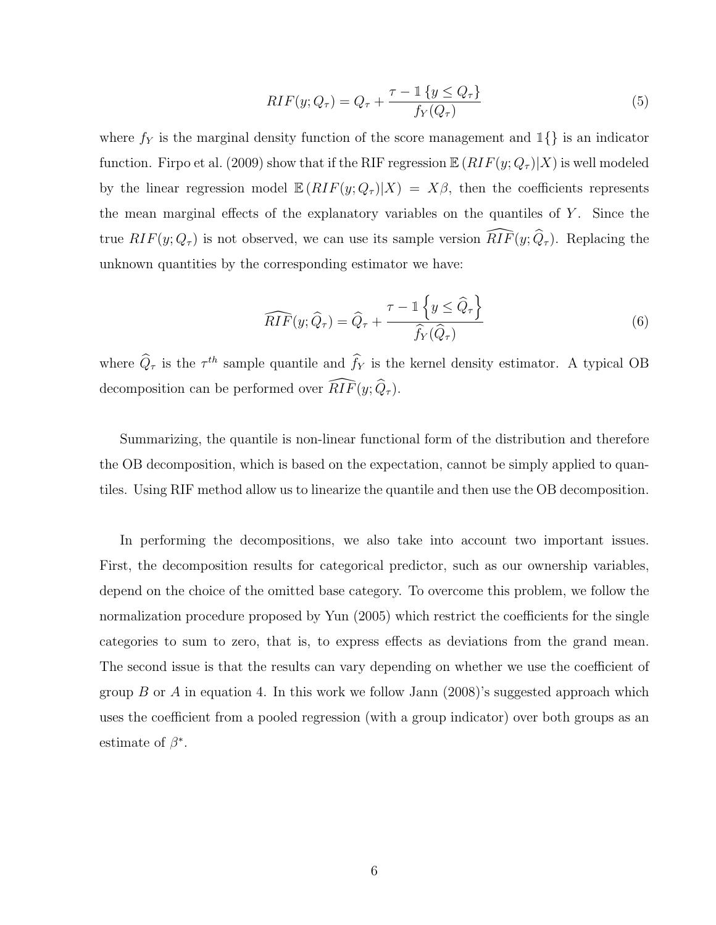$$
RIF(y; Q_{\tau}) = Q_{\tau} + \frac{\tau - \mathbb{1}\{y \le Q_{\tau}\}}{f_{Y}(Q_{\tau})}
$$
\n(5)

where  $f_Y$  is the marginal density function of the score management and  $\mathbb{1}\{\}$  is an indicator function. [Firpo et al.](#page-27-2) [\(2009\)](#page-27-2) show that if the RIF regression  $\mathbb{E}(RIF(y; Q_{\tau})|X)$  is well modeled by the linear regression model  $\mathbb{E} (RIF(y; Q_{\tau}) | X) = X\beta$ , then the coefficients represents the mean marginal effects of the explanatory variables on the quantiles of  $Y$ . Since the true  $RIF(y; Q_{\tau})$  is not observed, we can use its sample version  $\widehat{RIF}(y; \widehat{Q}_{\tau})$ . Replacing the unknown quantities by the corresponding estimator we have:

$$
\widehat{RIF}(y; \widehat{Q}_{\tau}) = \widehat{Q}_{\tau} + \frac{\tau - 1\left\{y \leq \widehat{Q}_{\tau}\right\}}{\widehat{f}_{Y}(\widehat{Q}_{\tau})}
$$
(6)

where  $\hat{Q}_{\tau}$  is the  $\tau^{th}$  sample quantile and  $f_Y$  is the kernel density estimator. A typical OB decomposition can be performed over  $\widehat{RIF}(y; \widehat{Q}_\tau)$ .

Summarizing, the quantile is non-linear functional form of the distribution and therefore the OB decomposition, which is based on the expectation, cannot be simply applied to quantiles. Using RIF method allow us to linearize the quantile and then use the OB decomposition.

In performing the decompositions, we also take into account two important issues. First, the decomposition results for categorical predictor, such as our ownership variables, depend on the choice of the omitted base category. To overcome this problem, we follow the normalization procedure proposed by [Yun](#page-28-11) [\(2005\)](#page-28-11) which restrict the coefficients for the single categories to sum to zero, that is, to express effects as deviations from the grand mean. The second issue is that the results can vary depending on whether we use the coefficient of group  $B$  or  $A$  in equation [4.](#page-7-1) In this work we follow [Jann](#page-28-12) [\(2008\)](#page-28-12)'s suggested approach which uses the coefficient from a pooled regression (with a group indicator) over both groups as an estimate of  $\beta^*$ .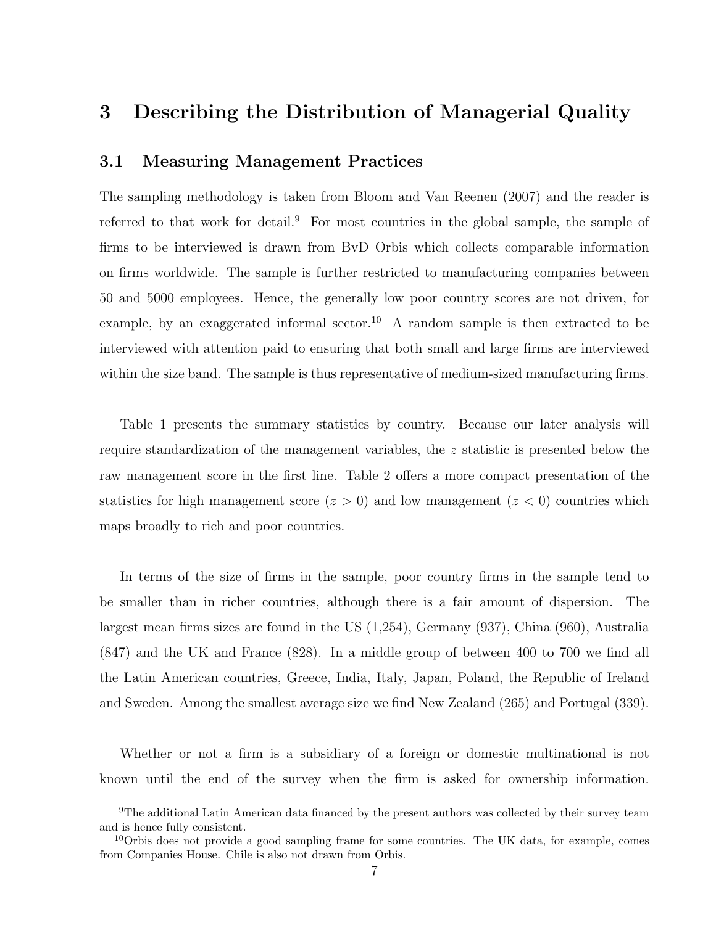### 3 Describing the Distribution of Managerial Quality

#### 3.1 Measuring Management Practices

The sampling methodology is taken from [Bloom and Van Reenen](#page-27-0) [\(2007\)](#page-27-0) and the reader is referred to that work for detail.<sup>[9](#page-9-0)</sup> For most countries in the global sample, the sample of firms to be interviewed is drawn from BvD Orbis which collects comparable information on firms worldwide. The sample is further restricted to manufacturing companies between 50 and 5000 employees. Hence, the generally low poor country scores are not driven, for example, by an exaggerated informal sector.<sup>[10](#page-9-1)</sup> A random sample is then extracted to be interviewed with attention paid to ensuring that both small and large firms are interviewed within the size band. The sample is thus representative of medium-sized manufacturing firms.

Table 1 presents the summary statistics by country. Because our later analysis will require standardization of the management variables, the  $z$  statistic is presented below the raw management score in the first line. Table 2 offers a more compact presentation of the statistics for high management score  $(z > 0)$  and low management  $(z < 0)$  countries which maps broadly to rich and poor countries.

In terms of the size of firms in the sample, poor country firms in the sample tend to be smaller than in richer countries, although there is a fair amount of dispersion. The largest mean firms sizes are found in the US (1,254), Germany (937), China (960), Australia (847) and the UK and France (828). In a middle group of between 400 to 700 we find all the Latin American countries, Greece, India, Italy, Japan, Poland, the Republic of Ireland and Sweden. Among the smallest average size we find New Zealand (265) and Portugal (339).

Whether or not a firm is a subsidiary of a foreign or domestic multinational is not known until the end of the survey when the firm is asked for ownership information.

<span id="page-9-0"></span><sup>9</sup>The additional Latin American data financed by the present authors was collected by their survey team and is hence fully consistent.

<span id="page-9-1"></span><sup>&</sup>lt;sup>10</sup>Orbis does not provide a good sampling frame for some countries. The UK data, for example, comes from Companies House. Chile is also not drawn from Orbis.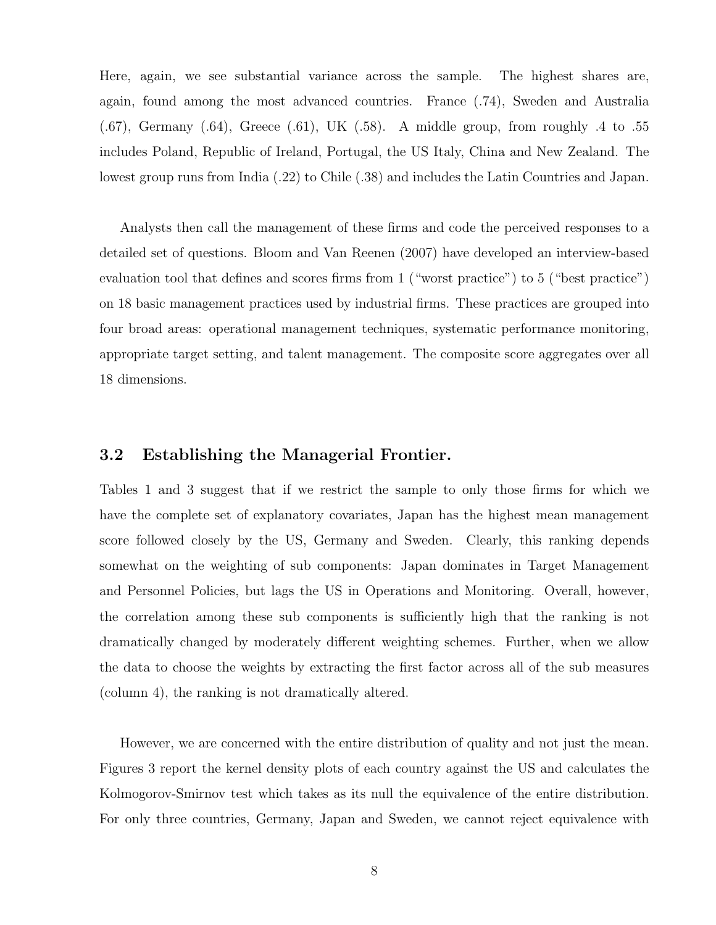Here, again, we see substantial variance across the sample. The highest shares are, again, found among the most advanced countries. France (.74), Sweden and Australia  $(0.67)$ , Germany  $(0.64)$ , Greece  $(0.61)$ , UK  $(0.58)$ . A middle group, from roughly  $0.4$  to  $0.55$ includes Poland, Republic of Ireland, Portugal, the US Italy, China and New Zealand. The lowest group runs from India (.22) to Chile (.38) and includes the Latin Countries and Japan.

Analysts then call the management of these firms and code the perceived responses to a detailed set of questions. [Bloom and Van Reenen](#page-27-0) [\(2007\)](#page-27-0) have developed an interview-based evaluation tool that defines and scores firms from 1 ("worst practice") to 5 ("best practice") on 18 basic management practices used by industrial firms. These practices are grouped into four broad areas: operational management techniques, systematic performance monitoring, appropriate target setting, and talent management. The composite score aggregates over all 18 dimensions.

#### 3.2 Establishing the Managerial Frontier.

Tables 1 and 3 suggest that if we restrict the sample to only those firms for which we have the complete set of explanatory covariates, Japan has the highest mean management score followed closely by the US, Germany and Sweden. Clearly, this ranking depends somewhat on the weighting of sub components: Japan dominates in Target Management and Personnel Policies, but lags the US in Operations and Monitoring. Overall, however, the correlation among these sub components is sufficiently high that the ranking is not dramatically changed by moderately different weighting schemes. Further, when we allow the data to choose the weights by extracting the first factor across all of the sub measures (column 4), the ranking is not dramatically altered.

However, we are concerned with the entire distribution of quality and not just the mean. Figures 3 report the kernel density plots of each country against the US and calculates the Kolmogorov-Smirnov test which takes as its null the equivalence of the entire distribution. For only three countries, Germany, Japan and Sweden, we cannot reject equivalence with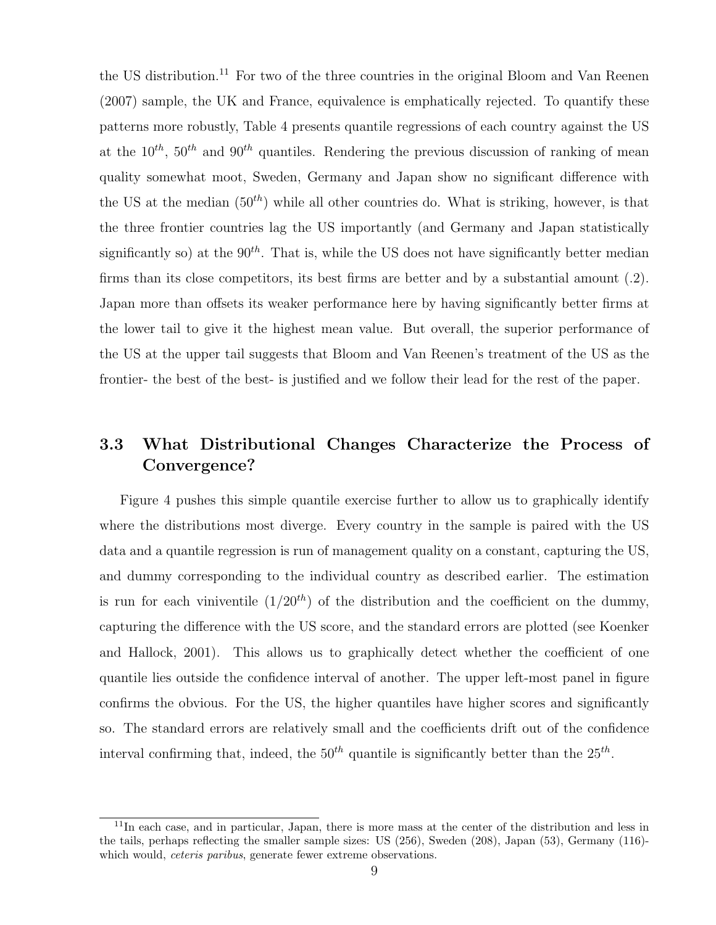the US distribution.<sup>[11](#page-11-0)</sup> For two of the three countries in the original [Bloom and Van Reenen](#page-27-0) [\(2007\)](#page-27-0) sample, the UK and France, equivalence is emphatically rejected. To quantify these patterns more robustly, Table 4 presents quantile regressions of each country against the US at the  $10^{th}$ ,  $50^{th}$  and  $90^{th}$  quantiles. Rendering the previous discussion of ranking of mean quality somewhat moot, Sweden, Germany and Japan show no significant difference with the US at the median  $(50<sup>th</sup>)$  while all other countries do. What is striking, however, is that the three frontier countries lag the US importantly (and Germany and Japan statistically significantly so) at the  $90^{th}$ . That is, while the US does not have significantly better median firms than its close competitors, its best firms are better and by a substantial amount (.2). Japan more than offsets its weaker performance here by having significantly better firms at the lower tail to give it the highest mean value. But overall, the superior performance of the US at the upper tail suggests that Bloom and Van Reenen's treatment of the US as the frontier- the best of the best- is justified and we follow their lead for the rest of the paper.

### 3.3 What Distributional Changes Characterize the Process of Convergence?

Figure 4 pushes this simple quantile exercise further to allow us to graphically identify where the distributions most diverge. Every country in the sample is paired with the US data and a quantile regression is run of management quality on a constant, capturing the US, and dummy corresponding to the individual country as described earlier. The estimation is run for each viniventile  $(1/20<sup>th</sup>)$  of the distribution and the coefficient on the dummy, capturing the difference with the US score, and the standard errors are plotted (see [Koenker](#page-28-9) [and Hallock,](#page-28-9) [2001\)](#page-28-9). This allows us to graphically detect whether the coefficient of one quantile lies outside the confidence interval of another. The upper left-most panel in figure confirms the obvious. For the US, the higher quantiles have higher scores and significantly so. The standard errors are relatively small and the coefficients drift out of the confidence interval confirming that, indeed, the  $50<sup>th</sup>$  quantile is significantly better than the  $25<sup>th</sup>$ .

<span id="page-11-0"></span> $11$ In each case, and in particular, Japan, there is more mass at the center of the distribution and less in the tails, perhaps reflecting the smaller sample sizes: US (256), Sweden (208), Japan (53), Germany (116) which would, *ceteris paribus*, generate fewer extreme observations.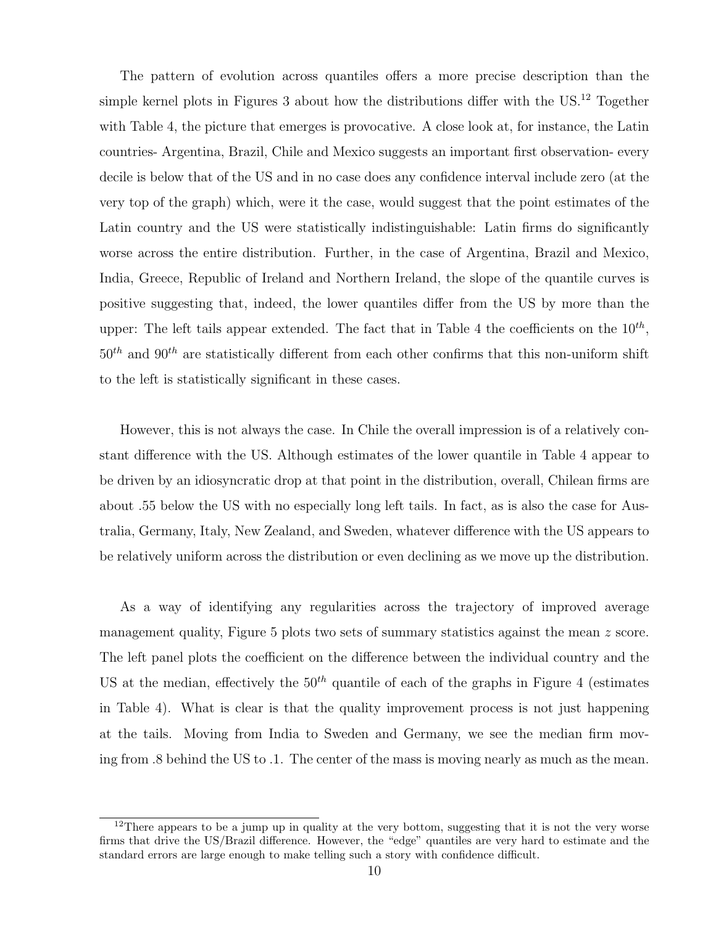The pattern of evolution across quantiles offers a more precise description than the simple kernel plots in Figures 3 about how the distributions differ with the US.<sup>[12](#page-12-0)</sup> Together with Table 4, the picture that emerges is provocative. A close look at, for instance, the Latin countries- Argentina, Brazil, Chile and Mexico suggests an important first observation- every decile is below that of the US and in no case does any confidence interval include zero (at the very top of the graph) which, were it the case, would suggest that the point estimates of the Latin country and the US were statistically indistinguishable: Latin firms do significantly worse across the entire distribution. Further, in the case of Argentina, Brazil and Mexico, India, Greece, Republic of Ireland and Northern Ireland, the slope of the quantile curves is positive suggesting that, indeed, the lower quantiles differ from the US by more than the upper: The left tails appear extended. The fact that in Table 4 the coefficients on the  $10^{th}$ ,  $50<sup>th</sup>$  and  $90<sup>th</sup>$  are statistically different from each other confirms that this non-uniform shift to the left is statistically significant in these cases.

However, this is not always the case. In Chile the overall impression is of a relatively constant difference with the US. Although estimates of the lower quantile in Table 4 appear to be driven by an idiosyncratic drop at that point in the distribution, overall, Chilean firms are about .55 below the US with no especially long left tails. In fact, as is also the case for Australia, Germany, Italy, New Zealand, and Sweden, whatever difference with the US appears to be relatively uniform across the distribution or even declining as we move up the distribution.

As a way of identifying any regularities across the trajectory of improved average management quality, Figure 5 plots two sets of summary statistics against the mean z score. The left panel plots the coefficient on the difference between the individual country and the US at the median, effectively the  $50<sup>th</sup>$  quantile of each of the graphs in Figure 4 (estimates in Table 4). What is clear is that the quality improvement process is not just happening at the tails. Moving from India to Sweden and Germany, we see the median firm moving from .8 behind the US to .1. The center of the mass is moving nearly as much as the mean.

<span id="page-12-0"></span><sup>&</sup>lt;sup>12</sup>There appears to be a jump up in quality at the very bottom, suggesting that it is not the very worse firms that drive the US/Brazil difference. However, the "edge" quantiles are very hard to estimate and the standard errors are large enough to make telling such a story with confidence difficult.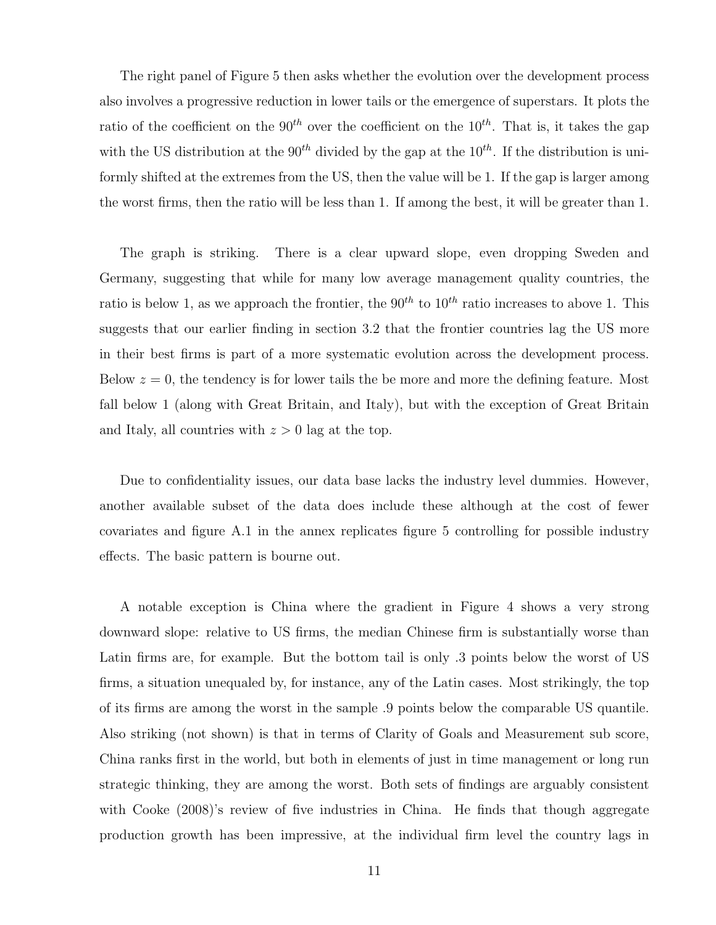The right panel of Figure 5 then asks whether the evolution over the development process also involves a progressive reduction in lower tails or the emergence of superstars. It plots the ratio of the coefficient on the 90<sup>th</sup> over the coefficient on the 10<sup>th</sup>. That is, it takes the gap with the US distribution at the  $90^{th}$  divided by the gap at the  $10^{th}$ . If the distribution is uniformly shifted at the extremes from the US, then the value will be 1. If the gap is larger among the worst firms, then the ratio will be less than 1. If among the best, it will be greater than 1.

The graph is striking. There is a clear upward slope, even dropping Sweden and Germany, suggesting that while for many low average management quality countries, the ratio is below 1, as we approach the frontier, the  $90^{th}$  to  $10^{th}$  ratio increases to above 1. This suggests that our earlier finding in section 3.2 that the frontier countries lag the US more in their best firms is part of a more systematic evolution across the development process. Below  $z = 0$ , the tendency is for lower tails the be more and more the defining feature. Most fall below 1 (along with Great Britain, and Italy), but with the exception of Great Britain and Italy, all countries with  $z > 0$  lag at the top.

Due to confidentiality issues, our data base lacks the industry level dummies. However, another available subset of the data does include these although at the cost of fewer covariates and figure A.1 in the annex replicates figure 5 controlling for possible industry effects. The basic pattern is bourne out.

A notable exception is China where the gradient in Figure 4 shows a very strong downward slope: relative to US firms, the median Chinese firm is substantially worse than Latin firms are, for example. But the bottom tail is only .3 points below the worst of US firms, a situation unequaled by, for instance, any of the Latin cases. Most strikingly, the top of its firms are among the worst in the sample .9 points below the comparable US quantile. Also striking (not shown) is that in terms of Clarity of Goals and Measurement sub score, China ranks first in the world, but both in elements of just in time management or long run strategic thinking, they are among the worst. Both sets of findings are arguably consistent with [Cooke](#page-27-10) [\(2008\)](#page-27-10)'s review of five industries in China. He finds that though aggregate production growth has been impressive, at the individual firm level the country lags in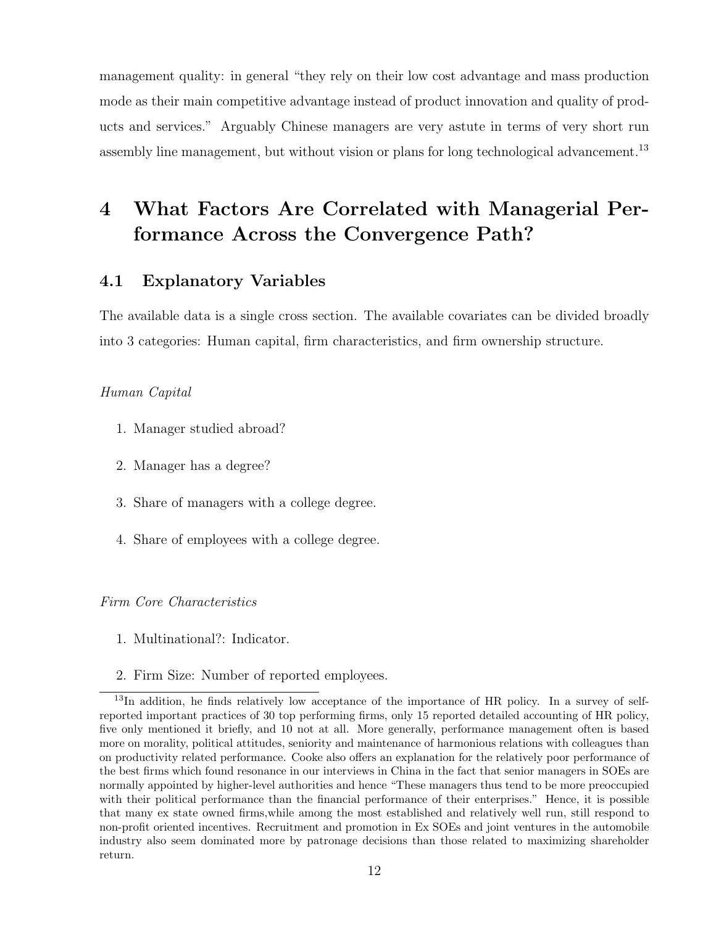management quality: in general "they rely on their low cost advantage and mass production mode as their main competitive advantage instead of product innovation and quality of products and services." Arguably Chinese managers are very astute in terms of very short run assembly line management, but without vision or plans for long technological advancement.<sup>[13](#page-14-0)</sup>

# 4 What Factors Are Correlated with Managerial Performance Across the Convergence Path?

#### 4.1 Explanatory Variables

The available data is a single cross section. The available covariates can be divided broadly into 3 categories: Human capital, firm characteristics, and firm ownership structure.

#### Human Capital

- 1. Manager studied abroad?
- 2. Manager has a degree?
- 3. Share of managers with a college degree.
- 4. Share of employees with a college degree.

#### Firm Core Characteristics

- 1. Multinational?: Indicator.
- <span id="page-14-0"></span>2. Firm Size: Number of reported employees.

<sup>&</sup>lt;sup>13</sup>In addition, he finds relatively low acceptance of the importance of HR policy. In a survey of selfreported important practices of 30 top performing firms, only 15 reported detailed accounting of HR policy, five only mentioned it briefly, and 10 not at all. More generally, performance management often is based more on morality, political attitudes, seniority and maintenance of harmonious relations with colleagues than on productivity related performance. Cooke also offers an explanation for the relatively poor performance of the best firms which found resonance in our interviews in China in the fact that senior managers in SOEs are normally appointed by higher-level authorities and hence "These managers thus tend to be more preoccupied with their political performance than the financial performance of their enterprises." Hence, it is possible that many ex state owned firms,while among the most established and relatively well run, still respond to non-profit oriented incentives. Recruitment and promotion in Ex SOEs and joint ventures in the automobile industry also seem dominated more by patronage decisions than those related to maximizing shareholder return.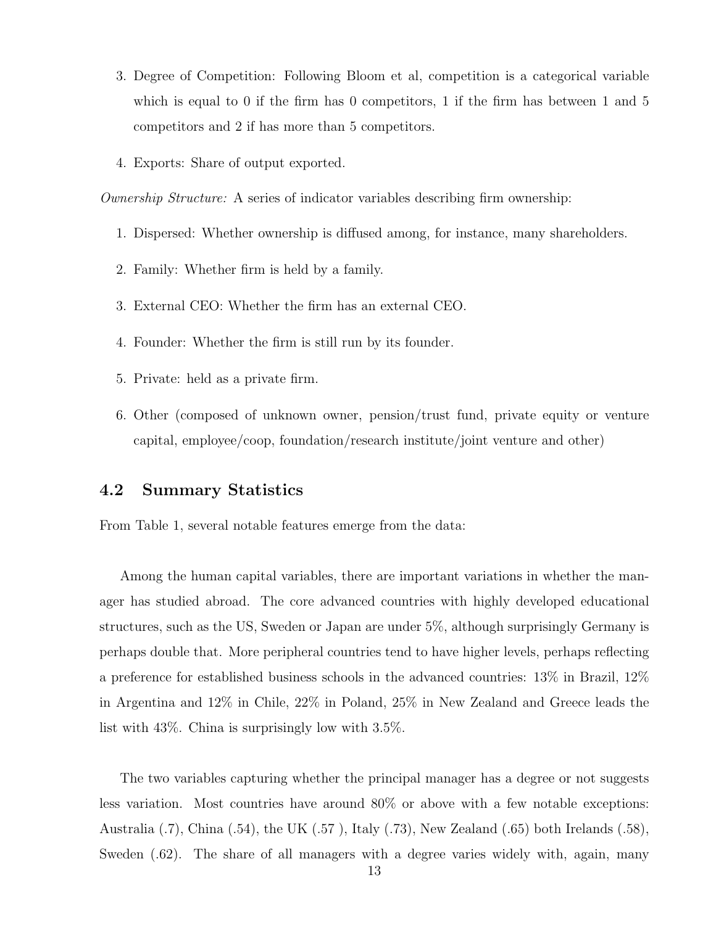- 3. Degree of Competition: Following Bloom et al, competition is a categorical variable which is equal to 0 if the firm has 0 competitors, 1 if the firm has between 1 and 5 competitors and 2 if has more than 5 competitors.
- 4. Exports: Share of output exported.

Ownership Structure: A series of indicator variables describing firm ownership:

- 1. Dispersed: Whether ownership is diffused among, for instance, many shareholders.
- 2. Family: Whether firm is held by a family.
- 3. External CEO: Whether the firm has an external CEO.
- 4. Founder: Whether the firm is still run by its founder.
- 5. Private: held as a private firm.
- 6. Other (composed of unknown owner, pension/trust fund, private equity or venture capital, employee/coop, foundation/research institute/joint venture and other)

#### 4.2 Summary Statistics

From Table 1, several notable features emerge from the data:

Among the human capital variables, there are important variations in whether the manager has studied abroad. The core advanced countries with highly developed educational structures, such as the US, Sweden or Japan are under 5%, although surprisingly Germany is perhaps double that. More peripheral countries tend to have higher levels, perhaps reflecting a preference for established business schools in the advanced countries: 13% in Brazil, 12% in Argentina and 12% in Chile, 22% in Poland, 25% in New Zealand and Greece leads the list with 43%. China is surprisingly low with 3.5%.

The two variables capturing whether the principal manager has a degree or not suggests less variation. Most countries have around 80% or above with a few notable exceptions: Australia (.7), China (.54), the UK (.57 ), Italy (.73), New Zealand (.65) both Irelands (.58), Sweden  $(.62)$ . The share of all managers with a degree varies widely with, again, many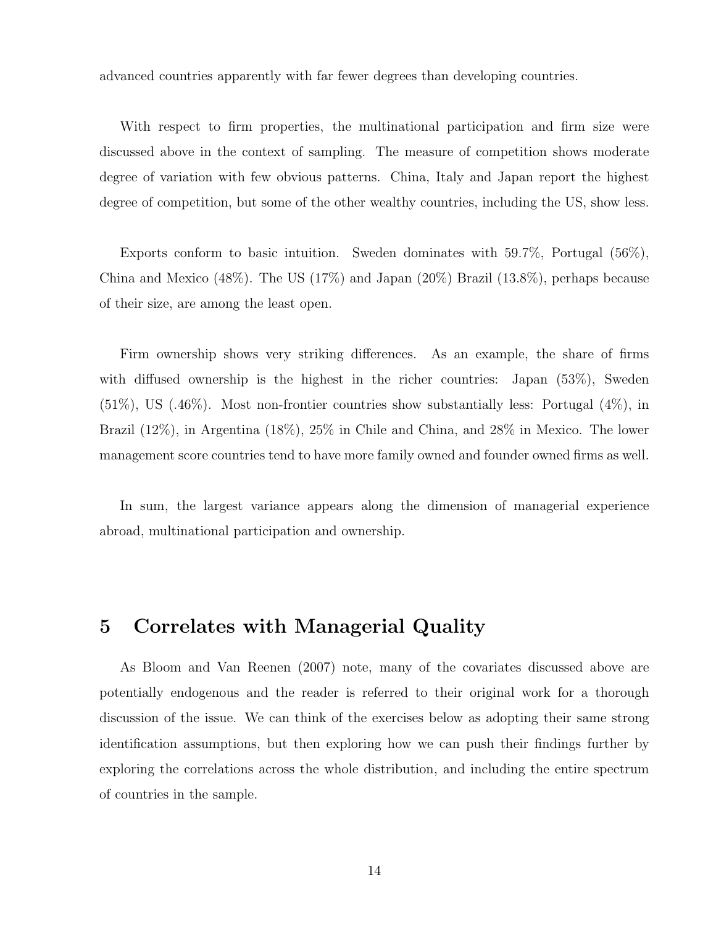advanced countries apparently with far fewer degrees than developing countries.

With respect to firm properties, the multinational participation and firm size were discussed above in the context of sampling. The measure of competition shows moderate degree of variation with few obvious patterns. China, Italy and Japan report the highest degree of competition, but some of the other wealthy countries, including the US, show less.

Exports conform to basic intuition. Sweden dominates with 59.7%, Portugal (56%), China and Mexico (48%). The US (17%) and Japan (20%) Brazil (13.8%), perhaps because of their size, are among the least open.

Firm ownership shows very striking differences. As an example, the share of firms with diffused ownership is the highest in the richer countries: Japan (53%), Sweden (51%), US (.46%). Most non-frontier countries show substantially less: Portugal (4%), in Brazil (12%), in Argentina (18%), 25% in Chile and China, and 28% in Mexico. The lower management score countries tend to have more family owned and founder owned firms as well.

In sum, the largest variance appears along the dimension of managerial experience abroad, multinational participation and ownership.

### 5 Correlates with Managerial Quality

As [Bloom and Van Reenen](#page-27-0) [\(2007\)](#page-27-0) note, many of the covariates discussed above are potentially endogenous and the reader is referred to their original work for a thorough discussion of the issue. We can think of the exercises below as adopting their same strong identification assumptions, but then exploring how we can push their findings further by exploring the correlations across the whole distribution, and including the entire spectrum of countries in the sample.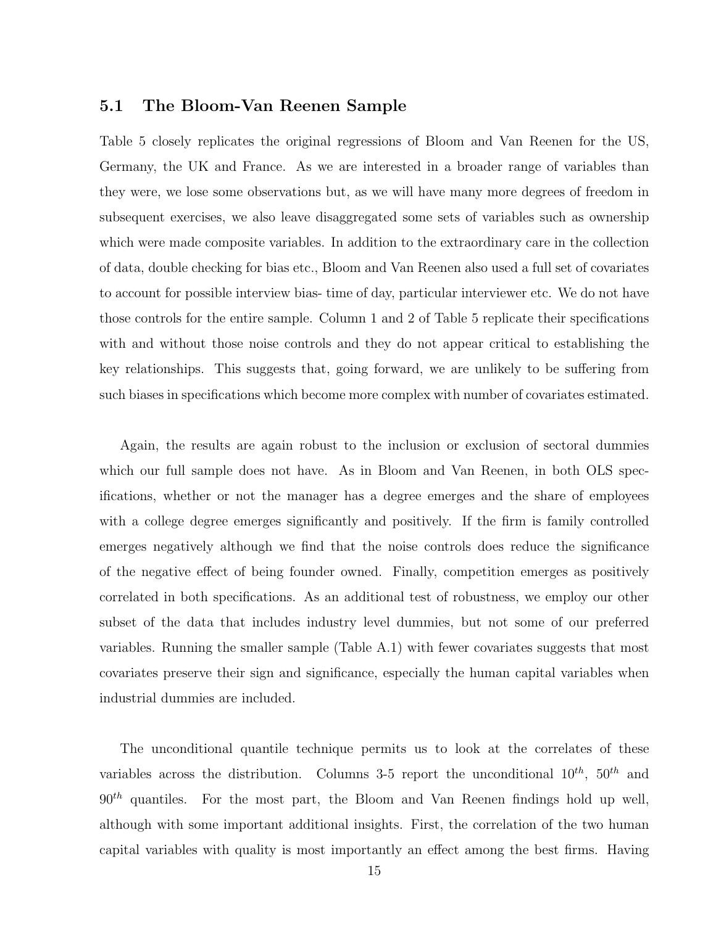#### 5.1 The Bloom-Van Reenen Sample

Table 5 closely replicates the original regressions of Bloom and Van Reenen for the US, Germany, the UK and France. As we are interested in a broader range of variables than they were, we lose some observations but, as we will have many more degrees of freedom in subsequent exercises, we also leave disaggregated some sets of variables such as ownership which were made composite variables. In addition to the extraordinary care in the collection of data, double checking for bias etc., Bloom and Van Reenen also used a full set of covariates to account for possible interview bias- time of day, particular interviewer etc. We do not have those controls for the entire sample. Column 1 and 2 of Table 5 replicate their specifications with and without those noise controls and they do not appear critical to establishing the key relationships. This suggests that, going forward, we are unlikely to be suffering from such biases in specifications which become more complex with number of covariates estimated.

Again, the results are again robust to the inclusion or exclusion of sectoral dummies which our full sample does not have. As in Bloom and Van Reenen, in both OLS specifications, whether or not the manager has a degree emerges and the share of employees with a college degree emerges significantly and positively. If the firm is family controlled emerges negatively although we find that the noise controls does reduce the significance of the negative effect of being founder owned. Finally, competition emerges as positively correlated in both specifications. As an additional test of robustness, we employ our other subset of the data that includes industry level dummies, but not some of our preferred variables. Running the smaller sample (Table A.1) with fewer covariates suggests that most covariates preserve their sign and significance, especially the human capital variables when industrial dummies are included.

The unconditional quantile technique permits us to look at the correlates of these variables across the distribution. Columns 3-5 report the unconditional  $10^{th}$ ,  $50^{th}$  and  $90<sup>th</sup>$  quantiles. For the most part, the Bloom and Van Reenen findings hold up well, although with some important additional insights. First, the correlation of the two human capital variables with quality is most importantly an effect among the best firms. Having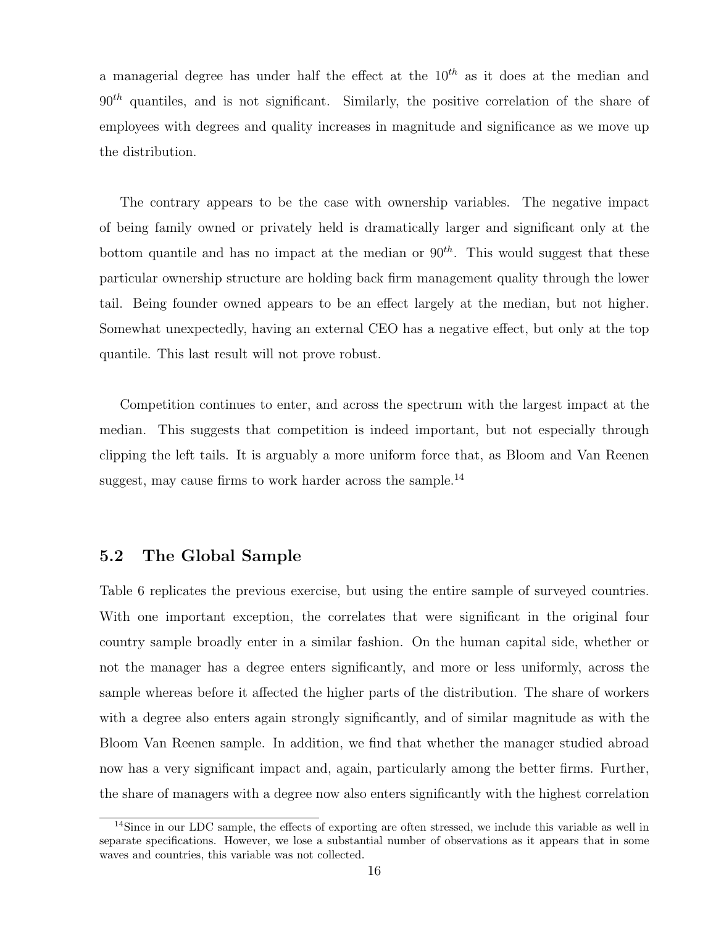a managerial degree has under half the effect at the  $10^{th}$  as it does at the median and  $90<sup>th</sup>$  quantiles, and is not significant. Similarly, the positive correlation of the share of employees with degrees and quality increases in magnitude and significance as we move up the distribution.

The contrary appears to be the case with ownership variables. The negative impact of being family owned or privately held is dramatically larger and significant only at the bottom quantile and has no impact at the median or  $90^{th}$ . This would suggest that these particular ownership structure are holding back firm management quality through the lower tail. Being founder owned appears to be an effect largely at the median, but not higher. Somewhat unexpectedly, having an external CEO has a negative effect, but only at the top quantile. This last result will not prove robust.

Competition continues to enter, and across the spectrum with the largest impact at the median. This suggests that competition is indeed important, but not especially through clipping the left tails. It is arguably a more uniform force that, as Bloom and Van Reenen suggest, may cause firms to work harder across the sample.<sup>[14](#page-18-0)</sup>

#### 5.2 The Global Sample

Table 6 replicates the previous exercise, but using the entire sample of surveyed countries. With one important exception, the correlates that were significant in the original four country sample broadly enter in a similar fashion. On the human capital side, whether or not the manager has a degree enters significantly, and more or less uniformly, across the sample whereas before it affected the higher parts of the distribution. The share of workers with a degree also enters again strongly significantly, and of similar magnitude as with the Bloom Van Reenen sample. In addition, we find that whether the manager studied abroad now has a very significant impact and, again, particularly among the better firms. Further, the share of managers with a degree now also enters significantly with the highest correlation

<span id="page-18-0"></span><sup>&</sup>lt;sup>14</sup>Since in our LDC sample, the effects of exporting are often stressed, we include this variable as well in separate specifications. However, we lose a substantial number of observations as it appears that in some waves and countries, this variable was not collected.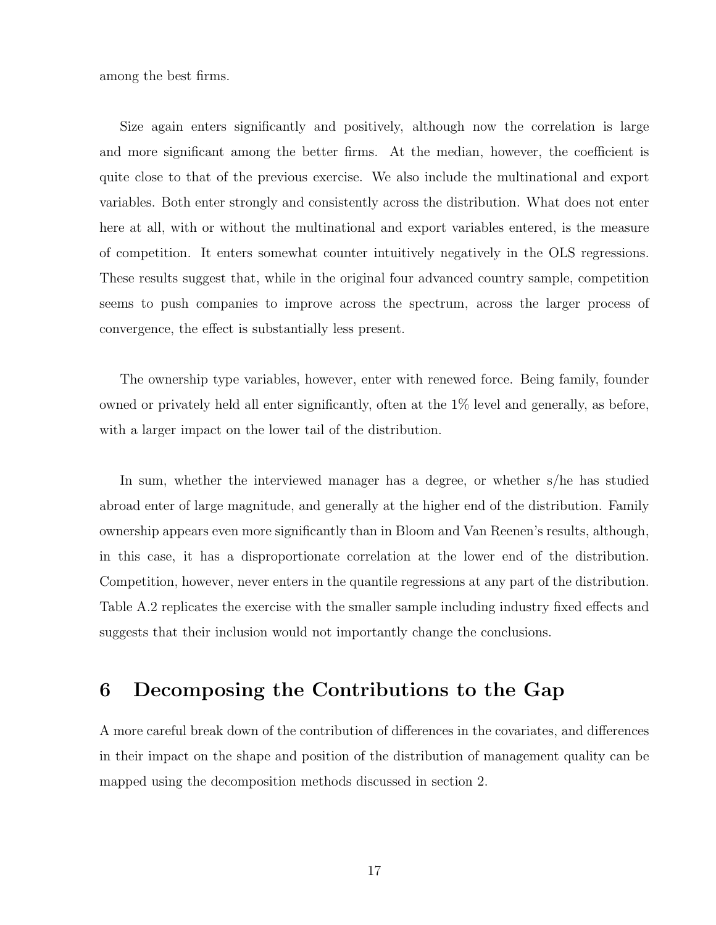among the best firms.

Size again enters significantly and positively, although now the correlation is large and more significant among the better firms. At the median, however, the coefficient is quite close to that of the previous exercise. We also include the multinational and export variables. Both enter strongly and consistently across the distribution. What does not enter here at all, with or without the multinational and export variables entered, is the measure of competition. It enters somewhat counter intuitively negatively in the OLS regressions. These results suggest that, while in the original four advanced country sample, competition seems to push companies to improve across the spectrum, across the larger process of convergence, the effect is substantially less present.

The ownership type variables, however, enter with renewed force. Being family, founder owned or privately held all enter significantly, often at the 1% level and generally, as before, with a larger impact on the lower tail of the distribution.

In sum, whether the interviewed manager has a degree, or whether s/he has studied abroad enter of large magnitude, and generally at the higher end of the distribution. Family ownership appears even more significantly than in Bloom and Van Reenen's results, although, in this case, it has a disproportionate correlation at the lower end of the distribution. Competition, however, never enters in the quantile regressions at any part of the distribution. Table A.2 replicates the exercise with the smaller sample including industry fixed effects and suggests that their inclusion would not importantly change the conclusions.

### 6 Decomposing the Contributions to the Gap

A more careful break down of the contribution of differences in the covariates, and differences in their impact on the shape and position of the distribution of management quality can be mapped using the decomposition methods discussed in section 2.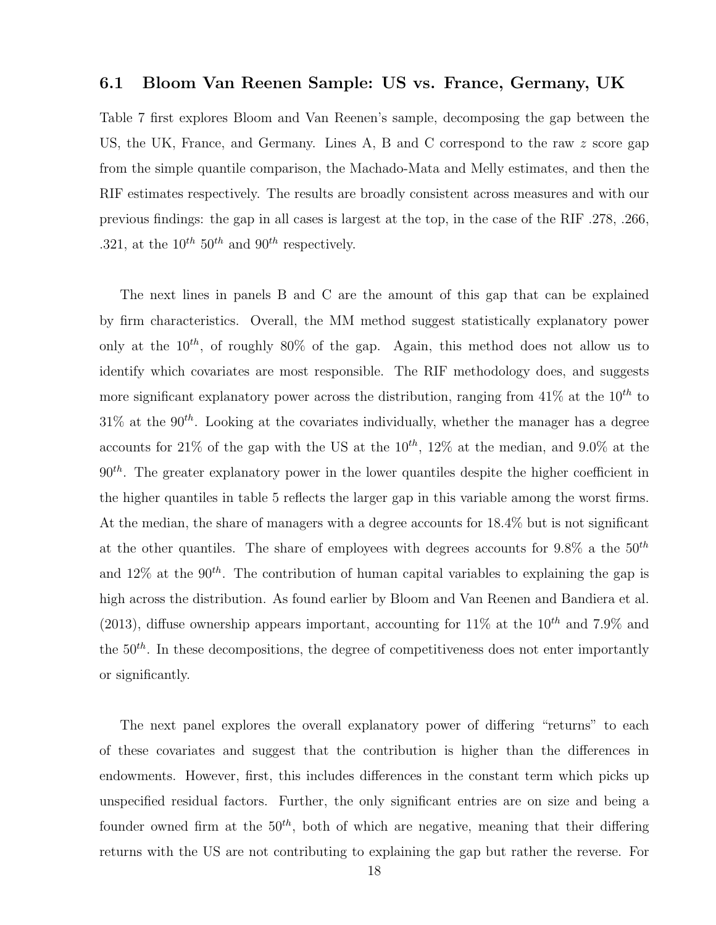#### 6.1 Bloom Van Reenen Sample: US vs. France, Germany, UK

Table 7 first explores Bloom and Van Reenen's sample, decomposing the gap between the US, the UK, France, and Germany. Lines A, B and C correspond to the raw z score gap from the simple quantile comparison, the Machado-Mata and Melly estimates, and then the RIF estimates respectively. The results are broadly consistent across measures and with our previous findings: the gap in all cases is largest at the top, in the case of the RIF .278, .266, .321, at the  $10^{th}$  50<sup>th</sup> and 90<sup>th</sup> respectively.

The next lines in panels B and C are the amount of this gap that can be explained by firm characteristics. Overall, the MM method suggest statistically explanatory power only at the  $10^{th}$ , of roughly 80% of the gap. Again, this method does not allow us to identify which covariates are most responsible. The RIF methodology does, and suggests more significant explanatory power across the distribution, ranging from  $41\%$  at the  $10^{th}$  to  $31\%$  at the  $90<sup>th</sup>$ . Looking at the covariates individually, whether the manager has a degree accounts for 21% of the gap with the US at the  $10^{th}$ , 12% at the median, and 9.0% at the  $90<sup>th</sup>$ . The greater explanatory power in the lower quantiles despite the higher coefficient in the higher quantiles in table 5 reflects the larger gap in this variable among the worst firms. At the median, the share of managers with a degree accounts for 18.4% but is not significant at the other quantiles. The share of employees with degrees accounts for  $9.8\%$  a the  $50<sup>th</sup>$ and 12% at the 90<sup>th</sup>. The contribution of human capital variables to explaining the gap is high across the distribution. As found earlier by Bloom and Van Reenen and [Bandiera et al.](#page-27-7) [\(2013\)](#page-27-7), diffuse ownership appears important, accounting for  $11\%$  at the  $10^{th}$  and 7.9% and the  $50<sup>th</sup>$ . In these decompositions, the degree of competitiveness does not enter importantly or significantly.

The next panel explores the overall explanatory power of differing "returns" to each of these covariates and suggest that the contribution is higher than the differences in endowments. However, first, this includes differences in the constant term which picks up unspecified residual factors. Further, the only significant entries are on size and being a founder owned firm at the  $50<sup>th</sup>$ , both of which are negative, meaning that their differing returns with the US are not contributing to explaining the gap but rather the reverse. For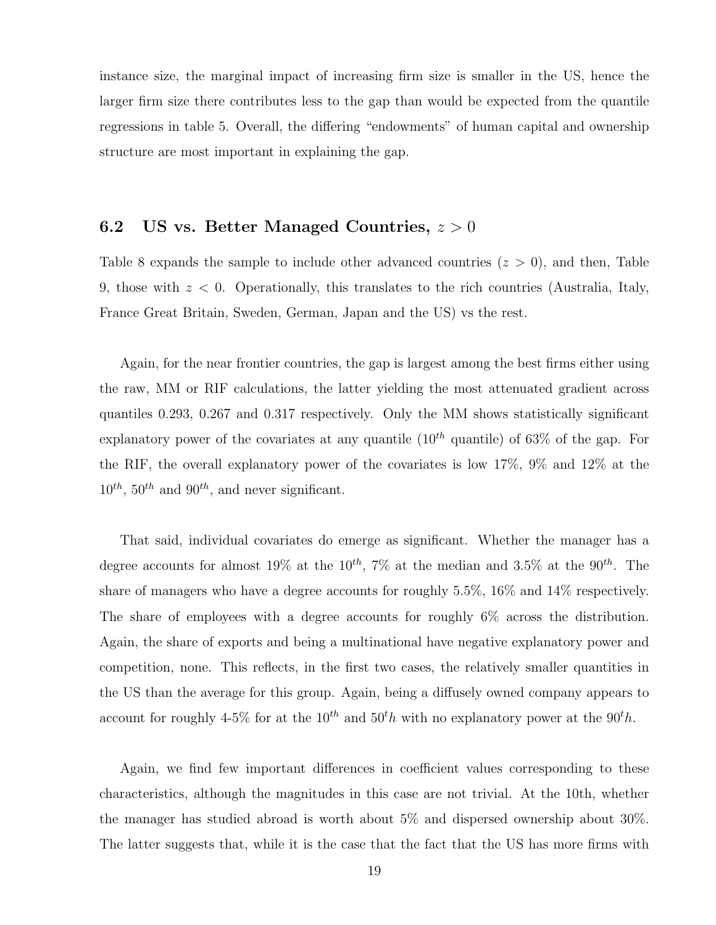instance size, the marginal impact of increasing firm size is smaller in the US, hence the larger firm size there contributes less to the gap than would be expected from the quantile regressions in table 5. Overall, the differing "endowments" of human capital and ownership structure are most important in explaining the gap.

### 6.2 US vs. Better Managed Countries,  $z > 0$

Table 8 expands the sample to include other advanced countries  $(z > 0)$ , and then, Table 9, those with  $z < 0$ . Operationally, this translates to the rich countries (Australia, Italy, France Great Britain, Sweden, German, Japan and the US) vs the rest.

Again, for the near frontier countries, the gap is largest among the best firms either using the raw, MM or RIF calculations, the latter yielding the most attenuated gradient across quantiles 0.293, 0.267 and 0.317 respectively. Only the MM shows statistically significant explanatory power of the covariates at any quantile  $(10^{th}$  quantile) of 63\% of the gap. For the RIF, the overall explanatory power of the covariates is low 17%, 9% and 12% at the  $10^{th}$ ,  $50^{th}$  and  $90^{th}$ , and never significant.

That said, individual covariates do emerge as significant. Whether the manager has a degree accounts for almost 19% at the 10<sup>th</sup>, 7% at the median and 3.5% at the 90<sup>th</sup>. The share of managers who have a degree accounts for roughly 5.5%, 16% and 14% respectively. The share of employees with a degree accounts for roughly 6% across the distribution. Again, the share of exports and being a multinational have negative explanatory power and competition, none. This reflects, in the first two cases, the relatively smaller quantities in the US than the average for this group. Again, being a diffusely owned company appears to account for roughly 4-5% for at the  $10^{th}$  and  $50^{th}$  with no explanatory power at the  $90^{th}$ .

Again, we find few important differences in coefficient values corresponding to these characteristics, although the magnitudes in this case are not trivial. At the 10th, whether the manager has studied abroad is worth about 5% and dispersed ownership about 30%. The latter suggests that, while it is the case that the fact that the US has more firms with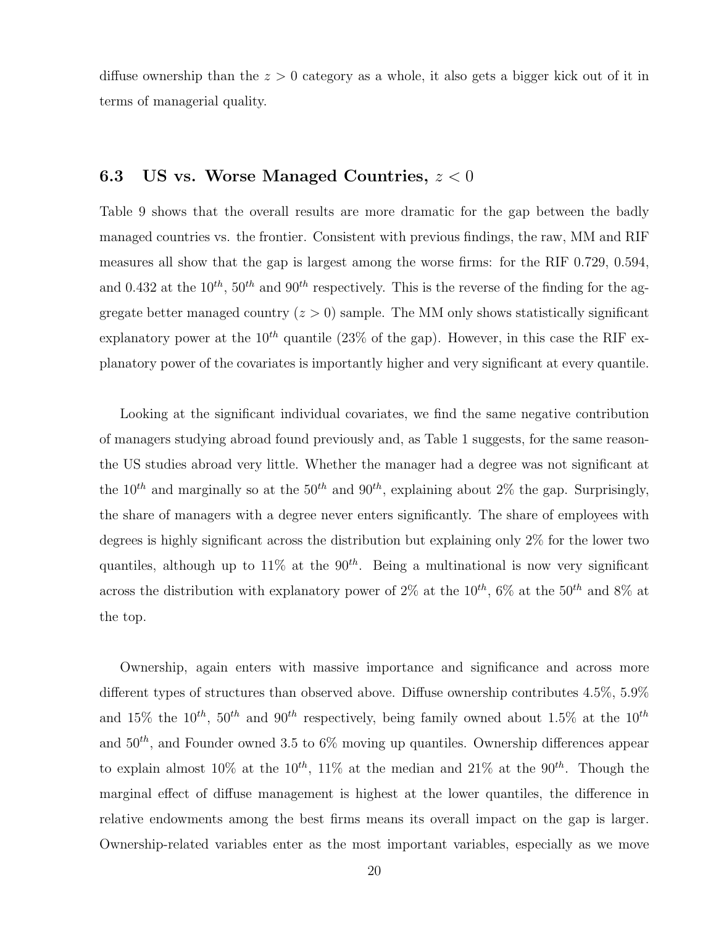diffuse ownership than the  $z > 0$  category as a whole, it also gets a bigger kick out of it in terms of managerial quality.

### 6.3 US vs. Worse Managed Countries,  $z < 0$

Table 9 shows that the overall results are more dramatic for the gap between the badly managed countries vs. the frontier. Consistent with previous findings, the raw, MM and RIF measures all show that the gap is largest among the worse firms: for the RIF 0.729, 0.594, and 0.432 at the  $10^{th}$ ,  $50^{th}$  and  $90^{th}$  respectively. This is the reverse of the finding for the aggregate better managed country  $(z > 0)$  sample. The MM only shows statistically significant explanatory power at the  $10^{th}$  quantile (23% of the gap). However, in this case the RIF explanatory power of the covariates is importantly higher and very significant at every quantile.

Looking at the significant individual covariates, we find the same negative contribution of managers studying abroad found previously and, as Table 1 suggests, for the same reasonthe US studies abroad very little. Whether the manager had a degree was not significant at the 10<sup>th</sup> and marginally so at the 50<sup>th</sup> and 90<sup>th</sup>, explaining about 2\% the gap. Surprisingly, the share of managers with a degree never enters significantly. The share of employees with degrees is highly significant across the distribution but explaining only 2% for the lower two quantiles, although up to  $11\%$  at the  $90^{th}$ . Being a multinational is now very significant across the distribution with explanatory power of 2% at the 10<sup>th</sup>, 6% at the 50<sup>th</sup> and 8% at the top.

Ownership, again enters with massive importance and significance and across more different types of structures than observed above. Diffuse ownership contributes 4.5%, 5.9% and 15% the  $10^{th}$ ,  $50^{th}$  and  $90^{th}$  respectively, being family owned about 1.5% at the  $10^{th}$ and  $50<sup>th</sup>$ , and Founder owned 3.5 to 6\% moving up quantiles. Ownership differences appear to explain almost 10% at the 10<sup>th</sup>, 11% at the median and 21% at the 90<sup>th</sup>. Though the marginal effect of diffuse management is highest at the lower quantiles, the difference in relative endowments among the best firms means its overall impact on the gap is larger. Ownership-related variables enter as the most important variables, especially as we move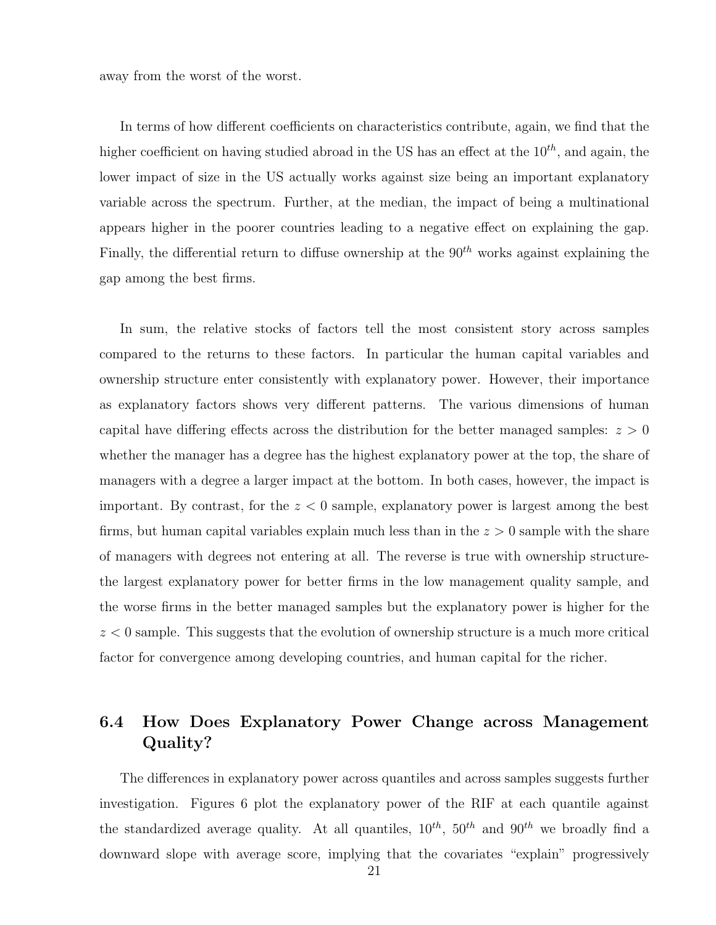away from the worst of the worst.

In terms of how different coefficients on characteristics contribute, again, we find that the higher coefficient on having studied abroad in the US has an effect at the  $10^{th}$ , and again, the lower impact of size in the US actually works against size being an important explanatory variable across the spectrum. Further, at the median, the impact of being a multinational appears higher in the poorer countries leading to a negative effect on explaining the gap. Finally, the differential return to diffuse ownership at the  $90<sup>th</sup>$  works against explaining the gap among the best firms.

In sum, the relative stocks of factors tell the most consistent story across samples compared to the returns to these factors. In particular the human capital variables and ownership structure enter consistently with explanatory power. However, their importance as explanatory factors shows very different patterns. The various dimensions of human capital have differing effects across the distribution for the better managed samples:  $z > 0$ whether the manager has a degree has the highest explanatory power at the top, the share of managers with a degree a larger impact at the bottom. In both cases, however, the impact is important. By contrast, for the  $z < 0$  sample, explanatory power is largest among the best firms, but human capital variables explain much less than in the  $z > 0$  sample with the share of managers with degrees not entering at all. The reverse is true with ownership structurethe largest explanatory power for better firms in the low management quality sample, and the worse firms in the better managed samples but the explanatory power is higher for the  $z < 0$  sample. This suggests that the evolution of ownership structure is a much more critical factor for convergence among developing countries, and human capital for the richer.

#### 6.4 How Does Explanatory Power Change across Management Quality?

The differences in explanatory power across quantiles and across samples suggests further investigation. Figures 6 plot the explanatory power of the RIF at each quantile against the standardized average quality. At all quantiles,  $10^{th}$ ,  $50^{th}$  and  $90^{th}$  we broadly find a downward slope with average score, implying that the covariates "explain" progressively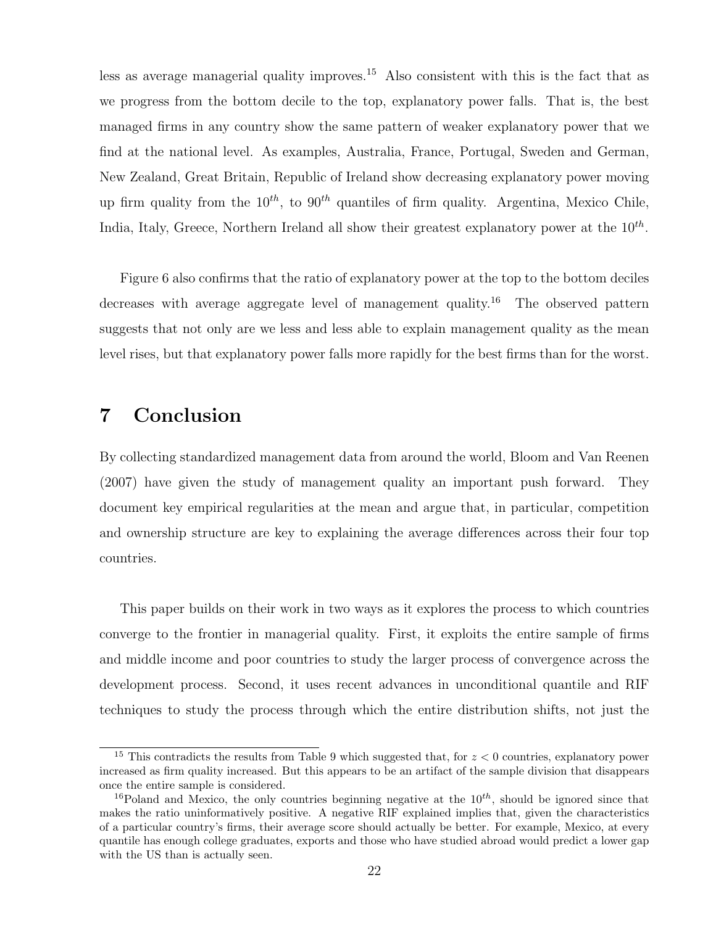less as average managerial quality improves.<sup>[15](#page-24-0)</sup> Also consistent with this is the fact that as we progress from the bottom decile to the top, explanatory power falls. That is, the best managed firms in any country show the same pattern of weaker explanatory power that we find at the national level. As examples, Australia, France, Portugal, Sweden and German, New Zealand, Great Britain, Republic of Ireland show decreasing explanatory power moving up firm quality from the  $10^{th}$ , to  $90^{th}$  quantiles of firm quality. Argentina, Mexico Chile, India, Italy, Greece, Northern Ireland all show their greatest explanatory power at the  $10^{th}$ .

Figure 6 also confirms that the ratio of explanatory power at the top to the bottom deciles decreases with average aggregate level of management quality.[16](#page-24-1) The observed pattern suggests that not only are we less and less able to explain management quality as the mean level rises, but that explanatory power falls more rapidly for the best firms than for the worst.

### 7 Conclusion

By collecting standardized management data from around the world, [Bloom and Van Reenen](#page-27-0) [\(2007\)](#page-27-0) have given the study of management quality an important push forward. They document key empirical regularities at the mean and argue that, in particular, competition and ownership structure are key to explaining the average differences across their four top countries.

This paper builds on their work in two ways as it explores the process to which countries converge to the frontier in managerial quality. First, it exploits the entire sample of firms and middle income and poor countries to study the larger process of convergence across the development process. Second, it uses recent advances in unconditional quantile and RIF techniques to study the process through which the entire distribution shifts, not just the

<span id="page-24-0"></span><sup>&</sup>lt;sup>15</sup> This contradicts the results from Table 9 which suggested that, for  $z < 0$  countries, explanatory power increased as firm quality increased. But this appears to be an artifact of the sample division that disappears once the entire sample is considered.

<span id="page-24-1"></span><sup>&</sup>lt;sup>16</sup>Poland and Mexico, the only countries beginning negative at the  $10^{th}$ , should be ignored since that makes the ratio uninformatively positive. A negative RIF explained implies that, given the characteristics of a particular country's firms, their average score should actually be better. For example, Mexico, at every quantile has enough college graduates, exports and those who have studied abroad would predict a lower gap with the US than is actually seen.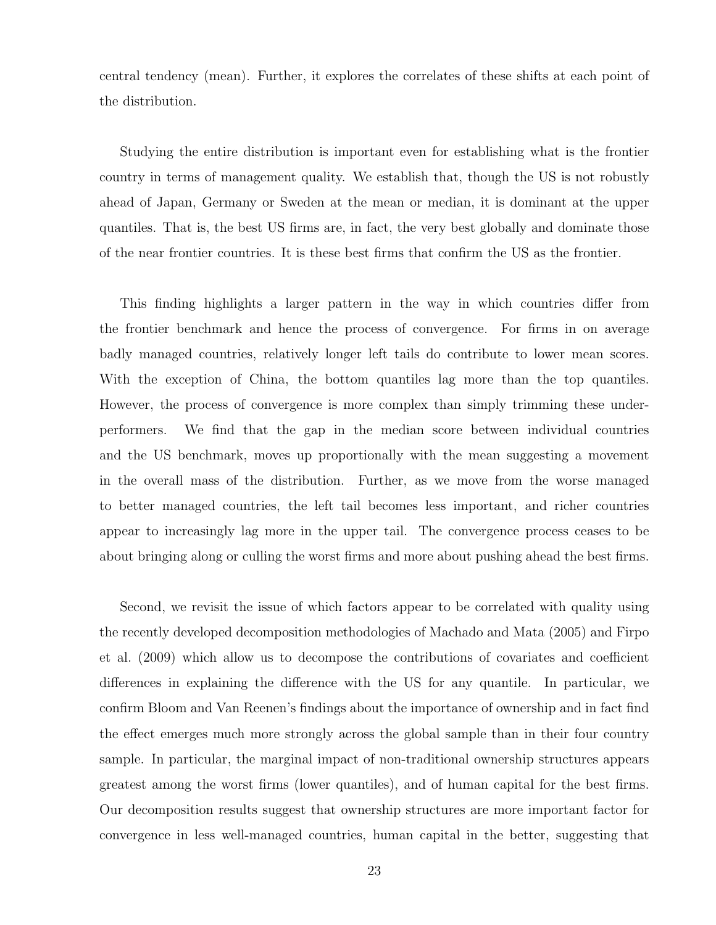central tendency (mean). Further, it explores the correlates of these shifts at each point of the distribution.

Studying the entire distribution is important even for establishing what is the frontier country in terms of management quality. We establish that, though the US is not robustly ahead of Japan, Germany or Sweden at the mean or median, it is dominant at the upper quantiles. That is, the best US firms are, in fact, the very best globally and dominate those of the near frontier countries. It is these best firms that confirm the US as the frontier.

This finding highlights a larger pattern in the way in which countries differ from the frontier benchmark and hence the process of convergence. For firms in on average badly managed countries, relatively longer left tails do contribute to lower mean scores. With the exception of China, the bottom quantiles lag more than the top quantiles. However, the process of convergence is more complex than simply trimming these underperformers. We find that the gap in the median score between individual countries and the US benchmark, moves up proportionally with the mean suggesting a movement in the overall mass of the distribution. Further, as we move from the worse managed to better managed countries, the left tail becomes less important, and richer countries appear to increasingly lag more in the upper tail. The convergence process ceases to be about bringing along or culling the worst firms and more about pushing ahead the best firms.

Second, we revisit the issue of which factors appear to be correlated with quality using the recently developed decomposition methodologies of [Machado and Mata](#page-28-0) [\(2005\)](#page-28-0) and [Firpo](#page-27-2) [et al.](#page-27-2) [\(2009\)](#page-27-2) which allow us to decompose the contributions of covariates and coefficient differences in explaining the difference with the US for any quantile. In particular, we confirm Bloom and Van Reenen's findings about the importance of ownership and in fact find the effect emerges much more strongly across the global sample than in their four country sample. In particular, the marginal impact of non-traditional ownership structures appears greatest among the worst firms (lower quantiles), and of human capital for the best firms. Our decomposition results suggest that ownership structures are more important factor for convergence in less well-managed countries, human capital in the better, suggesting that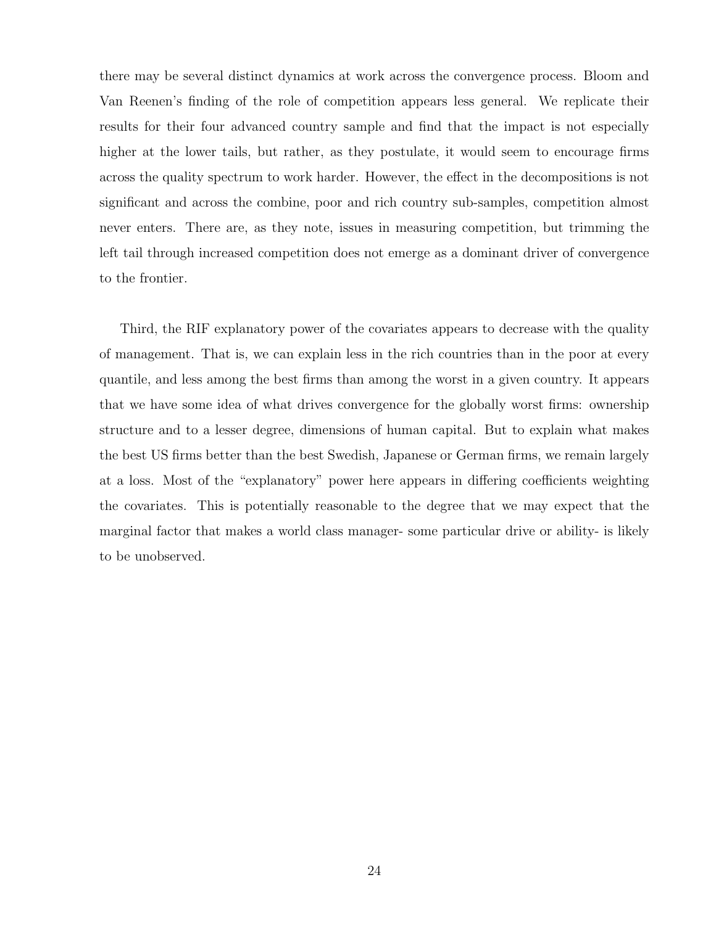there may be several distinct dynamics at work across the convergence process. Bloom and Van Reenen's finding of the role of competition appears less general. We replicate their results for their four advanced country sample and find that the impact is not especially higher at the lower tails, but rather, as they postulate, it would seem to encourage firms across the quality spectrum to work harder. However, the effect in the decompositions is not significant and across the combine, poor and rich country sub-samples, competition almost never enters. There are, as they note, issues in measuring competition, but trimming the left tail through increased competition does not emerge as a dominant driver of convergence to the frontier.

Third, the RIF explanatory power of the covariates appears to decrease with the quality of management. That is, we can explain less in the rich countries than in the poor at every quantile, and less among the best firms than among the worst in a given country. It appears that we have some idea of what drives convergence for the globally worst firms: ownership structure and to a lesser degree, dimensions of human capital. But to explain what makes the best US firms better than the best Swedish, Japanese or German firms, we remain largely at a loss. Most of the "explanatory" power here appears in differing coefficients weighting the covariates. This is potentially reasonable to the degree that we may expect that the marginal factor that makes a world class manager- some particular drive or ability- is likely to be unobserved.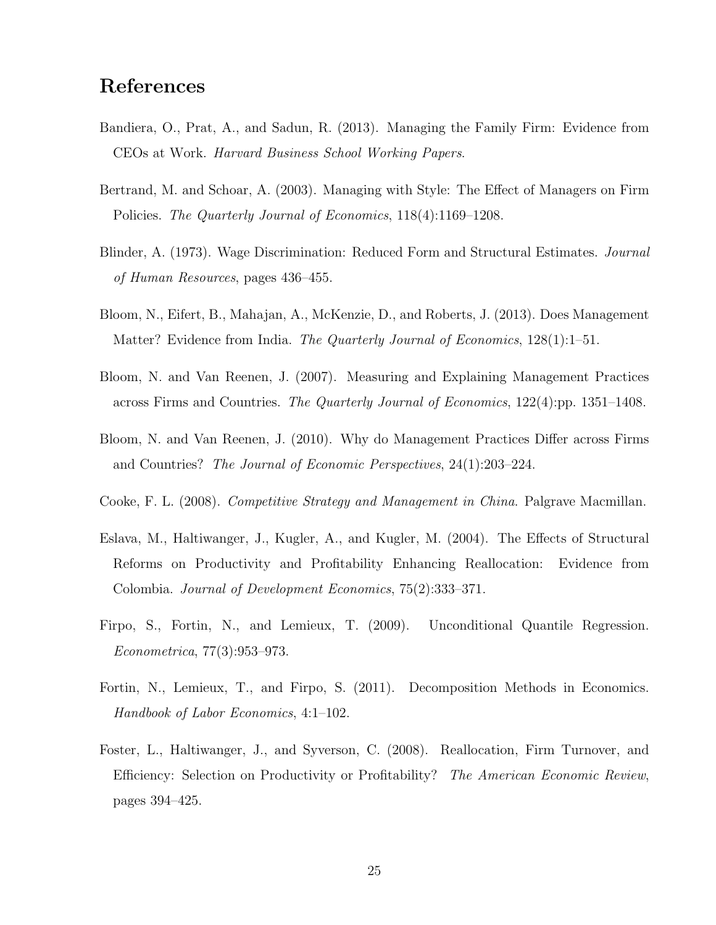### References

- <span id="page-27-7"></span>Bandiera, O., Prat, A., and Sadun, R. (2013). Managing the Family Firm: Evidence from CEOs at Work. Harvard Business School Working Papers.
- <span id="page-27-3"></span>Bertrand, M. and Schoar, A. (2003). Managing with Style: The Effect of Managers on Firm Policies. The Quarterly Journal of Economics, 118(4):1169–1208.
- <span id="page-27-8"></span>Blinder, A. (1973). Wage Discrimination: Reduced Form and Structural Estimates. Journal of Human Resources, pages 436–455.
- <span id="page-27-4"></span>Bloom, N., Eifert, B., Mahajan, A., McKenzie, D., and Roberts, J. (2013). Does Management Matter? Evidence from India. *The Quarterly Journal of Economics*, 128(1):1–51.
- <span id="page-27-0"></span>Bloom, N. and Van Reenen, J. (2007). Measuring and Explaining Management Practices across Firms and Countries. The Quarterly Journal of Economics, 122(4):pp. 1351–1408.
- <span id="page-27-1"></span>Bloom, N. and Van Reenen, J. (2010). Why do Management Practices Differ across Firms and Countries? The Journal of Economic Perspectives, 24(1):203–224.
- <span id="page-27-10"></span>Cooke, F. L. (2008). Competitive Strategy and Management in China. Palgrave Macmillan.
- <span id="page-27-5"></span>Eslava, M., Haltiwanger, J., Kugler, A., and Kugler, M. (2004). The Effects of Structural Reforms on Productivity and Profitability Enhancing Reallocation: Evidence from Colombia. Journal of Development Economics, 75(2):333–371.
- <span id="page-27-2"></span>Firpo, S., Fortin, N., and Lemieux, T. (2009). Unconditional Quantile Regression. Econometrica, 77(3):953–973.
- <span id="page-27-9"></span>Fortin, N., Lemieux, T., and Firpo, S. (2011). Decomposition Methods in Economics. Handbook of Labor Economics, 4:1–102.
- <span id="page-27-6"></span>Foster, L., Haltiwanger, J., and Syverson, C. (2008). Reallocation, Firm Turnover, and Efficiency: Selection on Productivity or Profitability? The American Economic Review, pages 394–425.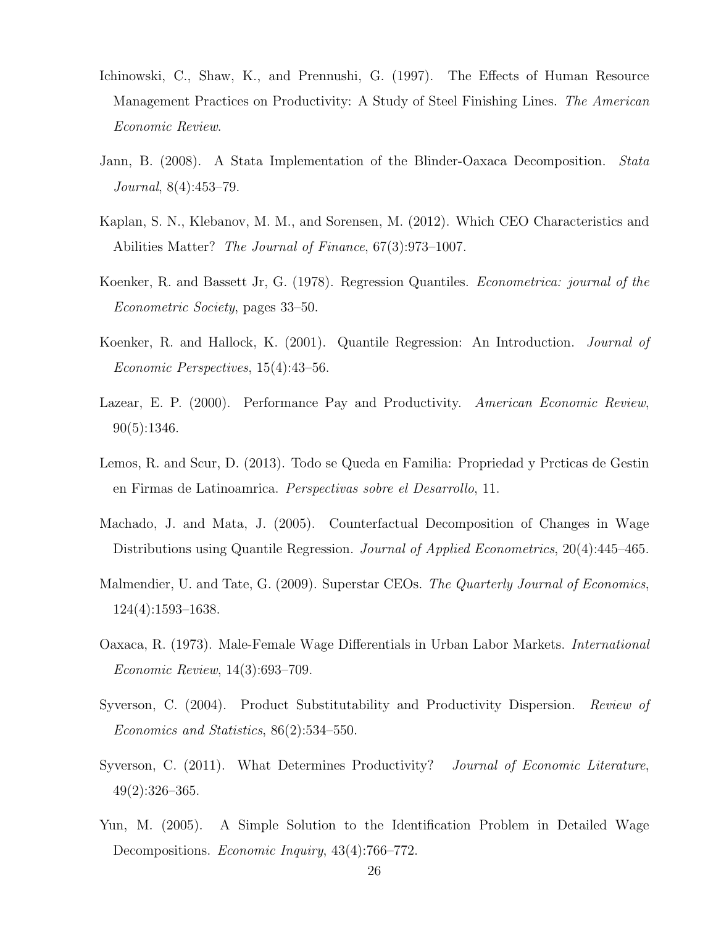- <span id="page-28-4"></span>Ichinowski, C., Shaw, K., and Prennushi, G. (1997). The Effects of Human Resource Management Practices on Productivity: A Study of Steel Finishing Lines. The American Economic Review.
- <span id="page-28-12"></span>Jann, B. (2008). A Stata Implementation of the Blinder-Oaxaca Decomposition. Stata Journal, 8(4):453–79.
- <span id="page-28-2"></span>Kaplan, S. N., Klebanov, M. M., and Sorensen, M. (2012). Which CEO Characteristics and Abilities Matter? The Journal of Finance, 67(3):973–1007.
- <span id="page-28-8"></span>Koenker, R. and Bassett Jr, G. (1978). Regression Quantiles. Econometrica: journal of the Econometric Society, pages 33–50.
- <span id="page-28-9"></span>Koenker, R. and Hallock, K. (2001). Quantile Regression: An Introduction. Journal of Economic Perspectives, 15(4):43–56.
- <span id="page-28-5"></span>Lazear, E. P. (2000). Performance Pay and Productivity. American Economic Review, 90(5):1346.
- <span id="page-28-7"></span>Lemos, R. and Scur, D. (2013). Todo se Queda en Familia: Propriedad y Prcticas de Gestin en Firmas de Latinoamrica. Perspectivas sobre el Desarrollo, 11.
- <span id="page-28-0"></span>Machado, J. and Mata, J. (2005). Counterfactual Decomposition of Changes in Wage Distributions using Quantile Regression. *Journal of Applied Econometrics*, 20(4):445–465.
- <span id="page-28-3"></span>Malmendier, U. and Tate, G. (2009). Superstar CEOs. The Quarterly Journal of Economics, 124(4):1593–1638.
- <span id="page-28-10"></span>Oaxaca, R. (1973). Male-Female Wage Differentials in Urban Labor Markets. International Economic Review, 14(3):693–709.
- <span id="page-28-6"></span>Syverson, C. (2004). Product Substitutability and Productivity Dispersion. Review of Economics and Statistics, 86(2):534–550.
- <span id="page-28-1"></span>Syverson, C. (2011). What Determines Productivity? *Journal of Economic Literature*, 49(2):326–365.
- <span id="page-28-11"></span>Yun, M. (2005). A Simple Solution to the Identification Problem in Detailed Wage Decompositions. Economic Inquiry, 43(4):766–772.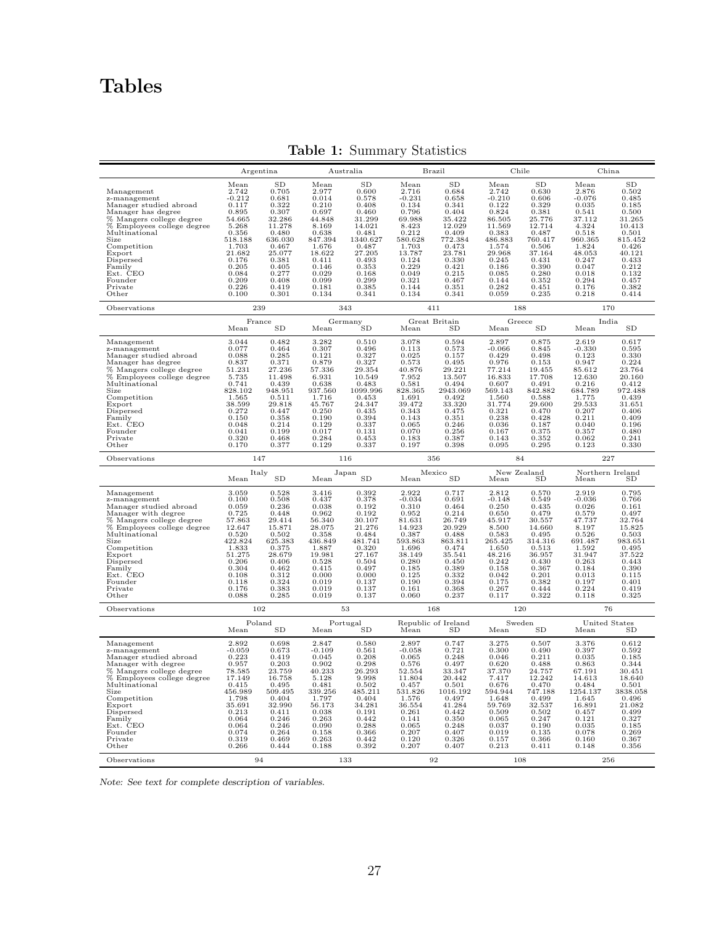# Tables

|                                                                                                                                                                                                                                                           | Argentina                                                                                                                                                   |                                                                                                                                                                |                                                                                                                                                          | Australia                                                                                                                                                       |                                                                                                                                                             | Brazil                                                                                                                                                  |                                                                                                                                                              | Chile                                                                                                                                                   |                                                                                                                                                             | China                                                                                                                                                                            |
|-----------------------------------------------------------------------------------------------------------------------------------------------------------------------------------------------------------------------------------------------------------|-------------------------------------------------------------------------------------------------------------------------------------------------------------|----------------------------------------------------------------------------------------------------------------------------------------------------------------|----------------------------------------------------------------------------------------------------------------------------------------------------------|-----------------------------------------------------------------------------------------------------------------------------------------------------------------|-------------------------------------------------------------------------------------------------------------------------------------------------------------|---------------------------------------------------------------------------------------------------------------------------------------------------------|--------------------------------------------------------------------------------------------------------------------------------------------------------------|---------------------------------------------------------------------------------------------------------------------------------------------------------|-------------------------------------------------------------------------------------------------------------------------------------------------------------|----------------------------------------------------------------------------------------------------------------------------------------------------------------------------------|
| Management<br>z-management<br>Manager studied abroad<br>Manager has degree<br>% Mangers college degree<br>% Employees college degree<br>Multinational<br>Size<br>Competition<br>Export<br>Dispersed<br>Family<br>Ext. CEO<br>Founder<br>Private<br>Other  | Mean<br>2.742<br>$-0.212$<br>0.117<br>0.895<br>54.665<br>5.268<br>0.356<br>518.188<br>1.703<br>21.682<br>0.176<br>0.205<br>0.084<br>0.209<br>0.226<br>0.100 | <b>SD</b><br>0.705<br>0.681<br>0.322<br>0.307<br>32.286<br>11.278<br>0.480<br>636.030<br>0.467<br>25.077<br>0.381<br>0.405<br>0.277<br>0.408<br>0.419<br>0.301 | Mean<br>2.977<br>0.014<br>0.210<br>0.697<br>44.848<br>8.169<br>0.638<br>847.394<br>1.676<br>18.622<br>0.411<br>0.146<br>0.029<br>0.099<br>0.181<br>0.134 | <b>SD</b><br>0.600<br>0.578<br>0.408<br>0.460<br>31.299<br>14.021<br>0.481<br>1340.627<br>0.487<br>27.205<br>0.493<br>0.353<br>0.168<br>0.299<br>0.385<br>0.341 | Mean<br>2.716<br>$-0.231$<br>0.134<br>0.796<br>69.988<br>8.423<br>0.212<br>580.628<br>1.703<br>13.787<br>0.124<br>0.229<br>0.049<br>0.321<br>0.144<br>0.134 | SD<br>0.684<br>0.658<br>0.341<br>0.404<br>35.422<br>12.029<br>0.409<br>772.384<br>0.473<br>23.781<br>0.330<br>0.421<br>0.215<br>0.467<br>0.351<br>0.341 | Mean<br>2.742<br>$-0.210$<br>0.122<br>0.824<br>86.505<br>11.569<br>0.383<br>486.883<br>1.574<br>29.968<br>0.245<br>0.186<br>0.085<br>0.144<br>0.282<br>0.059 | SD<br>0.630<br>0.606<br>0.329<br>0.381<br>25.776<br>12.714<br>0.487<br>760.417<br>0.506<br>37.164<br>0.431<br>0.390<br>0.280<br>0.352<br>0.451<br>0.235 | Mean<br>2.876<br>$-0.076$<br>0.035<br>0.541<br>37.112<br>4.324<br>0.518<br>960.365<br>1.824<br>48.053<br>0.247<br>0.047<br>0.018<br>0.294<br>0.176<br>0.218 | SD<br>0.502<br>0.485<br>0.185<br>0.500<br>31.265<br>10.413<br>0.501<br>815.452<br>0.426<br>40.121<br>0.433<br>0.212<br>0.132<br>0.457<br>0.382<br>0.414                          |
| Observations                                                                                                                                                                                                                                              | 239                                                                                                                                                         |                                                                                                                                                                |                                                                                                                                                          | 343                                                                                                                                                             |                                                                                                                                                             | 411                                                                                                                                                     | 188                                                                                                                                                          |                                                                                                                                                         |                                                                                                                                                             | 170                                                                                                                                                                              |
|                                                                                                                                                                                                                                                           | $\ensuremath{\mathsf{France}}\xspace$<br>Mean                                                                                                               | SD                                                                                                                                                             | Mean                                                                                                                                                     | Germany<br>'SD                                                                                                                                                  | Mean                                                                                                                                                        | Great Britain<br>SD                                                                                                                                     | Mean                                                                                                                                                         | Greece<br>SD                                                                                                                                            | Mean                                                                                                                                                        | India<br>SD                                                                                                                                                                      |
| Management<br>z-management<br>Manager studied abroad<br>Manager has degree<br>% Mangers college degree<br>% Employees college degree<br>Multinational<br>Size<br>Competition<br>Export<br>Dispersed<br>Family<br>Ext. CEO<br>Founder<br>Private<br>Other  | 3.044<br>0.077<br>0.088<br>0.837<br>51.231<br>5.735<br>0.741<br>828.102<br>1.565<br>38.599<br>0.272<br>0.150<br>0.048<br>0.041<br>0.320<br>0.170            | 0.482<br>0.464<br>0.285<br>0.371<br>27.236<br>11.498<br>0.439<br>948.951<br>0.511<br>29.818<br>0.447<br>0.358<br>0.214<br>0.199<br>0.468<br>0.377              | 3.282<br>0.307<br>0.121<br>0.879<br>57.336<br>6.931<br>0.638<br>937.560<br>1.716<br>45.767<br>0.250<br>0.190<br>0.129<br>0.017<br>0.284<br>0.129         | 0.510<br>0.496<br>0.327<br>0.327<br>29.354<br>10.549<br>0.483<br>1099.996<br>0.453<br>24.347<br>0.435<br>0.394<br>0.337<br>0.131<br>0.453<br>0.337              | 3.078<br>0.113<br>0.025<br>0.573<br>40.876<br>7.952<br>0.581<br>828.365<br>1.691<br>39.472<br>0.343<br>0.143<br>0.065<br>0.070<br>0.183<br>0.197            | 0.594<br>0.573<br>0.157<br>0.495<br>29.221<br>13.507<br>0.494<br>2943.069<br>0.492<br>33.320<br>0.475<br>0.351<br>0.246<br>0.256<br>0.387<br>0.398      | 2.897<br>$-0.066$<br>0.429<br>0.976<br>77.214<br>16.833<br>0.607<br>569.143<br>1.560<br>31.774<br>0.321<br>0.238<br>0.036<br>0.167<br>0.143<br>0.095         | 0.875<br>0.845<br>0.498<br>0.153<br>19.455<br>17.708<br>0.491<br>842.882<br>0.588<br>29.600<br>0.470<br>0.428<br>0.187<br>0.375<br>0.352<br>0.295       | 2.619<br>$-0.330$<br>0.123<br>0.947<br>85.612<br>12.630<br>0.216<br>684.789<br>1.775<br>29.533<br>0.207<br>0.211<br>0.040<br>0.357<br>0.062<br>0.123        | 0.617<br>0.595<br>0.330<br>0.224<br>23.764<br>20.160<br>0.412<br>972.488<br>0.439<br>31.651<br>0.406<br>0.409<br>0.196<br>0.480<br>0.241<br>0.330                                |
| Observations                                                                                                                                                                                                                                              | 147                                                                                                                                                         |                                                                                                                                                                |                                                                                                                                                          | 116                                                                                                                                                             |                                                                                                                                                             | 356                                                                                                                                                     |                                                                                                                                                              | 84                                                                                                                                                      |                                                                                                                                                             | 227                                                                                                                                                                              |
|                                                                                                                                                                                                                                                           | Italy<br>Mean                                                                                                                                               | <b>SD</b>                                                                                                                                                      | Mean                                                                                                                                                     | Japan<br><b>SD</b>                                                                                                                                              | Mean                                                                                                                                                        | Mexico<br><b>SD</b>                                                                                                                                     | Mean                                                                                                                                                         | New Zealand<br>SD                                                                                                                                       | Northern Ireland<br>Mean                                                                                                                                    | SD.                                                                                                                                                                              |
| Management<br>z-management<br>Manager studied abroad<br>Manager with degree<br>% Mangers college degree<br>% Employees college degree<br>Multinational<br>Size<br>Competition<br>Export<br>Dispersed<br>Family<br>Ext. CEO<br>Founder<br>Private<br>Other | 3.059<br>0.100<br>0.059<br>0.725<br>57.863<br>12.647<br>0.520<br>422.824<br>1.833<br>51.275<br>0.206<br>0.304<br>0.108<br>0.118<br>0.176<br>0.088           | 0.528<br>0.508<br>0.236<br>0.448<br>29.414<br>15.871<br>0.502<br>625.383<br>0.375<br>28.679<br>0.406<br>0.462<br>0.312<br>0.324<br>0.383<br>0.285              | 3.416<br>0.437<br>0.038<br>0.962<br>56.340<br>28.075<br>0.358<br>436.849<br>1.887<br>19.981<br>0.528<br>0.415<br>0.000<br>0.019<br>$_{0.019}$<br>0.019   | 0.392<br>$_{0.378}$<br>0.192<br>0.192<br>30.107<br>21.276<br>0.484<br>481.741<br>0.320<br>27.167<br>0.504<br>0.497<br>0.000<br>0.137<br>0.137<br>0.137          | 2.922<br>$-0.034$<br>0.310<br>0.952<br>81.631<br>14.923<br>0.387<br>593.863<br>1.696<br>38.149<br>0.280<br>0.185<br>0.125<br>0.190<br>0.161<br>0.060        | 0.717<br>0.691<br>0.464<br>0.214<br>26.749<br>20.929<br>0.488<br>863.811<br>0.474<br>35.541<br>0.450<br>0.389<br>0.332<br>0.394<br>0.368<br>0.237       | 2.812<br>$-0.148$<br>0.250<br>0.650<br>45.917<br>8.500<br>0.583<br>265.425<br>1.650<br>48.216<br>0.242<br>0.158<br>0.042<br>0.175<br>0.267<br>0.117          | 0.570<br>0.549<br>0.435<br>0.479<br>30.557<br>14.660<br>0.495<br>314.316<br>0.513<br>36.957<br>0.430<br>0.367<br>0.201<br>0.382<br>0.444<br>0.322       | 2.919<br>$-0.036$<br>0.026<br>0.579<br>47.737<br>8.197<br>0.526<br>691.487<br>1.592<br>31.947<br>0.263<br>0.184<br>0.013<br>0.197<br>0.224<br>0.118         | $\begin{array}{c} 0.795 \\ 0.766 \end{array}$<br>0.161<br>0.497<br>32.764<br>15.825<br>0.503<br>983.651<br>0.495<br>37.522<br>0.443<br>0.390<br>0.115<br>0.401<br>0.419<br>0.325 |
| Observations                                                                                                                                                                                                                                              | 102                                                                                                                                                         |                                                                                                                                                                |                                                                                                                                                          | 53                                                                                                                                                              |                                                                                                                                                             | 168                                                                                                                                                     |                                                                                                                                                              | 120                                                                                                                                                     |                                                                                                                                                             | 76                                                                                                                                                                               |
|                                                                                                                                                                                                                                                           | Poland<br>Mean                                                                                                                                              | SD                                                                                                                                                             | Mean                                                                                                                                                     | Portugal<br><b>SD</b>                                                                                                                                           | Mean                                                                                                                                                        | Republic of Ireland<br>SD                                                                                                                               | Mean                                                                                                                                                         | Sweden<br>SD                                                                                                                                            | Mean                                                                                                                                                        | United States<br>SD                                                                                                                                                              |
| Management<br>z-management<br>Manager studied abroad<br>Manager with degree<br>% Mangers college degree<br>% Employees college degree<br>Multinational<br>Size<br>Competition<br>Export<br>Dispersed<br>Family<br>Ext. CEO<br>Founder<br>Private<br>Other | 2.892<br>$-0.059$<br>0.223<br>0.957<br>78.585<br>17.149<br>0.415<br>456.989<br>1.798<br>35.691<br>0.213<br>0.064<br>0.064<br>0.074<br>0.319<br>0.266        | 0.698<br>0.673<br>0.419<br>0.203<br>23.759<br>16.758<br>0.495<br>509.495<br>0.404<br>32.990<br>0.411<br>0.246<br>0.246<br>0.264<br>0.469<br>0.444              | 2.847<br>$-0.109$<br>0.045<br>0.902<br>40.233<br>5.128<br>0.481<br>339.256<br>1.797<br>56.173<br>0.038<br>0.263<br>0.090<br>0.158<br>0.263<br>0.188      | 0.580<br>0.561<br>0.208<br>0.298<br>26.293<br>9.998<br>0.502<br>485.211<br>0.404<br>34.281<br>0.191<br>0.442<br>0.288<br>0.366<br>0.442<br>0.392                | 2.897<br>$-0.058$<br>0.065<br>0.576<br>52.554<br>11.804<br>0.457<br>531.826<br>1.576<br>36.554<br>0.261<br>0.141<br>0.065<br>0.207<br>0.120<br>0.207        | 0.747<br>0.721<br>0.248<br>0.497<br>33.347<br>20.442<br>0.501<br>1016.192<br>0.497<br>41.284<br>0.442<br>0.350<br>0.248<br>0.407<br>0.326<br>0.407      | 3.275<br>0.300<br>0.046<br>0.620<br>37.370<br>7.417<br>0.676<br>594.944<br>1.648<br>59.769<br>0.509<br>0.065<br>0.037<br>0.019<br>0.157<br>0.213             | 0.507<br>0.490<br>0.211<br>0.488<br>24.757<br>12.242<br>$0.470\,$<br>747.188<br>0.499<br>32.537<br>0.502<br>0.247<br>0.190<br>0.135<br>0.366<br>0.411   | 3.376<br>0.397<br>0.035<br>0.863<br>67.191<br>14.613<br>0.484<br>1254.137<br>1.645<br>16.891<br>0.457<br>0.121<br>0.035<br>0.078<br>0.160<br>0.148          | 0.612<br>0.592<br>0.185<br>0.344<br>30.451<br>18.640<br>0.501<br>3838.058<br>0.496<br>21.082<br>0.499<br>0.327<br>0.185<br>0.269<br>0.367<br>0.356                               |
| Observations                                                                                                                                                                                                                                              | 94                                                                                                                                                          |                                                                                                                                                                |                                                                                                                                                          | 133                                                                                                                                                             |                                                                                                                                                             | 92                                                                                                                                                      |                                                                                                                                                              | 108                                                                                                                                                     |                                                                                                                                                             | 256                                                                                                                                                                              |

Table 1: Summary Statistics

Note: See text for complete description of variables.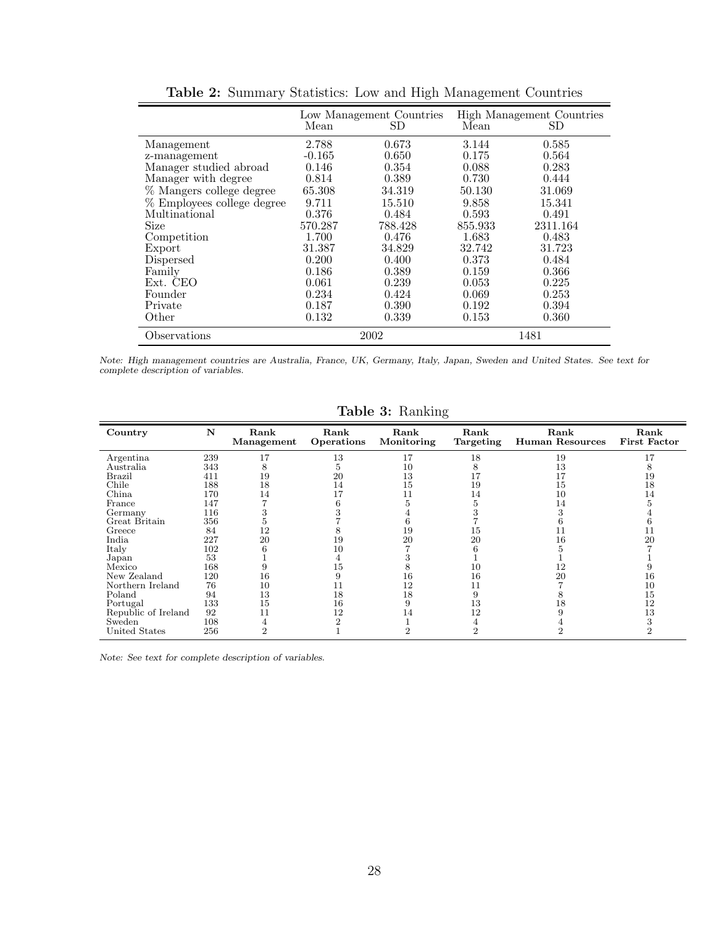|                            | Mean     | Low Management Countries<br>SD | Mean    | High Management Countries<br>SD |
|----------------------------|----------|--------------------------------|---------|---------------------------------|
| Management                 | 2.788    | 0.673                          | 3.144   | 0.585                           |
| z-management               | $-0.165$ | 0.650                          | 0.175   | 0.564                           |
| Manager studied abroad     | 0.146    | 0.354                          | 0.088   | 0.283                           |
| Manager with degree        | 0.814    | 0.389                          | 0.730   | 0.444                           |
| % Mangers college degree   | 65.308   | 34.319                         | 50.130  | 31.069                          |
| % Employees college degree | 9.711    | 15.510                         | 9.858   | 15.341                          |
| Multinational              | 0.376    | 0.484                          | 0.593   | 0.491                           |
| Size                       | 570.287  | 788.428                        | 855.933 | 2311.164                        |
| Competition                | 1.700    | 0.476                          | 1.683   | 0.483                           |
| Export                     | 31.387   | 34.829                         | 32.742  | 31.723                          |
| Dispersed                  | 0.200    | 0.400                          | 0.373   | 0.484                           |
| Family                     | 0.186    | 0.389                          | 0.159   | 0.366                           |
| Ext. CEO                   | 0.061    | 0.239                          | 0.053   | 0.225                           |
| Founder                    | 0.234    | 0.424                          | 0.069   | 0.253                           |
| Private                    | 0.187    | 0.390                          | 0.192   | 0.394                           |
| Other                      | 0.132    | 0.339                          | 0.153   | 0.360                           |
| Observations               | 2002     |                                | 1481    |                                 |

Table 2: Summary Statistics: Low and High Management Countries

Note: High management countries are Australia, France, UK, Germany, Italy, Japan, Sweden and United States. See text for complete description of variables.

|                     |     |                    |                    |                    | ပ                 |                                |                             |
|---------------------|-----|--------------------|--------------------|--------------------|-------------------|--------------------------------|-----------------------------|
| Country             | N   | Rank<br>Management | Rank<br>Operations | Rank<br>Monitoring | Rank<br>Targeting | Rank<br><b>Human Resources</b> | Rank<br><b>First Factor</b> |
| Argentina           | 239 | 17                 | 13                 | 17                 | 18                | 19                             | 17                          |
| Australia           | 343 | 8                  | ð                  | 10                 | 8                 | 13                             | 8                           |
| Brazil              | 411 | 19                 | 20                 | 13                 | 17                |                                | 19                          |
| Chile               | 188 | 18                 | 14                 | 15                 | 19                | 15                             | 18                          |
| China               | 170 | 14                 |                    |                    | 14                | 10                             | 14                          |
| France              | 147 |                    |                    |                    |                   | 4                              |                             |
| Germany             | 116 |                    |                    |                    |                   |                                |                             |
| Great Britain       | 356 |                    |                    |                    |                   |                                |                             |
| Greece              | 84  | 12                 |                    | 19                 | 15                |                                | 11                          |
| India               | 227 | 20                 | 19                 | 20                 | 20                | 16                             | 20                          |
| Italy               | 102 |                    | 10                 |                    |                   |                                |                             |
| Japan               | 53  |                    |                    |                    |                   |                                |                             |
| Mexico              | 168 |                    | 15                 |                    | 10                | 12                             |                             |
| New Zealand         | 120 | 16                 | 9                  | 16                 | 16                | 20                             | 16                          |
| Northern Ireland    | 76  | 10                 | 11                 | 12                 | 11                |                                | 10                          |
| Poland              | 94  | 13                 | 18                 | 18                 | 9                 |                                | 15                          |
| Portugal            | 133 | 15                 | 16                 |                    | 13                | ١ŏ                             | 12                          |
| Republic of Ireland | 92  | 11                 | 12                 | 14                 | 12                |                                | 13                          |
| Sweden              | 108 | 4                  | 2                  |                    | 4                 |                                | 3                           |
| United States       | 256 | റ                  |                    |                    | 2                 |                                | 2                           |

Table 3: Ranking

Note: See text for complete description of variables.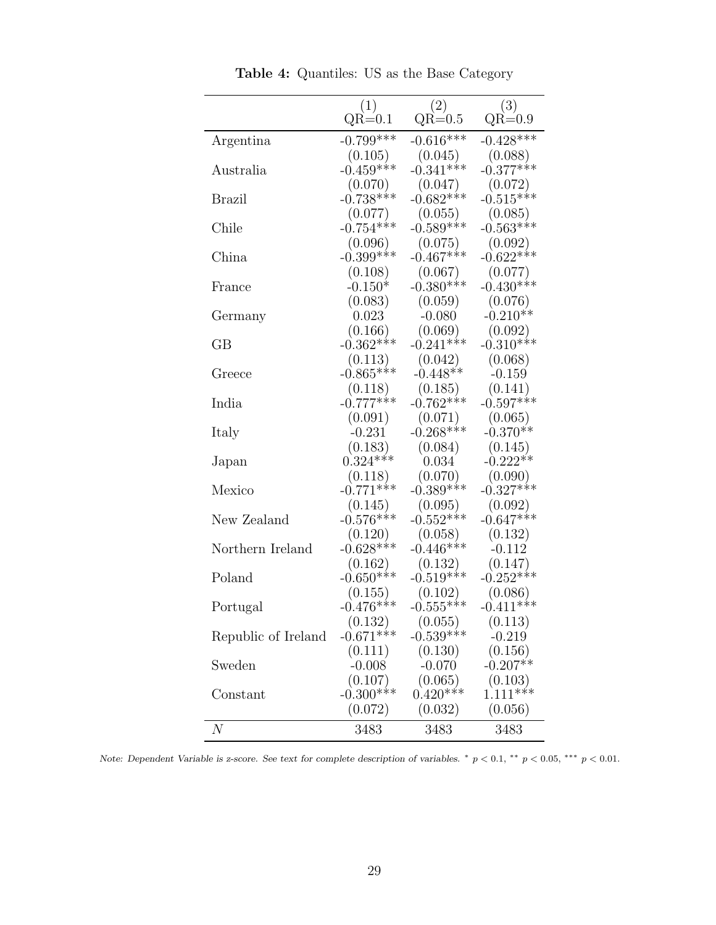|                     | (1)<br>$QR=0.1$        | (2)<br>$QR=0.5$        | (3)<br>$\mathrm{QR}{=}0.9$ |
|---------------------|------------------------|------------------------|----------------------------|
| Argentina           | $-0.799***$            | $-0.616***$            | $-0.428***$                |
|                     | (0.105)                | (0.045)                | (0.088)                    |
| Australia           | $-0.459***$            | $-0.341***$            | $-0.377***$                |
|                     | (0.070)                | (0.047)                | (0.072)                    |
| Brazil              | $-0.738***$            | $-0.682***$            | $-0.515***$                |
|                     | (0.077)                | (0.055)                | (0.085)                    |
| Chile               | $-0.754***$            | $-0.589***$            | $-0.563***$                |
|                     | (0.096)                | (0.075)                | (0.092)                    |
| China               | $-0.399***$            | $-0.467***$            | $-0.622***$                |
|                     | (0.108)                | (0.067)                | (0.077)                    |
| France              | $-0.150*$              | $-0.380***$            | $-0.430***$                |
| Germany             | (0.083)<br>0.023       | (0.059)<br>$-0.080$    | (0.076)<br>$-0.210**$      |
|                     | (0.166)                | (0.069)                | (0.092)                    |
| $\rm GB$            | $-0.362***$            | $-0.241***$            | $-0.310***$                |
|                     | (0.113)                | (0.042)                | (0.068)                    |
| Greece              | $-0.865***$            | $-0.448**$             | $-0.159$                   |
|                     | (0.118)                |                        | (0.141)                    |
| India               | $-0.777***$            | $(0.185)$<br>-0.762*** | $-0.597***$                |
|                     | (0.091)                | (0.071)                | (0.065)                    |
| Italy               | $-0.231$               | $-0.268***$            | $-0.370**$                 |
|                     | (0.183)                | (0.084)                | (0.145)                    |
| Japan               | $0.324***$             | 0.034                  | $-0.222**$                 |
|                     | (0.118)                | (0.070)                | (0.090)                    |
| Mexico              | $-0.771***$            | $-0.389***$            | $-0.327***$                |
|                     | (0.145)                | (0.095)                | (0.092)                    |
| New Zealand         | $-0.576***$            | $-0.552***$            | $-0.647***$                |
|                     | (0.120)<br>$-0.628***$ | (0.058)<br>$-0.446***$ | (0.132)                    |
| Northern Ireland    |                        |                        | $-0.112$<br>(0.147)        |
| Poland              | (0.162)<br>$-0.650***$ | (0.132)<br>$-0.519***$ | $-0.252***$                |
|                     | (0.155)                | (0.102)                | (0.086)                    |
| Portugal            | $-0.476***$            | $-0.555***$            | $-0.411***$                |
|                     | (0.132)                | (0.055)                | (0.113)                    |
| Republic of Ireland | $-0.671***$            | $-0.539***$            | $-0.219$                   |
|                     | (0.111)                | (0.130)                | (0.156)                    |
| Sweden              | $-0.008$               | $-0.070$               | $-0.207**$                 |
|                     | (0.107)                | (0.065)                | (0.103)                    |
| Constant            | $-0.300***$            | $0.420***$             | $1.111***$                 |
|                     | (0.072)                | (0.032)                | (0.056)                    |
| $\boldsymbol{N}$    | 3483                   | 3483                   | 3483                       |

Table 4: Quantiles: US as the Base Category

Note: Dependent Variable is z-score. See text for complete description of variables.  $*$   $p < 0.1$ ,  $**$   $p < 0.05$ ,  $***$   $p < 0.01$ .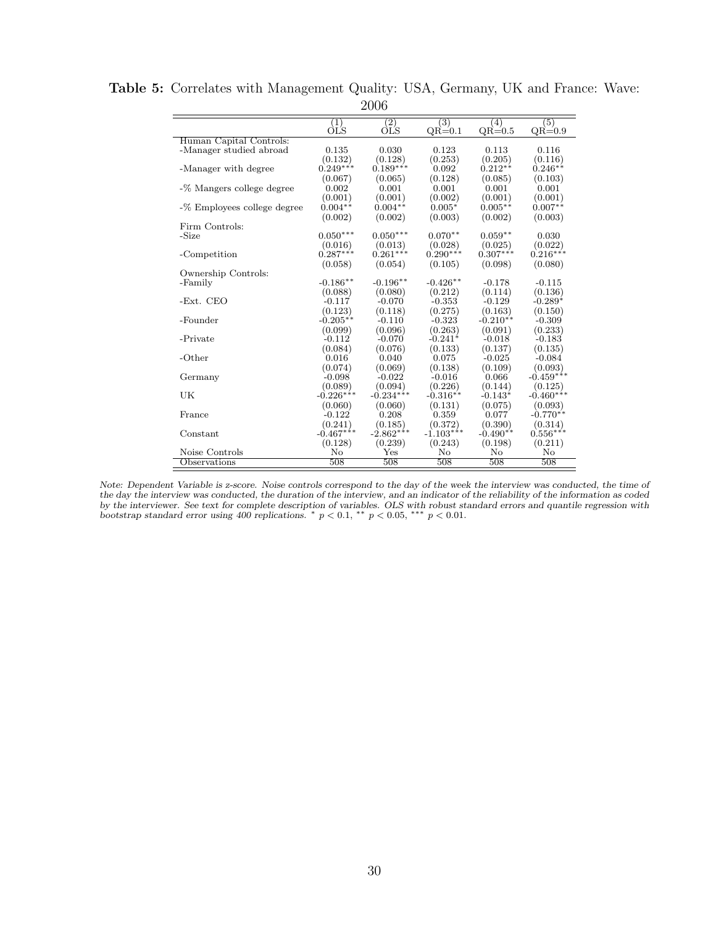|                             |                  | ⊿∪∪               |             |            |             |
|-----------------------------|------------------|-------------------|-------------|------------|-------------|
|                             | $\left(1\right)$ | $\left( 2\right)$ | (3)         | (4)        | (5)         |
|                             | ÒĽS              | ÒĽS               | $QR=0.1$    | $QR=0.5$   | $QR=0.9$    |
| Human Capital Controls:     |                  |                   |             |            |             |
| -Manager studied abroad     | 0.135            | 0.030             | 0.123       | 0.113      | 0.116       |
|                             | (0.132)          | (0.128)           | (0.253)     | (0.205)    | (0.116)     |
| -Manager with degree        | $0.249***$       | $0.189***$        | 0.092       | $0.212**$  | $0.246**$   |
|                             | (0.067)          | (0.065)           | (0.128)     | (0.085)    | (0.103)     |
| -% Mangers college degree   | 0.002            | 0.001             | 0.001       | 0.001      | 0.001       |
|                             | (0.001)          | (0.001)           | (0.002)     | (0.001)    | (0.001)     |
| -% Employees college degree | $0.004**$        | $0.004**$         | $0.005*$    | $0.005**$  | $0.007**$   |
|                             | (0.002)          | (0.002)           | (0.003)     | (0.002)    | (0.003)     |
| Firm Controls:              |                  |                   |             |            |             |
| $-Size$                     | $0.050***$       | $0.050***$        | $0.070**$   | $0.059**$  | 0.030       |
|                             | (0.016)          | (0.013)           | (0.028)     | (0.025)    | (0.022)     |
| -Competition                | $0.287***$       | $0.261***$        | $0.290***$  | $0.307***$ | $0.216***$  |
|                             | (0.058)          | (0.054)           | (0.105)     | (0.098)    | (0.080)     |
| Ownership Controls:         |                  |                   |             |            |             |
| -Family                     | $-0.186**$       | $-0.196**$        | $-0.426**$  | $-0.178$   | $-0.115$    |
|                             | (0.088)          | (0.080)           | (0.212)     | (0.114)    | (0.136)     |
| -Ext. CEO                   | $-0.117$         | $-0.070$          | $-0.353$    | $-0.129$   | $-0.289*$   |
|                             | (0.123)          | (0.118)           | (0.275)     | (0.163)    | (0.150)     |
| -Founder                    | $-0.205**$       | $-0.110$          | $-0.323$    | $-0.210**$ | $-0.309$    |
|                             | (0.099)          | (0.096)           | (0.263)     | (0.091)    | (0.233)     |
| -Private                    | $-0.112$         | $-0.070$          | $-0.241*$   | $-0.018$   | $-0.183$    |
|                             | (0.084)          | (0.076)           | (0.133)     | (0.137)    | (0.135)     |
| $-Other$                    | 0.016            | 0.040             | 0.075       | $-0.025$   | $-0.084$    |
|                             | (0.074)          | (0.069)           | (0.138)     | (0.109)    | (0.093)     |
| Germany                     | $-0.098$         | $-0.022$          | $-0.016$    | 0.066      | $-0.459***$ |
|                             | (0.089)          | (0.094)           | (0.226)     | (0.144)    | (0.125)     |
| UK                          | $-0.226***$      | $-0.234***$       | $-0.316**$  | $-0.143*$  | $-0.460***$ |
|                             | (0.060)          | (0.060)           | (0.131)     | (0.075)    | (0.093)     |
| France                      | $-0.122$         | 0.208             | 0.359       | 0.077      | $-0.770**$  |
|                             | (0.241)          | (0.185)           | (0.372)     | (0.390)    | (0.314)     |
| Constant                    | $-0.467***$      | $-2.862***$       | $-1.103***$ | $-0.490**$ | $0.556***$  |
|                             | (0.128)          | (0.239)           | (0.243)     | (0.198)    | (0.211)     |
| Noise Controls              | No               | $_{\rm Yes}$      | No          | No         | No          |
| Observations                | 508              | 508               | 508         | 508        | 508         |

Table 5: Correlates with Management Quality: USA, Germany, UK and France: Wave: 2006

Note: Dependent Variable is z-score. Noise controls correspond to the day of the week the interview was conducted, the time of the day the interview was conducted, the duration of the interview, and an indicator of the reliability of the information as coded by the interviewer. See text for complete description of variables. OLS with robust standard errors and quantile regression with bootstrap standard error using 400 replications. \*  $p < 0.1$ , \*\*  $p < 0.05$ , \*\*\*  $p < 0.01$ .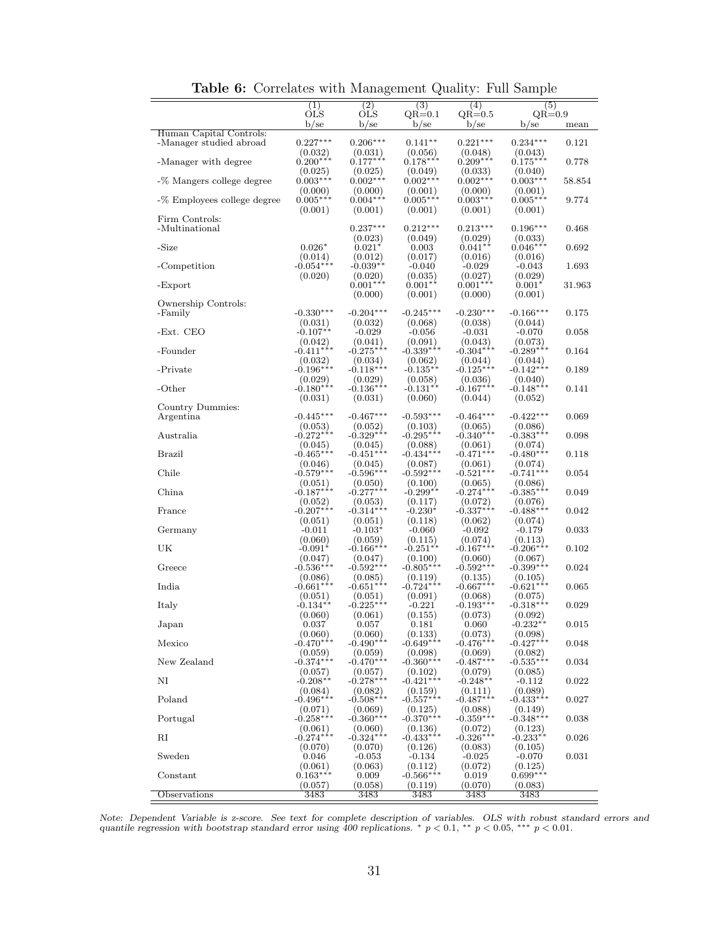|                             | (1)                    | (2)                    | $\overline{(3)}$       | (4)                    | (5)                    |        |
|-----------------------------|------------------------|------------------------|------------------------|------------------------|------------------------|--------|
|                             | OLS<br>$b$ /se         | OLS<br>$b$ /se         | $QR=0.1$<br>$b$ /se    | $QR=0.5$<br>$b$ /se    | $QR=0.9$<br>$b$ /se    | mean   |
| Human Capital Controls:     |                        |                        |                        |                        |                        |        |
| -Manager studied abroad     | $0.227***$<br>(0.032)  | $0.206***$<br>(0.031)  | $0.141**$<br>(0.056)   | $0.221***$<br>(0.048)  | $0.234***$<br>(0.043)  | 0.121  |
| -Manager with degree        | $0.200***$             | $0.177***$             | $0.178***$             | $0.209***$             | $0.175***$             | 0.778  |
|                             | (0.025)<br>$0.003***$  | (0.025)<br>$0.002***$  | (0.049)<br>$0.002***$  | (0.033)<br>$0.002***$  | (0.040)<br>$0.003***$  | 58.854 |
| -% Mangers college degree   | (0.000)                | (0.000)                | (0.001)                | (0.000)                | (0.001)                |        |
| -% Employees college degree | $0.005***$             | $0.004***$             | $0.005***$             | $0.003***$             | $0.005***$             | 9.774  |
| Firm Controls:              | (0.001)                | (0.001)                | (0.001)                | (0.001)                | (0.001)                |        |
| -Multinational              |                        | $0.237***$             | $0.212***$             | $0.213***$             | $0.196***$             | 0.468  |
| -Size                       | $0.026*$               | (0.023)<br>$0.021*$    | (0.049)                | (0.029)<br>$0.041**$   | (0.033)<br>$0.046***$  | 0.692  |
|                             | (0.014)                | (0.012)                | 0.003<br>(0.017)       | (0.016)                | (0.016)                |        |
| -Competition                | $-0.054***$            | $-0.039**$             | $-0.040$               | $-0.029$               | $-0.043$               | 1.693  |
| -Export                     | (0.020)                | (0.020)<br>$0.001***$  | (0.035)<br>$0.001**$   | (0.027)<br>$0.001***$  | (0.029)<br>$0.001*$    | 31.963 |
|                             |                        | (0.000)                | (0.001)                | (0.000)                | (0.001)                |        |
| Ownership Controls:         | $-0.330***$            | $-0.204***$            | $-0.245***$            | $-0.230***$            | $-0.166***$            | 0.175  |
| -Family                     | (0.031)                | (0.032)                | (0.068)                | (0.038)                | (0.044)                |        |
| -Ext. CEO                   | $-0.107**$             | $-0.029$               | $-0.056$               | $-0.031$               | $-0.070$               | 0.058  |
| -Founder                    | (0.042)<br>$-0.411***$ | (0.041)<br>$-0.275***$ | (0.091)<br>$-0.339***$ | (0.043)<br>$-0.304***$ | (0.073)<br>$-0.289***$ | 0.164  |
|                             | (0.032)                | (0.034)                | (0.062)                | (0.044)                | (0.044)                |        |
| -Private                    | $-0.196***$            | $-0.118***$            | $-0.135**$             | $-0.125***$            | $-0.142***$            | 0.189  |
| $-Other$                    | (0.029)<br>$-0.180***$ | (0.029)<br>$-0.136***$ | (0.058)<br>$-0.131**$  | (0.036)<br>$-0.167***$ | (0.040)<br>$-0.148***$ | 0.141  |
|                             | (0.031)                | (0.031)                | (0.060)                | (0.044)                | (0.052)                |        |
| Country Dummies:            |                        |                        |                        |                        |                        |        |
| Argentina                   | $-0.445***$<br>(0.053) | $-0.467***$<br>(0.052) | $-0.593***$<br>(0.103) | $-0.464***$<br>(0.065) | $-0.422***$<br>(0.086) | 0.069  |
| Australia                   | $-0.272***$            | $-0.329***$            | $-0.295***$            | $-0.340***$            | $-0.383***$            | 0.098  |
| <b>Brazil</b>               | (0.045)<br>$-0.465***$ | (0.045)<br>$-0.451***$ | (0.088)<br>$-0.434***$ | (0.061)<br>$-0.471***$ | (0.074)<br>$-0.480***$ | 0.118  |
|                             | (0.046)                | (0.045)                | (0.087)                | (0.061)                | (0.074)                |        |
| Chile                       | $-0.579***$            | $-0.596***$            | $-0.592***$            | $-0.521***$            | $-0.741***$            | 0.054  |
| China                       | (0.051)<br>$-0.187***$ | (0.050)<br>$-0.277***$ | (0.100)<br>$-0.299**$  | (0.065)<br>$-0.274***$ | (0.086)<br>$-0.385***$ | 0.049  |
|                             | (0.052)                | (0.053)                | (0.117)                | (0.072)                | (0.076)                |        |
| France                      | $-0.207***$            | $-0.314***$            | $-0.230*$              | $-0.337***$            | $-0.488***$            | 0.042  |
| Germany                     | (0.051)<br>$-0.011$    | (0.051)<br>$-0.103*$   | (0.118)<br>$-0.060$    | (0.062)<br>$-0.092$    | (0.074)<br>$-0.179$    | 0.033  |
|                             | (0.060)                | (0.059)                | (0.115)                | (0.074)                | (0.113)                |        |
| UK                          | $-0.091*$              | $-0.166***$            | $-0.251**$             | $-0.167***$<br>(0.060) | $-0.206***$            | 0.102  |
| Greece                      | (0.047)<br>$-0.536***$ | (0.047)<br>$-0.592***$ | (0.100)<br>$-0.805***$ | $-0.592***$            | (0.067)<br>$-0.399***$ | 0.024  |
|                             | (0.086)                | (0.085)                | (0.119)                | (0.135)                | (0.105)                |        |
| India                       | $-0.661***$<br>(0.051) | $-0.651***$<br>(0.051) | $-0.724***$<br>(0.091) | $-0.667***$<br>(0.068) | $-0.621***$<br>(0.075) | 0.065  |
| Italy                       | $-0.134**$             | $-0.225***$            | $-0.221$               | $-0.193***$            | $-0.318***$            | 0.029  |
|                             | (0.060)                | (0.061)                | (0.155)                | (0.073)                | (0.092)                |        |
| ${\rm Japan}$               | 0.037<br>(0.060)       | 0.057<br>(0.060)       | 0.181<br>(0.133)       | 0.060<br>(0.073)       | $-0.232*$<br>(0.098)   | 0.015  |
| Mexico                      | $-0.470***$            | $-0.490**$             | $-0.649**$             | $-0.476***$            | $-0.427***$            | 0.048  |
| New Zealand                 | (0.059)<br>$-0.374***$ | (0.059)<br>$-0.470***$ | (0.098)<br>$-0.360**$  | (0.069)<br>$-0.487***$ | (0.082)<br>$-0.535***$ | 0.034  |
|                             | (0.057)                | (0.057)                | (0.102)                | (0.079)                | (0.085)                |        |
| NI                          | $-0.208**$             | $-0.278***$            | $-0.421***$            | $-0.248**$             | $-0.112$               | 0.022  |
| Poland                      | (0.084)<br>$-0.496***$ | (0.082)<br>$-0.508***$ | (0.159)<br>$-0.557***$ | (0.111)<br>$-0.487***$ | (0.089)<br>$-0.433***$ | 0.027  |
|                             | (0.071)                | (0.069)                | (0.125)                | (0.088)                | (0.149)                |        |
| Portugal                    | $-0.258***$            | $-0.360***$            | $-0.370***$            | $-0.359***$            | $-0.348***$            | 0.038  |
| RI                          | (0.061)<br>$-0.274***$ | (0.060)<br>$-0.324***$ | (0.136)<br>$-0.433***$ | (0.072)<br>$-0.326***$ | (0.123)<br>$-0.233**$  | 0.026  |
|                             | (0.070)                | (0.070)                | (0.126)                | (0.083)                | (0.105)                |        |
| Sweden                      | 0.046<br>(0.061)       | $-0.053$<br>(0.063)    | $-0.134$<br>(0.112)    | $-0.025$<br>(0.072)    | $-0.070$<br>(0.125)    | 0.031  |
| Constant                    | $0.163***$             | 0.009                  | $-0.566***$            | 0.019                  | $0.699***$             |        |
|                             | (0.057)                | (0.058)                | (0.119)                | (0.070)                | (0.083)                |        |
| Observations                | 3483                   | 3483                   | 3483                   | 3483                   | 3483                   |        |

Table 6: Correlates with Management Quality: Full Sample

Note: Dependent Variable is z-score. See text for complete description of variables. OLS with robust standard errors and quantile regression with bootstrap standard error using 400 replications. \*  $p < 0.1$ , \*\*  $p < 0.05$ ,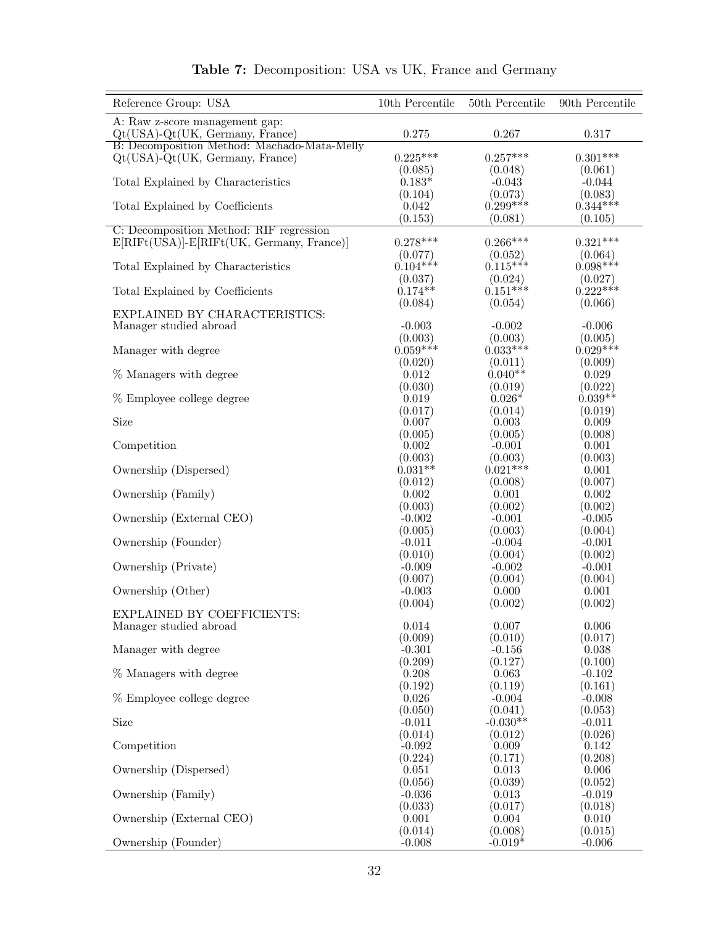| Reference Group: USA                                                               | 10th Percentile      | 50th Percentile       | 90th Percentile       |
|------------------------------------------------------------------------------------|----------------------|-----------------------|-----------------------|
| A: Raw z-score management gap:                                                     |                      |                       |                       |
| $Qt(USA) - Qt(UK, Germany, France)$                                                | 0.275                | 0.267                 | 0.317                 |
| B: Decomposition Method: Machado-Mata-Melly<br>$Qt(USA) - Qt(UK, Germany, France)$ | $0.225***$           | $0.257***$            | $0.301***$            |
|                                                                                    | (0.085)              | (0.048)               | (0.061)               |
| Total Explained by Characteristics                                                 | $0.183*$             | $-0.043$              | $-0.044$              |
|                                                                                    | (0.104)              | (0.073)               | (0.083)               |
| Total Explained by Coefficients                                                    | 0.042                | $0.299***$            | $0.344***$            |
| C: Decomposition Method: RIF regression                                            | (0.153)              | (0.081)               | (0.105)               |
| $E[RIFt(U\bar{S}A)]-E[RIFt(UK, Germany, France)]$                                  | $0.278***$           | $0.266***$            | $0.321***$            |
|                                                                                    | (0.077)              | (0.052)               | (0.064)               |
| Total Explained by Characteristics                                                 | $0.104***$           | $0.115***$            | $0.098***$            |
|                                                                                    | (0.037)              | (0.024)               | (0.027)               |
| Total Explained by Coefficients                                                    | $0.174**$<br>(0.084) | $0.151***$<br>(0.054) | $0.222***$<br>(0.066) |
| EXPLAINED BY CHARACTERISTICS:                                                      |                      |                       |                       |
| Manager studied abroad                                                             | $-0.003$             | $-0.002$              | $-0.006$              |
|                                                                                    | (0.003)              | (0.003)               | (0.005)               |
| Manager with degree                                                                | $0.059***$           | $0.033***$            | $0.029***$            |
| % Managers with degree                                                             | (0.020)<br>0.012     | (0.011)<br>$0.040**$  | (0.009)<br>0.029      |
|                                                                                    | (0.030)              | (0.019)               | (0.022)               |
| % Employee college degree                                                          | 0.019                | $0.026*$              | $0.039**$             |
|                                                                                    | (0.017)              | (0.014)               | (0.019)               |
| Size                                                                               | 0.007                | 0.003                 | 0.009                 |
| Competition                                                                        | (0.005)<br>0.002     | (0.005)<br>$-0.001$   | (0.008)<br>0.001      |
|                                                                                    | (0.003)              | (0.003)               | (0.003)               |
| Ownership (Dispersed)                                                              | $0.031**$            | $0.021***$            | 0.001                 |
|                                                                                    | (0.012)              | (0.008)               | (0.007)               |
| Ownership (Family)                                                                 | 0.002                | 0.001                 | 0.002                 |
|                                                                                    | (0.003)              | (0.002)               | (0.002)               |
| Ownership (External CEO)                                                           | $-0.002$<br>(0.005)  | $-0.001$<br>(0.003)   | $-0.005$<br>(0.004)   |
| Ownership (Founder)                                                                | $-0.011$             | $-0.004$              | $-0.001$              |
|                                                                                    | (0.010)              | (0.004)               | (0.002)               |
| Ownership (Private)                                                                | $-0.009$             | $-0.002$              | $-0.001$              |
|                                                                                    | (0.007)              | (0.004)               | (0.004)               |
| Ownership (Other)                                                                  | $-0.003$<br>(0.004)  | 0.000<br>(0.002)      | 0.001<br>(0.002)      |
| EXPLAINED BY COEFFICIENTS:                                                         |                      |                       |                       |
| Manager studied abroad                                                             | 0.014                | 0.007                 | 0.006                 |
|                                                                                    | (0.009)              | (0.010)               | (0.017)               |
| Manager with degree                                                                | $-0.301$             | $-0.156$              | 0.038                 |
| % Managers with degree                                                             | (0.209)<br>0.208     | (0.127)<br>0.063      | (0.100)<br>$-0.102$   |
|                                                                                    | (0.192)              | (0.119)               | (0.161)               |
| % Employee college degree                                                          | 0.026                | $-0.004$              | $-0.008$              |
|                                                                                    | (0.050)              | (0.041)               | (0.053)               |
| Size                                                                               | $-0.011$             | $-0.030**$            | $-0.011$              |
| Competition                                                                        | (0.014)<br>$-0.092$  | (0.012)<br>0.009      | (0.026)<br>0.142      |
|                                                                                    | (0.224)              | (0.171)               | (0.208)               |
| Ownership (Dispersed)                                                              | 0.051                | 0.013                 | 0.006                 |
|                                                                                    | (0.056)              | (0.039)               | (0.052)               |
| Ownership (Family)                                                                 | $-0.036$             | 0.013                 | $-0.019$              |
| Ownership (External CEO)                                                           | (0.033)<br>0.001     | (0.017)<br>0.004      | (0.018)<br>0.010      |
|                                                                                    | (0.014)              | (0.008)               | (0.015)               |
| Ownership (Founder)                                                                | $-0.008$             | $-0.019*$             | $-0.006$              |

#### Table 7: Decomposition: USA vs UK, France and Germany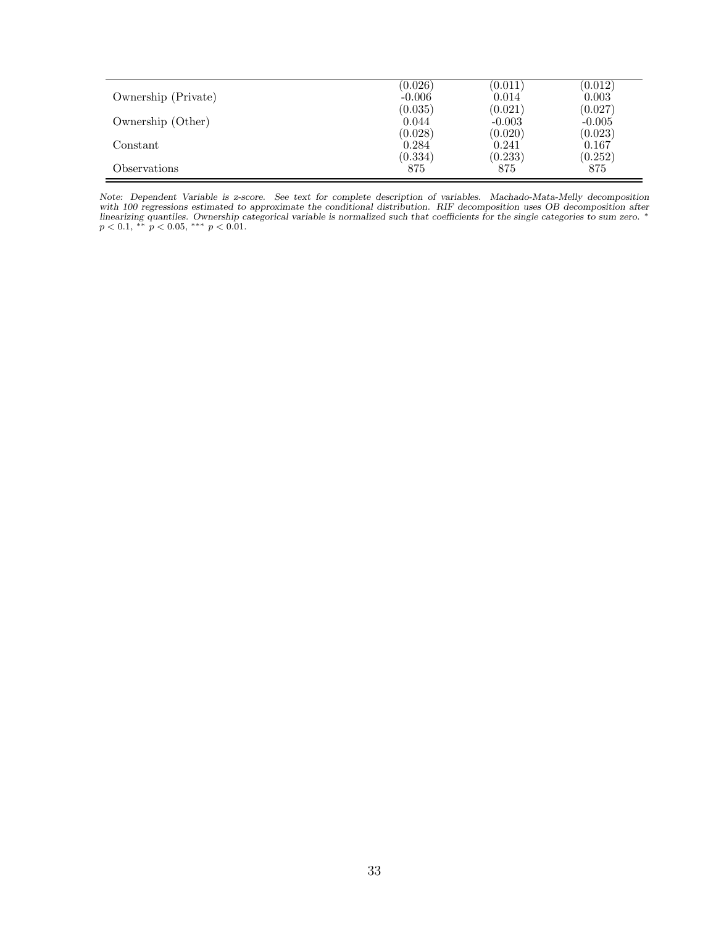| Ownership (Private) | (0.026)  | (0.011)  | (0.012)  |
|---------------------|----------|----------|----------|
|                     | $-0.006$ | 0.014    | 0.003    |
| Ownership (Other)   | (0.035)  | (0.021)  | (0.027)  |
|                     | 0.044    | $-0.003$ | $-0.005$ |
| Constant            | (0.028)  | (0.020)  | (0.023)  |
|                     | 0.284    | 0.241    | 0.167    |
| Observations        | (0.334)  | (0.233)  | (0.252)  |
|                     | 875      | 875      | 875      |

Note: Dependent Variable is z-score. See text for complete description of variables. Machado-Mata-Melly decomposition with 100 regressions estimated to approximate the conditional distribution. RIF decomposition uses OB decomposition after<br>linearizing quantiles. Ownership categorical variable is normalized such that coefficients for the s  $p < 0.1$ , \*\*  $p < 0.05$ , \*\*\*  $p < 0.01$ .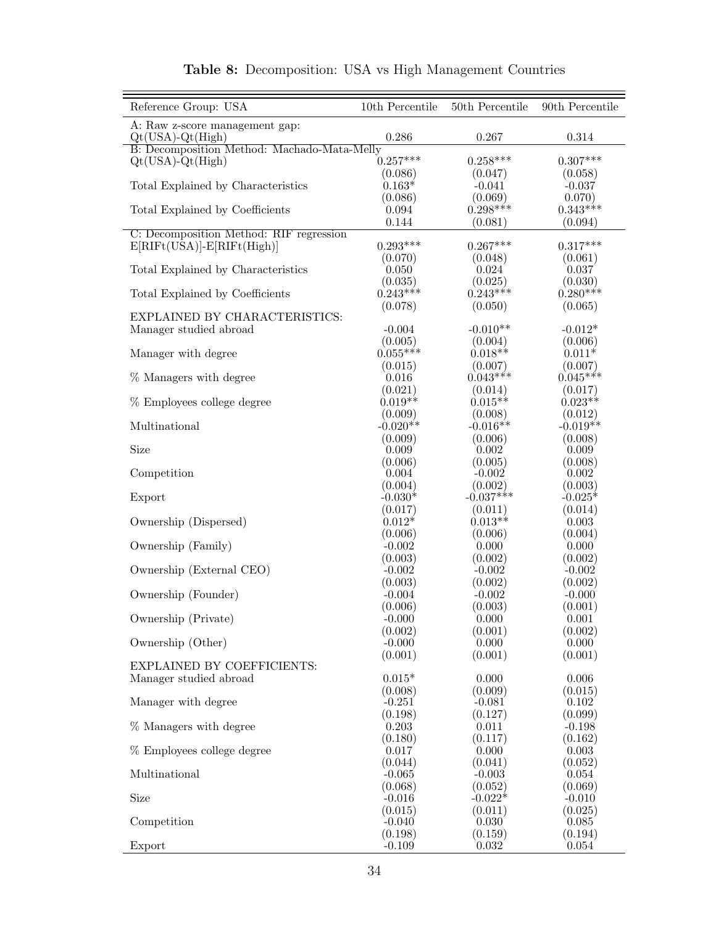| Reference Group: USA                                   | 10th Percentile       | 50th Percentile       | 90th Percentile       |
|--------------------------------------------------------|-----------------------|-----------------------|-----------------------|
| A: Raw z-score management gap:<br>$Qt(USA) - Qt(High)$ | 0.286                 | 0.267                 | 0.314                 |
| B: Decomposition Method: Machado-Mata-Melly            |                       |                       |                       |
| $Qt(USA) - Qt(High)$                                   | $0.257***$            | $0.258***$            | $0.307***$            |
| Total Explained by Characteristics                     | (0.086)<br>$0.163*$   | (0.047)<br>$-0.041$   | (0.058)<br>$-0.037$   |
|                                                        | (0.086)               | (0.069)               | 0.070)                |
| Total Explained by Coefficients                        | 0.094                 | $0.298***$            | $0.343***$            |
|                                                        | 0.144                 | (0.081)               | (0.094)               |
| C: Decomposition Method: RIF regression                |                       |                       |                       |
| $E[RIFt(USA)]-E[RIFt(High)]$                           | $0.293***$            | $0.267***$            | $0.317***$            |
|                                                        | (0.070)               | (0.048)               | (0.061)               |
| Total Explained by Characteristics                     | 0.050                 | 0.024                 | 0.037                 |
| Total Explained by Coefficients                        | (0.035)<br>$0.243***$ | (0.025)<br>$0.243***$ | (0.030)<br>$0.280***$ |
|                                                        | (0.078)               | (0.050)               | (0.065)               |
| EXPLAINED BY CHARACTERISTICS:                          |                       |                       |                       |
| Manager studied abroad                                 | $-0.004$              | $-0.010**$            | $-0.012*$             |
|                                                        | (0.005)               | (0.004)               | (0.006)               |
| Manager with degree                                    | $0.055***$            | $0.018**$             | $0.011*$              |
|                                                        | (0.015)               | (0.007)               | (0.007)               |
| % Managers with degree                                 | 0.016                 | $0.043***$            | $0.045***$            |
|                                                        | (0.021)               | (0.014)               | (0.017)               |
| % Employees college degree                             | $0.019**$             | $0.015**$             | $0.023**$             |
|                                                        | (0.009)               | (0.008)               | (0.012)               |
| Multinational                                          | $-0.020**$            | $-0.016**$            | $-0.019**$            |
|                                                        | (0.009)               | (0.006)               | (0.008)               |
| Size                                                   | 0.009                 | 0.002                 | 0.009                 |
| Competition                                            | (0.006)<br>0.004      | (0.005)<br>$-0.002$   | (0.008)<br>0.002      |
|                                                        | (0.004)               | (0.002)               | (0.003)               |
| Export                                                 | $-0.030*$             | $-0.037***$           | $-0.025*$             |
|                                                        | (0.017)               | (0.011)               | (0.014)               |
| Ownership (Dispersed)                                  | $0.012*$              | $0.013**$             | 0.003                 |
|                                                        | (0.006)               | (0.006)               | (0.004)               |
| Ownership (Family)                                     | $-0.002$              | 0.000                 | 0.000                 |
|                                                        | (0.003)               | (0.002)               | (0.002)               |
| Ownership (External CEO)                               | $-0.002$              | $-0.002$              | $-0.002$              |
|                                                        | (0.003)               | (0.002)               | (0.002)               |
| Ownership (Founder)                                    | $-0.004$              | $-0.002$              | $-0.000$              |
|                                                        | (0.006)               | (0.003)               | (0.001)               |
| Ownership (Private)                                    | $-0.000$<br>(0.002)   | 0.000<br>(0.001)      | 0.001<br>(0.002)      |
| Ownership (Other)                                      | $-0.000$              | 0.000                 | 0.000                 |
|                                                        | (0.001)               | (0.001)               | (0.001)               |
| <b>EXPLAINED BY COEFFICIENTS:</b>                      |                       |                       |                       |
| Manager studied abroad                                 | $0.015*$              | 0.000                 | 0.006                 |
|                                                        | (0.008)               | (0.009)               | (0.015)               |
| Manager with degree                                    | $-0.251$              | $-0.081$              | 0.102                 |
|                                                        | (0.198)               | (0.127)               | (0.099)               |
| % Managers with degree                                 | 0.203                 | 0.011                 | $-0.198$              |
|                                                        | (0.180)               | (0.117)               | (0.162)               |
| % Employees college degree                             | 0.017                 | 0.000                 | 0.003                 |
| Multinational                                          | (0.044)<br>$-0.065$   | (0.041)<br>$-0.003$   | (0.052)<br>0.054      |
|                                                        | (0.068)               | (0.052)               | (0.069)               |
| Size                                                   | $-0.016$              | $-0.022*$             | $-0.010$              |
|                                                        | (0.015)               | (0.011)               | (0.025)               |
| Competition                                            | $-0.040$              | 0.030                 | 0.085                 |
|                                                        | (0.198)               | (0.159)               | (0.194)               |
| Export                                                 | $-0.109$              | 0.032                 | 0.054                 |

| Table 8: Decomposition: USA vs High Management Countries |  |  |
|----------------------------------------------------------|--|--|
|                                                          |  |  |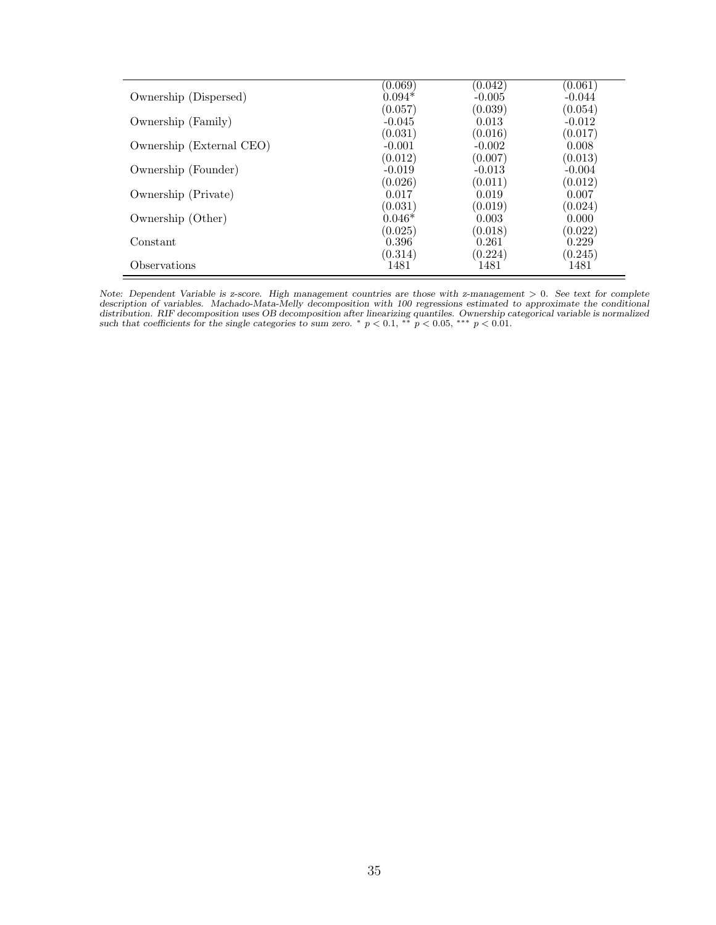| Ownership (Dispersed)    | (0.069)                        | (0.042)                        | $\left( 0.061\right)$          |
|--------------------------|--------------------------------|--------------------------------|--------------------------------|
|                          | $0.094*$                       | $-0.005$                       | $-0.044$                       |
| Ownership (Family)       | (0.057)                        | (0.039)                        | (0.054)                        |
|                          | $-0.045$                       | 0.013                          | $-0.012$                       |
| Ownership (External CEO) | (0.031)<br>$-0.001$<br>(0.012) | (0.016)<br>$-0.002$<br>(0.007) | (0.017)<br>0.008               |
| Ownership (Founder)      | $-0.019$<br>(0.026)            | $-0.013$<br>(0.011)            | (0.013)<br>$-0.004$<br>(0.012) |
| Ownership (Private)      | 0.017                          | 0.019                          | 0.007                          |
|                          | (0.031)                        | (0.019)                        | (0.024)                        |
| Ownership (Other)        | $0.046*$                       | 0.003                          | 0.000                          |
|                          | (0.025)                        | (0.018)                        | (0.022)                        |
| Constant                 | 0.396                          | 0.261                          | 0.229                          |
|                          | (0.314)                        | (0.224)                        | (0.245)                        |
| Observations             | 1481                           | 1481                           | 1481                           |

Note: Dependent Variable is z-score. High management countries are those with z-management  $> 0$ . See text for complete description of variables. Machado-Mata-Melly decomposition with 100 regressions estimated to approximate the conditional distribution. RIF decomposition uses OB decomposition after linearizing quantiles. Ownership categorical variable is normalized such that coefficients for the single categories to sum zero. \*  $p < 0.1$ , \*\*  $p < 0.05$ , \*\*\*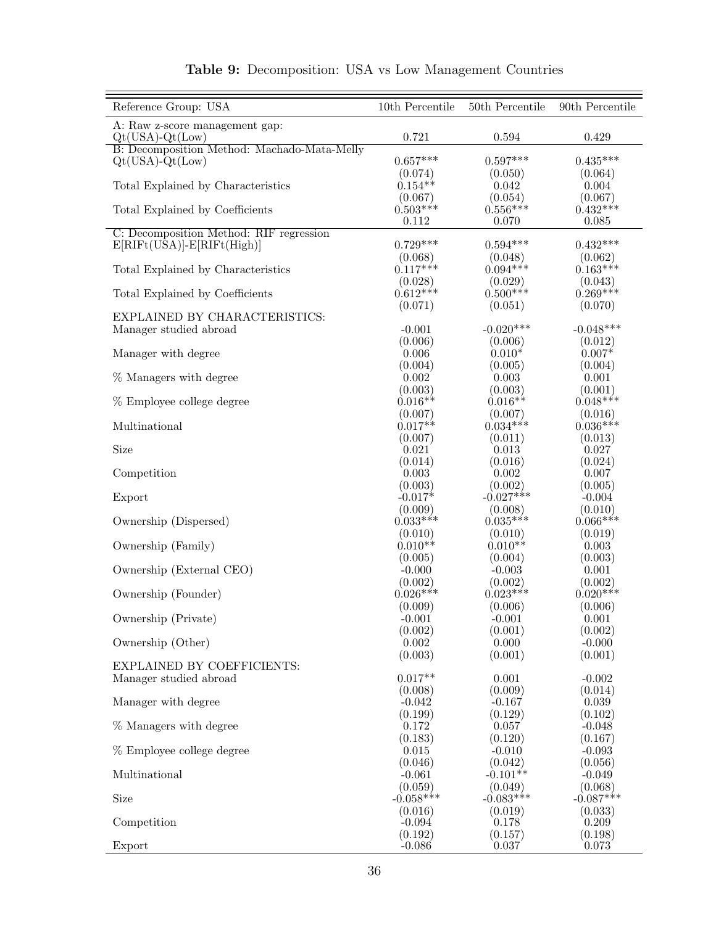| Reference Group: USA                                  | $10th$ Percentile     | 50th Percentile       | 90th Percentile       |
|-------------------------------------------------------|-----------------------|-----------------------|-----------------------|
| A: Raw z-score management gap:<br>$Qt(USA) - Qt(Low)$ | 0.721                 | 0.594                 | 0.429                 |
| B: Decomposition Method: Machado-Mata-Melly           |                       |                       |                       |
| $Qt(USA) - Qt(Low)$                                   | $0.657***$            | $0.597***$            | $0.435***$            |
| Total Explained by Characteristics                    | (0.074)<br>$0.154**$  | (0.050)<br>0.042      | (0.064)<br>0.004      |
|                                                       | (0.067)               | (0.054)               | (0.067)               |
| Total Explained by Coefficients                       | $0.503***$            | $0.556***$            | $0.432***$            |
|                                                       | 0.112                 | 0.070                 | 0.085                 |
| C: Decomposition Method: RIF regression               |                       |                       |                       |
| $E[RIFt(USA)]-E[RIFt(High)]$                          | $0.729***$            | $0.594***$            | $0.432***$<br>(0.062) |
| Total Explained by Characteristics                    | (0.068)<br>$0.117***$ | (0.048)<br>$0.094***$ | $0.163***$            |
|                                                       | (0.028)               | (0.029)               | (0.043)               |
| Total Explained by Coefficients                       | $0.612***$            | $0.500***$            | $0.269***$            |
|                                                       | (0.071)               | (0.051)               | (0.070)               |
| EXPLAINED BY CHARACTERISTICS:                         |                       |                       |                       |
| Manager studied abroad                                | $-0.001$              | $-0.020***$           | $-0.048***$           |
| Manager with degree                                   | (0.006)<br>0.006      | (0.006)<br>$0.010*$   | (0.012)<br>$0.007*$   |
|                                                       | (0.004)               | (0.005)               | (0.004)               |
| % Managers with degree                                | 0.002                 | 0.003                 | 0.001                 |
|                                                       | (0.003)               | (0.003)               | (0.001)               |
| % Employee college degree                             | $0.016**$             | $0.016**$             | $0.048***$            |
|                                                       | (0.007)               | (0.007)               | (0.016)               |
| Multinational                                         | $0.017**$             | $0.034***$            | $0.036***$            |
| Size                                                  | (0.007)<br>0.021      | (0.011)<br>0.013      | (0.013)<br>0.027      |
|                                                       | (0.014)               | (0.016)               | (0.024)               |
| Competition                                           | 0.003                 | 0.002                 | 0.007                 |
|                                                       | (0.003)               | (0.002)               | (0.005)               |
| Export                                                | $-0.017*$             | $-0.027***$           | $-0.004$              |
| Ownership (Dispersed)                                 | (0.009)<br>$0.033***$ | (0.008)<br>$0.035***$ | (0.010)<br>$0.066***$ |
|                                                       | (0.010)               | (0.010)               | (0.019)               |
| Ownership (Family)                                    | $0.010**$             | $0.010**$             | 0.003                 |
|                                                       | (0.005)               | (0.004)               | (0.003)               |
| Ownership (External CEO)                              | $-0.000$              | $-0.003$              | 0.001                 |
|                                                       | (0.002)               | (0.002)               | (0.002)               |
| Ownership (Founder)                                   | $0.026***$<br>(0.009) | $0.023***$<br>(0.006) | $0.020***$<br>(0.006) |
| Ownership (Private)                                   | $-0.001$              | $-0.001$              | 0.001                 |
|                                                       | (0.002)               | (0.001)               | (0.002)               |
| Ownership (Other)                                     | 0.002                 | 0.000                 | $-0.000$              |
|                                                       | (0.003)               | (0.001)               | (0.001)               |
| EXPLAINED BY COEFFICIENTS:                            | $0.017**$             |                       |                       |
| Manager studied abroad                                | (0.008)               | 0.001<br>(0.009)      | $-0.002$<br>(0.014)   |
| Manager with degree                                   | $-0.042$              | $-0.167$              | 0.039                 |
|                                                       | (0.199)               | (0.129)               | (0.102)               |
| % Managers with degree                                | 0.172                 | 0.057                 | $-0.048$              |
|                                                       | (0.183)               | (0.120)               | (0.167)               |
| % Employee college degree                             | 0.015                 | $-0.010$              | $-0.093$              |
| Multinational                                         | (0.046)<br>$-0.061$   | (0.042)<br>$-0.101**$ | (0.056)<br>$-0.049$   |
|                                                       | (0.059)               | (0.049)               | (0.068)               |
| Size                                                  | $-0.058***$           | $-0.083***$           | $-0.087***$           |
|                                                       | (0.016)               | (0.019)               | (0.033)               |
| Competition                                           | $-0.094$              | 0.178                 | 0.209                 |
| Export                                                | (0.192)<br>$-0.086$   | (0.157)<br>0.037      | (0.198)<br>0.073      |

#### Table 9: Decomposition: USA vs Low Management Countries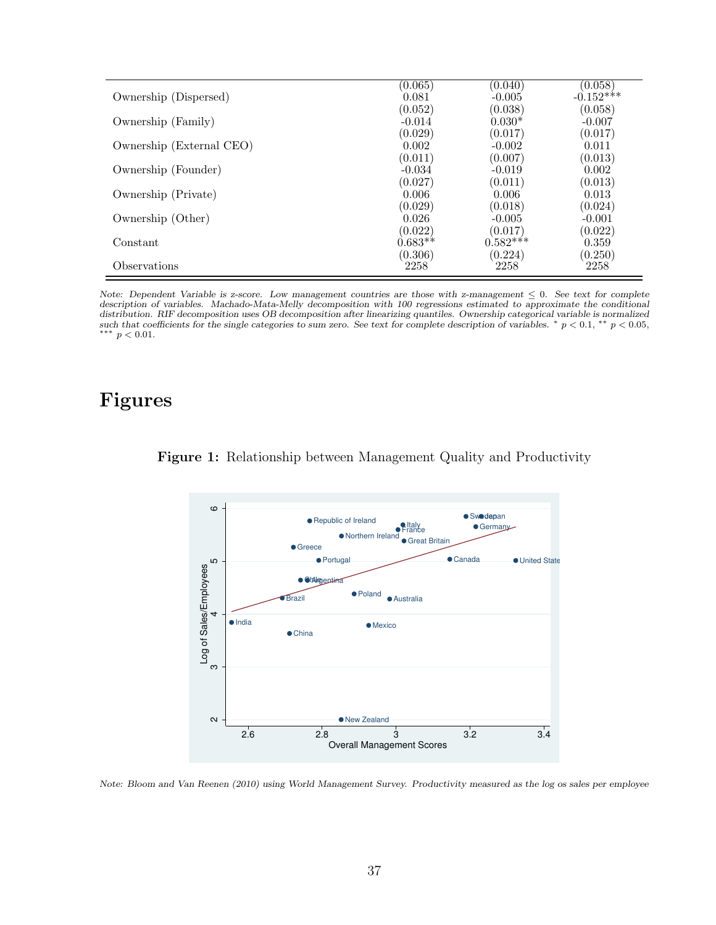|                          | (0.065)   | (0.040)    | (0.058)     |
|--------------------------|-----------|------------|-------------|
| Ownership (Dispersed)    | 0.081     | $-0.005$   | $-0.152***$ |
|                          | (0.052)   | (0.038)    | (0.058)     |
| Ownership (Family)       | $-0.014$  | $0.030*$   | $-0.007$    |
|                          | (0.029)   | (0.017)    | (0.017)     |
| Ownership (External CEO) | 0.002     | $-0.002$   | 0.011       |
|                          | (0.011)   | (0.007)    | (0.013)     |
| Ownership (Founder)      | $-0.034$  | $-0.019$   | 0.002       |
|                          | (0.027)   | (0.011)    | (0.013)     |
| Ownership (Private)      | 0.006     | 0.006      | 0.013       |
|                          | (0.029)   | (0.018)    | (0.024)     |
| Ownership (Other)        | 0.026     | $-0.005$   | $-0.001$    |
|                          | (0.022)   | (0.017)    | (0.022)     |
| Constant                 | $0.683**$ | $0.582***$ | 0.359       |
|                          | (0.306)   | (0.224)    | (0.250)     |
| Observations             | 2258      | 2258       | 2258        |

Note: Dependent Variable is z-score. Low management countries are those with z-management  $\leq 0$ . See text for complete description of variables. Machado-Mata-Melly decomposition with 100 regressions estimated to approximate the conditional distribution. RIF decomposition uses OB decomposition after linearizing quantiles. Ownership categorical variable is normalized<br>such that coefficients for the single categories to sum zero. See text for complete descripti ∗∗∗ p < 0.01.

# Figures



#### Figure 1: Relationship between Management Quality and Productivity

Note: [Bloom and Van Reenen](#page-27-1) [\(2010\)](#page-27-1) using World Management Survey. Productivity measured as the log os sales per employee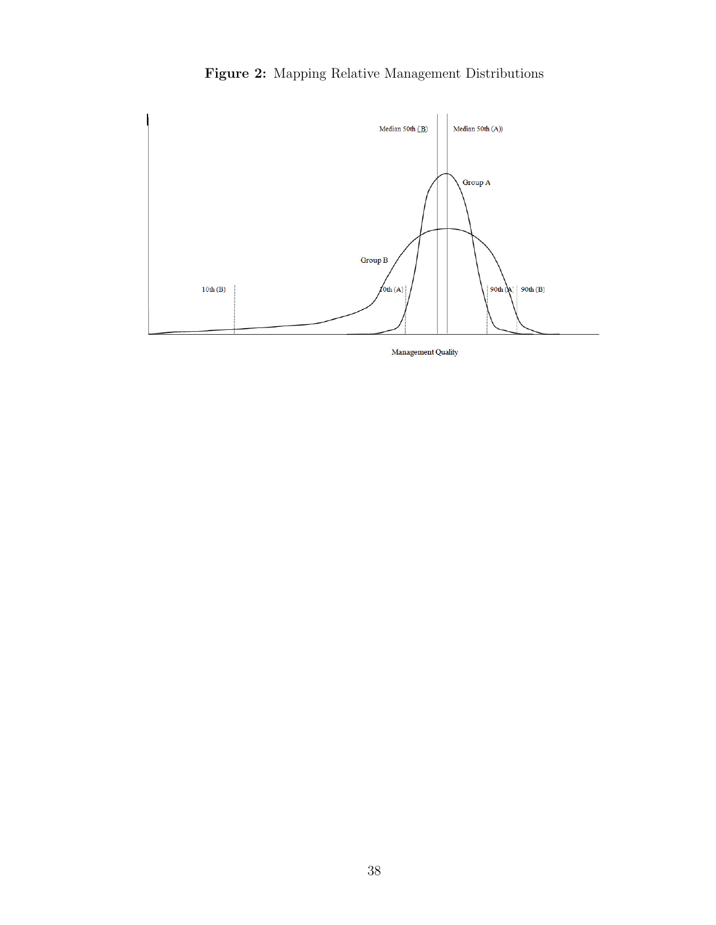



Management Quality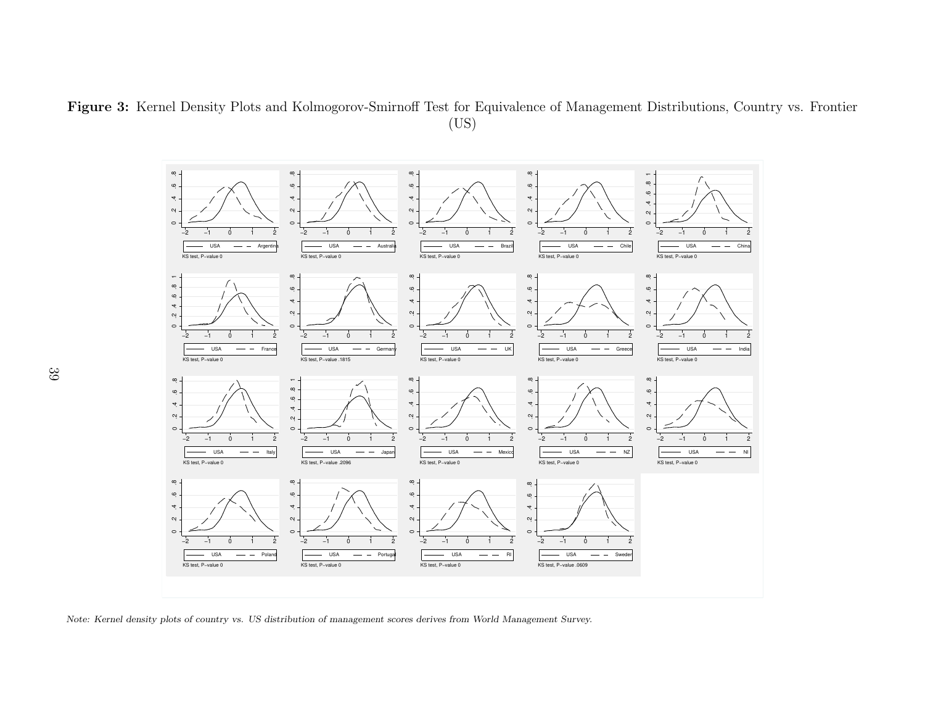Figure 3: Kernel Density Plots and Kolmogorov-Smirnoff Test for Equivalence of Management Distributions, Country vs. Frontier(US)



Note: Kernel density <sup>p</sup>lots of country vs. US distribution of management scores derives from World Management Survey.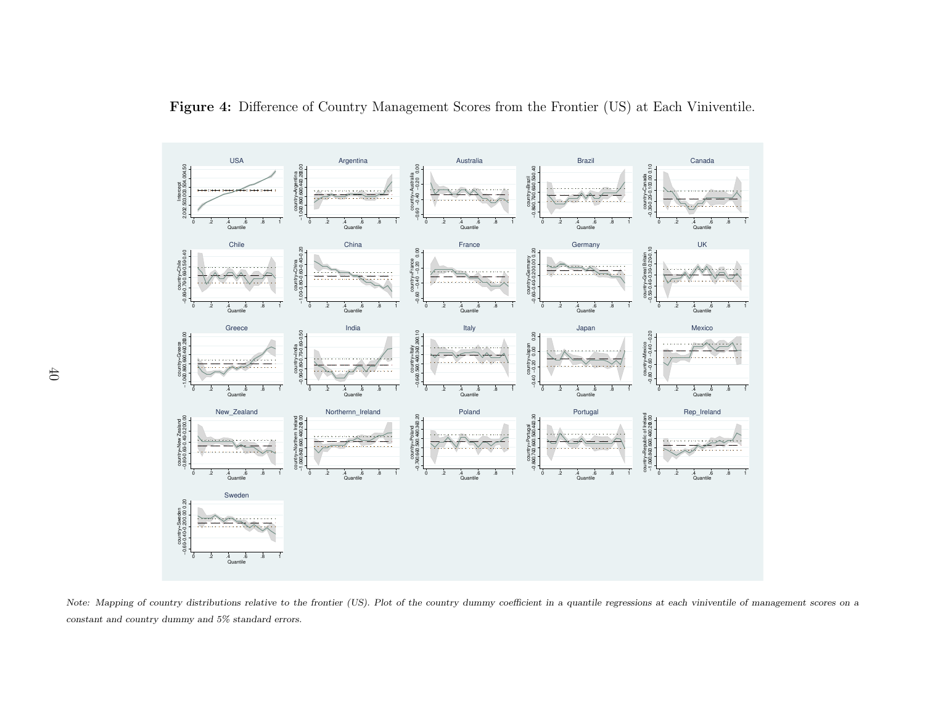

Figure 4: Difference of Country Management Scores from the Frontier (US) at Each Viniventile.

Note: Mapping of country distributions relative to the frontier (US). Plot of the country dummy coefficient in a quantile regressions at each viniventile of management scores on a constant and country dummy and 5% standard errors.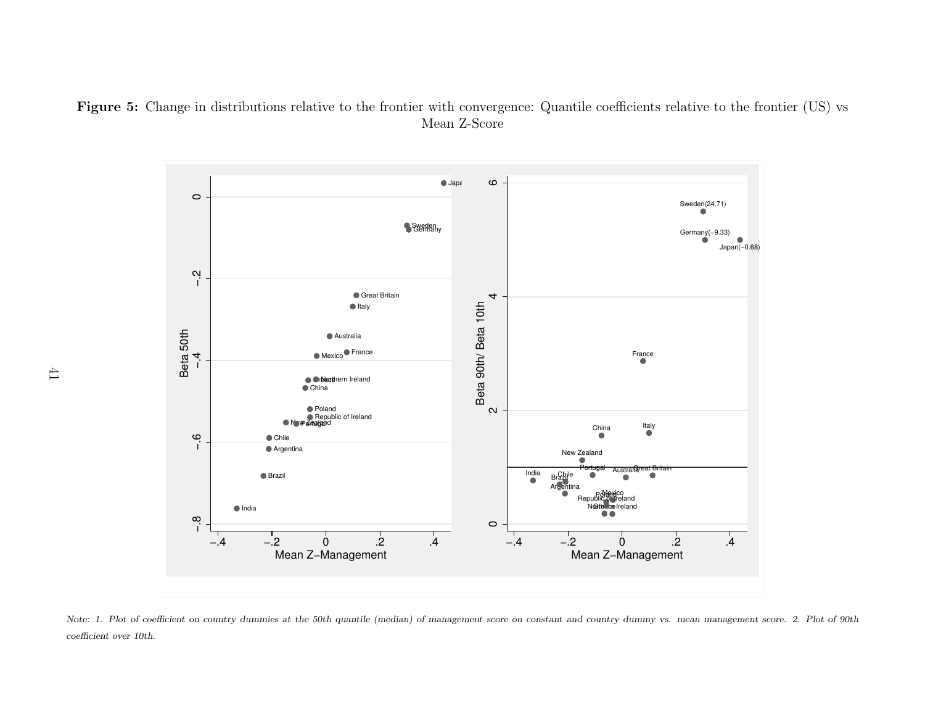Figure 5: Change in distributions relative to the frontier with convergence: Quantile coefficients relative to the frontier (US) vs Mean Z-Score



Note: 1. Plot of coefficient on country dummies at the 50th quantile (median) of management score on constant and country dummy vs. mean management score. 2. Plot of 90th coefficient over 10th.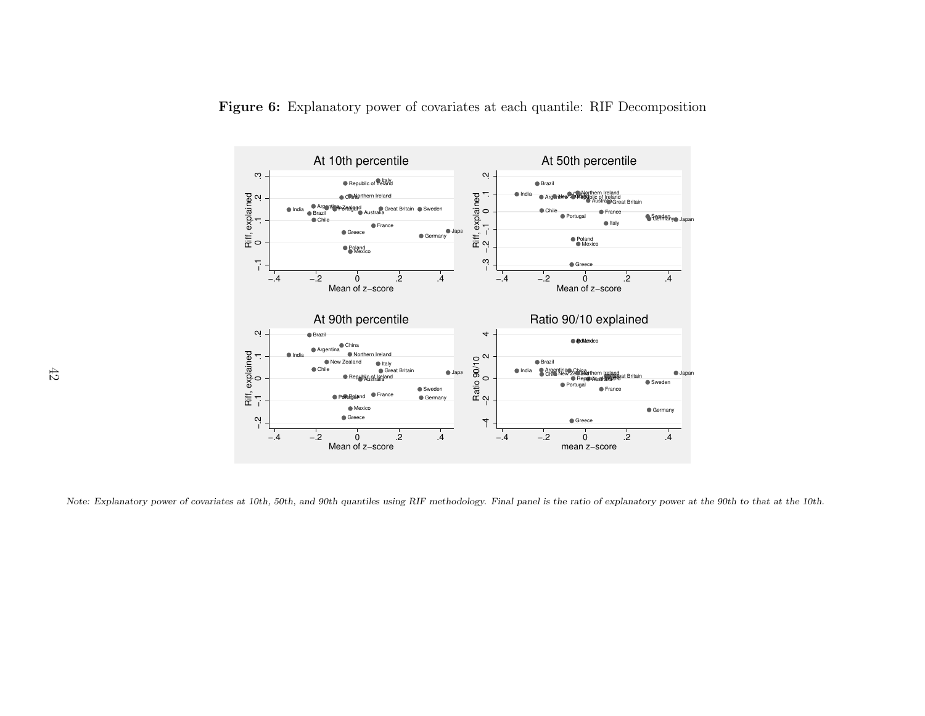



Note: Explanatory power of covariates at 10th, 50th, and 90th quantiles using RIF methodology. Final panel is the ratio of explanatory power at the 90th to that at the 10th.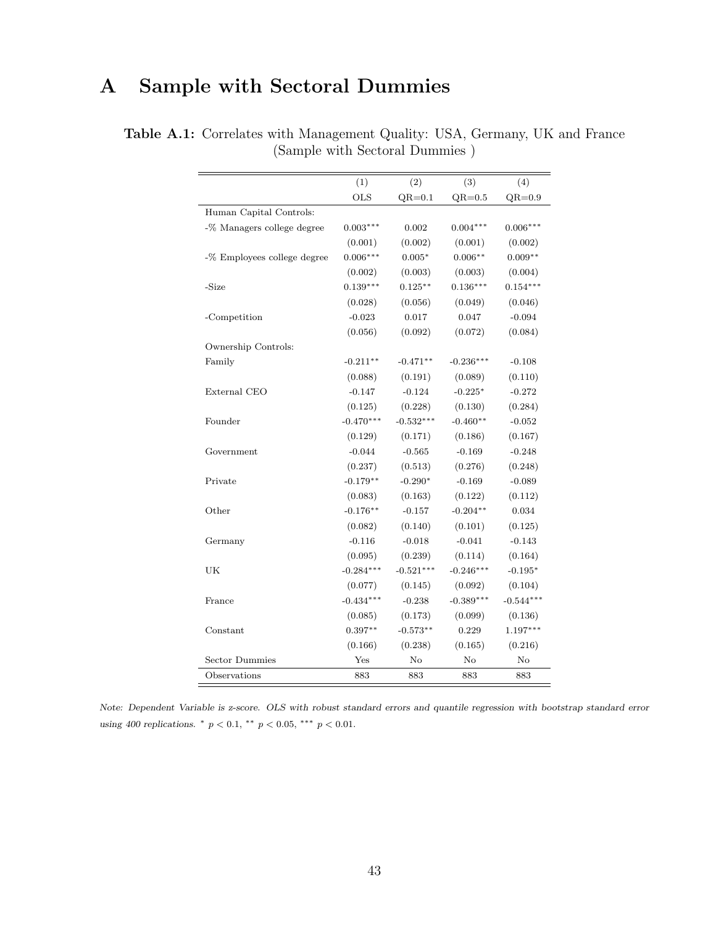# A Sample with Sectoral Dummies

|                             | (1)         | (2)         | (3)         |             |
|-----------------------------|-------------|-------------|-------------|-------------|
|                             | <b>OLS</b>  | $QR=0.1$    |             | (4)         |
|                             |             |             | $QR=0.5$    | $QR=0.9$    |
| Human Capital Controls:     |             |             |             |             |
| -% Managers college degree  | $0.003***$  | 0.002       | $0.004***$  | $0.006***$  |
|                             | (0.001)     | (0.002)     | (0.001)     | (0.002)     |
| -% Employees college degree | $0.006***$  | $0.005*$    | $0.006**$   | $0.009**$   |
|                             | (0.002)     | (0.003)     | (0.003)     | (0.004)     |
| -Size                       | $0.139***$  | $0.125**$   | $0.136***$  | $0.154***$  |
|                             | (0.028)     | (0.056)     | (0.049)     | (0.046)     |
| -Competition                | $-0.023$    | 0.017       | 0.047       | $-0.094$    |
|                             | (0.056)     | (0.092)     | (0.072)     | (0.084)     |
| Ownership Controls:         |             |             |             |             |
| Family                      | $-0.211**$  | $-0.471**$  | $-0.236***$ | $-0.108$    |
|                             | (0.088)     | (0.191)     | (0.089)     | (0.110)     |
| External CEO                | $-0.147$    | $-0.124$    | $-0.225*$   | $-0.272$    |
|                             | (0.125)     | (0.228)     | (0.130)     | (0.284)     |
| Founder                     | $-0.470***$ | $-0.532***$ | $-0.460**$  | $-0.052$    |
|                             | (0.129)     | (0.171)     | (0.186)     | (0.167)     |
| Government                  | $-0.044$    | $-0.565$    | $-0.169$    | $-0.248$    |
|                             | (0.237)     | (0.513)     | (0.276)     | (0.248)     |
| Private                     | $-0.179**$  | $-0.290*$   | $-0.169$    | $-0.089$    |
|                             | (0.083)     | (0.163)     | (0.122)     | (0.112)     |
| Other                       | $-0.176**$  | $-0.157$    | $-0.204**$  | 0.034       |
|                             | (0.082)     | (0.140)     | (0.101)     | (0.125)     |
| Germany                     | $-0.116$    | $-0.018$    | $-0.041$    | $-0.143$    |
|                             | (0.095)     | (0.239)     | (0.114)     | (0.164)     |
| UK                          | $-0.284***$ | $-0.521***$ | $-0.246***$ | $-0.195*$   |
|                             | (0.077)     | (0.145)     | (0.092)     | (0.104)     |
| France                      | $-0.434***$ | $-0.238$    | $-0.389***$ | $-0.544***$ |
|                             | (0.085)     | (0.173)     | (0.099)     | (0.136)     |
| Constant                    | $0.397**$   | $-0.573**$  | 0.229       | $1.197***$  |
|                             | (0.166)     | (0.238)     | (0.165)     | (0.216)     |
| <b>Sector Dummies</b>       | Yes         | No          | No          | $\rm No$    |
| Observations                | 883         | 883         | 883         | 883         |
|                             |             |             |             |             |

Table A.1: Correlates with Management Quality: USA, Germany, UK and France (Sample with Sectoral Dummies )

Note: Dependent Variable is z-score. OLS with robust standard errors and quantile regression with bootstrap standard error using 400 replications.  $*$   $p < 0.1$ ,  $**$   $p < 0.05$ ,  $***$   $p < 0.01$ .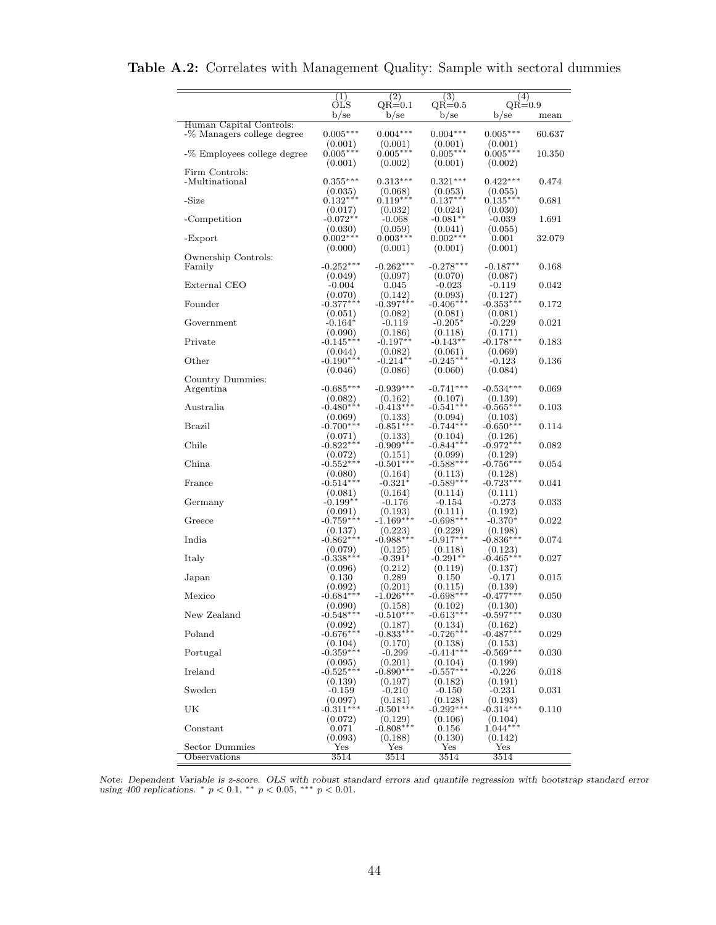|                                                       | (1)                    | (2)                    | (3)                    | (4)                    |        |
|-------------------------------------------------------|------------------------|------------------------|------------------------|------------------------|--------|
|                                                       | OLS                    | $QR=0.1$               | $_{\rm QR=0.5}$        | $QR=0.9$               |        |
|                                                       | $b$ /se                | $b$ /se                | b/sec                  | $b$ /se                | mean   |
| Human Capital Controls:<br>-% Managers college degree | $0.005***$             | $0.004***$             | $0.004***$             | $0.005***$             | 60.637 |
|                                                       | (0.001)                | (0.001)                | (0.001)                | (0.001)                |        |
| -% Employees college degree                           | $0.005***$             | $0.005***$             | $0.005***$             | $0.005***$             | 10.350 |
|                                                       | (0.001)                | (0.002)                | (0.001)                | (0.002)                |        |
| Firm Controls:<br>-Multinational                      | $0.355***$             | $0.313***$             | $0.321***$             | $0.422***$             | 0.474  |
|                                                       | (0.035)                | (0.068)                | (0.053)                | (0.055)                |        |
| -Size                                                 | $0.132***$             | $0.119***$             | $0.137***$             | $0.135***$             | 0.681  |
|                                                       | (0.017)                | (0.032)                | (0.024)                | (0.030)                |        |
| -Competition                                          | $-0.072**$             | $-0.068$               | $-0.081**$             | $-0.039$               | 1.691  |
| -Export                                               | (0.030)<br>$0.002***$  | (0.059)<br>$0.003***$  | (0.041)<br>$0.002***$  | (0.055)<br>0.001       | 32.079 |
|                                                       | (0.000)                | (0.001)                | (0.001)                | (0.001)                |        |
| Ownership Controls:                                   |                        |                        |                        |                        |        |
| Family                                                | $-0.252***$            | $-0.262***$            | $-0.278***$            | $-0.187**$             | 0.168  |
| External CEO                                          | (0.049)                | (0.097)                | (0.070)                | (0.087)<br>$-0.119$    | 0.042  |
|                                                       | $-0.004$<br>(0.070)    | 0.045<br>(0.142)       | $-0.023$<br>(0.093)    | (0.127)                |        |
| Founder                                               | $-0.377***$            | $-0.397***$            | $-0.406***$            | $-0.353***$            | 0.172  |
|                                                       | (0.051)                | (0.082)                | (0.081)                | (0.081)                |        |
| Government                                            | $-0.164*$              | $-0.119$               | $-0.205*$              | $-0.229$               | 0.021  |
|                                                       | (0.090)                | (0.186)                | (0.118)                | (0.171)                |        |
| Private                                               | $-0.145***$            | $-0.197**$             | $-0.143**$<br>(0.061)  | $-0.178***$            | 0.183  |
| Other                                                 | (0.044)<br>$-0.190***$ | (0.082)<br>$-0.214**$  | $-0.245***$            | (0.069)<br>$-0.123$    | 0.136  |
|                                                       | (0.046)                | (0.086)                | (0.060)                | (0.084)                |        |
| Country Dummies:                                      |                        |                        |                        |                        |        |
| Argentina                                             | $-0.685***$            | $-0.939***$            | $-0.741***$            | $-0.534***$            | 0.069  |
| Australia                                             | (0.082)<br>$-0.480***$ | (0.162)<br>$-0.413***$ | (0.107)<br>$-0.541***$ | (0.139)<br>$-0.565***$ | 0.103  |
|                                                       | (0.069)                | (0.133)                | (0.094)                | (0.103)                |        |
| Brazil                                                | $-0.700***$            | $-0.851***$            | $-0.744***$            | $-0.650***$            | 0.114  |
|                                                       | (0.071)                | (0.133)                | (0.104)                | (0.126)                |        |
| Chile                                                 | $-0.822***$            | $-0.909***$            | $-0.844***$            | $-0.972***$            | 0.082  |
| China                                                 | (0.072)<br>$-0.552***$ | (0.151)<br>$-0.501***$ | (0.099)<br>$-0.588***$ | (0.129)<br>$-0.756***$ | 0.054  |
|                                                       | (0.080)                | (0.164)                | (0.113)                | (0.128)                |        |
| France                                                | $-0.514***$            | $-0.321*$              | $-0.589***$            | $-0.723***$            | 0.041  |
|                                                       | (0.081)                | (0.164)                | (0.114)                | (0.111)                |        |
| Germany                                               | $-0.199**$             | $-0.176$               | $-0.154$               | $-0.273$               | 0.033  |
| Greece                                                | (0.091)<br>$-0.759***$ | (0.193)<br>$-1.169***$ | (0.111)<br>$-0.698***$ | (0.192)<br>-0.370*     | 0.022  |
|                                                       | (0.137)                | (0.223)                | (0.229)                | (0.198)                |        |
| India                                                 | $-0.862***$            | $-0.988***$            | $-0.917***$            | $-0.836***$            | 0.074  |
|                                                       | (0.079)                | (0.125)                | (0.118)                | (0.123)                |        |
| Italy                                                 | $-0.338***$            | $-0.391*$              | $-0.291**$             | $-0.465***$            | 0.027  |
| Japan                                                 | (0.096)<br>$0.130\,$   | (0.212)<br>0.289       | (0.119)<br>0.150       | (0.137)<br>$-0.171$    | 0.015  |
|                                                       | (0.092)                | (0.201)                | (0.115)                | (0.139)                |        |
| Mexico                                                | $-0.684***$            | $-1.026***$            | $-0.698***$            | $-0.477***$            | 0.050  |
|                                                       | (0.090)                | (0.158)                | (0.102)                | (0.130)                |        |
| New Zealand                                           | $-0.548***$            | $-0.510***$            | $-0.613***$            | $-0.597***$            | 0.030  |
| Poland                                                | (0.092)<br>$-0.676***$ | (0.187)<br>$-0.833***$ | (0.134)<br>$-0.726***$ | (0.162)<br>$-0.487***$ | 0.029  |
|                                                       | (0.104)                | (0.170)                | (0.138)                | (0.153)                |        |
| Portugal                                              | $-0.359***$            | $-0.299$               | $-0.414***$            | $-0.569***$            | 0.030  |
|                                                       | (0.095)                | (0.201)                | (0.104)                | (0.199)                |        |
| Ireland                                               | $-0.525***$            | $-0.890***$            | $-0.557***$            | $-0.226$               | 0.018  |
| Sweden                                                | (0.139)<br>$-0.159$    | (0.197)<br>$-0.210$    | (0.182)<br>$-0.150$    | (0.191)<br>$-0.231$    | 0.031  |
|                                                       | (0.097)                | (0.181)                | (0.128)                | (0.193)                |        |
| UK                                                    | $-0.311***$            | $-0.501***$            | $-0.292***$            | $-0.314***$            | 0.110  |
|                                                       | (0.072)                | (0.129)                | (0.106)                | (0.104)                |        |
| Constant                                              | 0.071                  | $-0.808***$            | 0.156                  | $1.044***$             |        |
| Sector Dummies                                        | (0.093)<br>Yes         | (0.188)<br>Yes         | (0.130)<br>Yes         | (0.142)<br>Yes         |        |
| Observations                                          | 3514                   | 3514                   | 3514                   | 3514                   |        |
|                                                       |                        |                        |                        |                        |        |

Table A.2: Correlates with Management Quality: Sample with sectoral dummies

Note: Dependent Variable is z-score. OLS with robust standard errors and quantile regression with bootstrap standard error using 400 replications. \*  $p < 0.1$ , \*\*  $p < 0.05$ , \*\*\*  $p < 0.01$ .